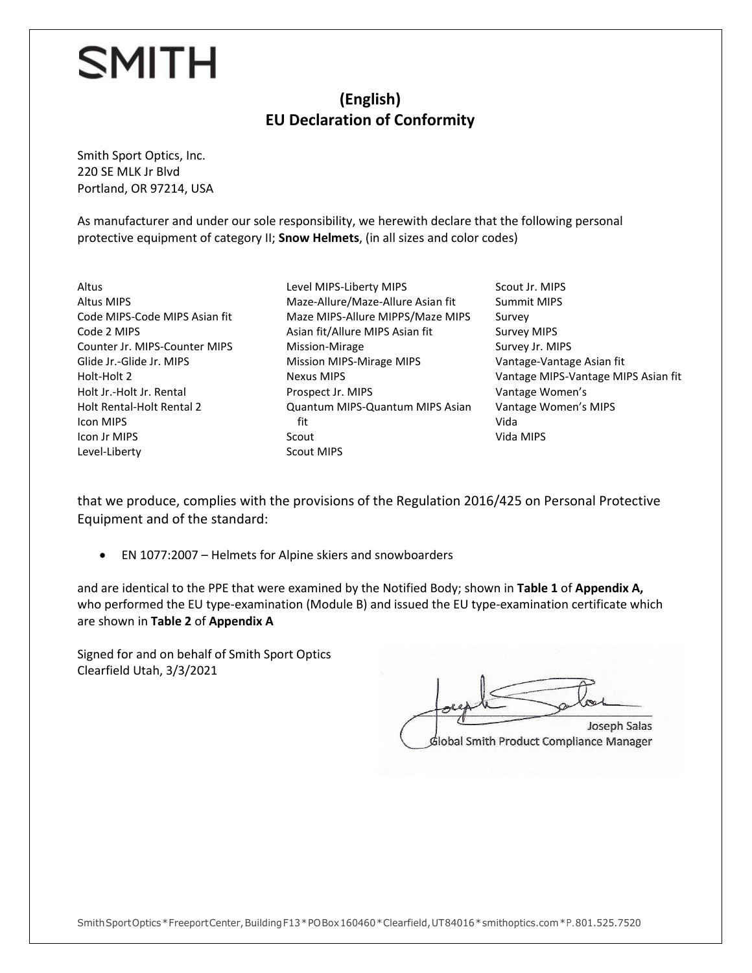#### **(English) EU Declaration of Conformity**

Smith Sport Optics, Inc. 220 SE MLK Jr Blvd Portland, OR 97214, USA

As manufacturer and under our sole responsibility, we herewith declare that the following personal protective equipment of category II; **Snow Helmets**, (in all sizes and color codes)

- Altus Altus MIPS Code MIPS-Code MIPS Asian fit Code 2 MIPS Counter Jr. MIPS-Counter MIPS Glide Jr.-Glide Jr. MIPS Holt-Holt 2 Holt Jr.-Holt Jr. Rental Holt Rental-Holt Rental 2 Icon MIPS Icon Jr MIPS Level-Liberty
- Level MIPS-Liberty MIPS Maze-Allure/Maze-Allure Asian fit Maze MIPS-Allure MIPPS/Maze MIPS Asian fit/Allure MIPS Asian fit Mission-Mirage Mission MIPS-Mirage MIPS Nexus MIPS Prospect Jr. MIPS Quantum MIPS-Quantum MIPS Asian fit Scout Scout MIPS
- Scout Jr. MIPS Summit MIPS Survey Survey MIPS Survey Jr. MIPS Vantage-Vantage Asian fit Vantage MIPS-Vantage MIPS Asian fit Vantage Women's Vantage Women's MIPS Vida Vida MIPS

that we produce, complies with the provisions of the Regulation 2016/425 on Personal Protective Equipment and of the standard:

• EN 1077:2007 – Helmets for Alpine skiers and snowboarders

and are identical to the PPE that were examined by the Notified Body; shown in **Table 1** of **Appendix A,**  who performed the EU type-examination (Module B) and issued the EU type-examination certificate which are shown in **Table 2** of **Appendix A**

Signed for and on behalf of Smith Sport Optics Clearfield Utah, 3/3/2021

 $\mathcal{F}$  Salas Salas Salas Salas Salas Salas Salas Salas Salas Salas Salas Salas Salas Sala Local the parties Joseph Salas Global Smith Product Compliance Manager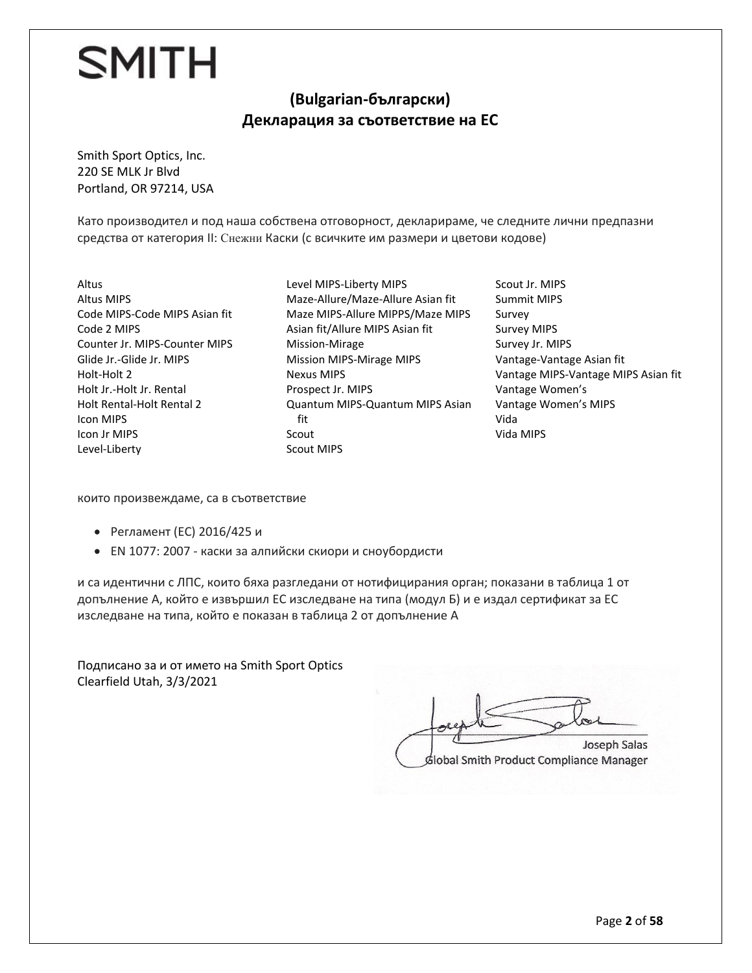#### **(Bulgarian-български) Декларация за съответствие на ЕС**

Smith Sport Optics, Inc. 220 SE MLK Jr Blvd Portland, OR 97214, USA

Като производител и под наша собствена отговорност, декларираме, че следните лични предпазни средства от категория II: Снежни Каски (с всичките им размери и цветови кодове)

- Altus Altus MIPS Code MIPS-Code MIPS Asian fit Code 2 MIPS Counter Jr. MIPS-Counter MIPS Glide Jr.-Glide Jr. MIPS Holt-Holt 2 Holt Jr.-Holt Jr. Rental Holt Rental-Holt Rental 2 Icon MIPS Icon Jr MIPS Level-Liberty
- Level MIPS-Liberty MIPS Maze-Allure/Maze-Allure Asian fit Maze MIPS-Allure MIPPS/Maze MIPS Asian fit/Allure MIPS Asian fit Mission-Mirage Mission MIPS-Mirage MIPS Nexus MIPS Prospect Jr. MIPS Quantum MIPS-Quantum MIPS Asian fit Scout Scout MIPS
- Scout Jr. MIPS Summit MIPS Survey Survey MIPS Survey Jr. MIPS Vantage-Vantage Asian fit Vantage MIPS-Vantage MIPS Asian fit Vantage Women's Vantage Women's MIPS Vida Vida MIPS

които произвеждаме, са в съответствие

- Регламент (ЕС) 2016/425 и
- EN 1077: 2007 каски за алпийски скиори и сноубордисти

и са идентични с ЛПС, които бяха разгледани от нотифицирания орган; показани в таблица 1 от допълнение А, който е извършил ЕС изследване на типа (модул Б) и е издал сертификат за ЕС изследване на типа, който е показан в таблица 2 от допълнение А

Подписано за и от името на Smith Sport Optics Clearfield Utah, 3/3/2021

Joseph Salas  $\overline{\phantom{a}}$ Global Smith Product Compliance Manager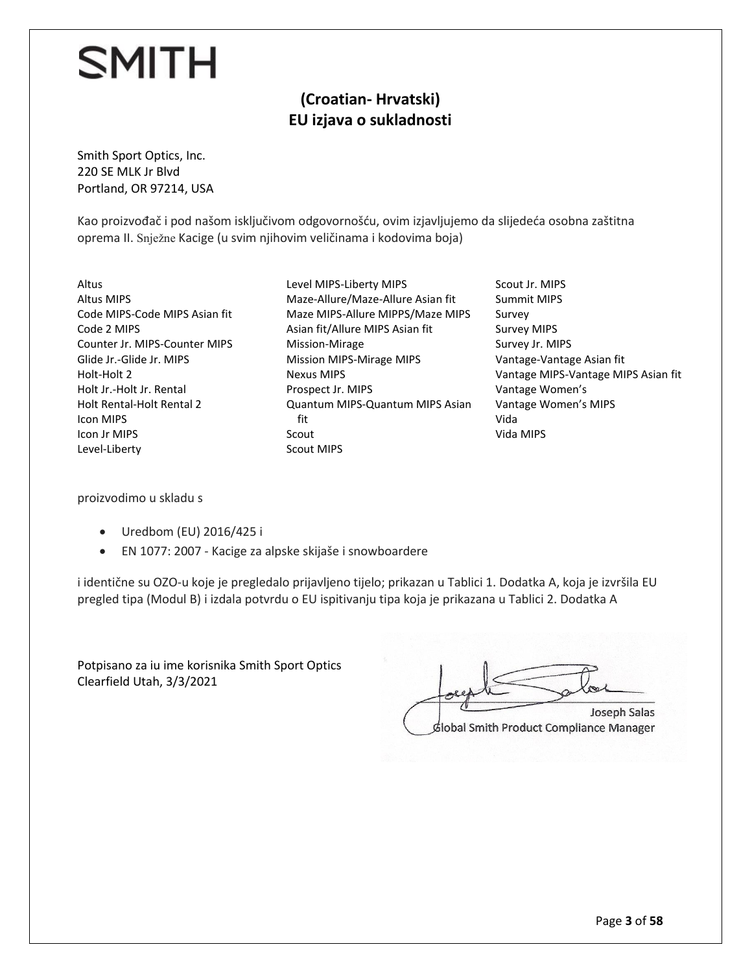#### **(Croatian- Hrvatski) EU izjava o sukladnosti**

Smith Sport Optics, Inc. 220 SE MLK Jr Blvd Portland, OR 97214, USA

Kao proizvođač i pod našom isključivom odgovornošću, ovim izjavljujemo da slijedeća osobna zaštitna oprema II. Snježne Kacige (u svim njihovim veličinama i kodovima boja)

- Altus Altus MIPS Code MIPS-Code MIPS Asian fit Code 2 MIPS Counter Jr. MIPS-Counter MIPS Glide Jr.-Glide Jr. MIPS Holt-Holt 2 Holt Jr.-Holt Jr. Rental Holt Rental-Holt Rental 2 Icon MIPS Icon Jr MIPS Level-Liberty
- Level MIPS-Liberty MIPS Maze-Allure/Maze-Allure Asian fit Maze MIPS-Allure MIPPS/Maze MIPS Asian fit/Allure MIPS Asian fit Mission-Mirage Mission MIPS-Mirage MIPS Nexus MIPS Prospect Jr. MIPS Quantum MIPS-Quantum MIPS Asian fit Scout Scout MIPS
- Scout Jr. MIPS Summit MIPS Survey Survey MIPS Survey Jr. MIPS Vantage-Vantage Asian fit Vantage MIPS-Vantage MIPS Asian fit Vantage Women's Vantage Women's MIPS Vida Vida MIPS

proizvodimo u skladu s

- Uredbom (EU) 2016/425 i
- EN 1077: 2007 Kacige za alpske skijaše i snowboardere

i identične su OZO-u koje je pregledalo prijavljeno tijelo; prikazan u Tablici 1. Dodatka A, koja je izvršila EU pregled tipa (Modul B) i izdala potvrdu o EU ispitivanju tipa koja je prikazana u Tablici 2. Dodatka A

Potpisano za iu ime korisnika Smith Sport Optics Clearfield Utah, 3/3/2021

Joseph Salas

Global Smith Product Compliance Manager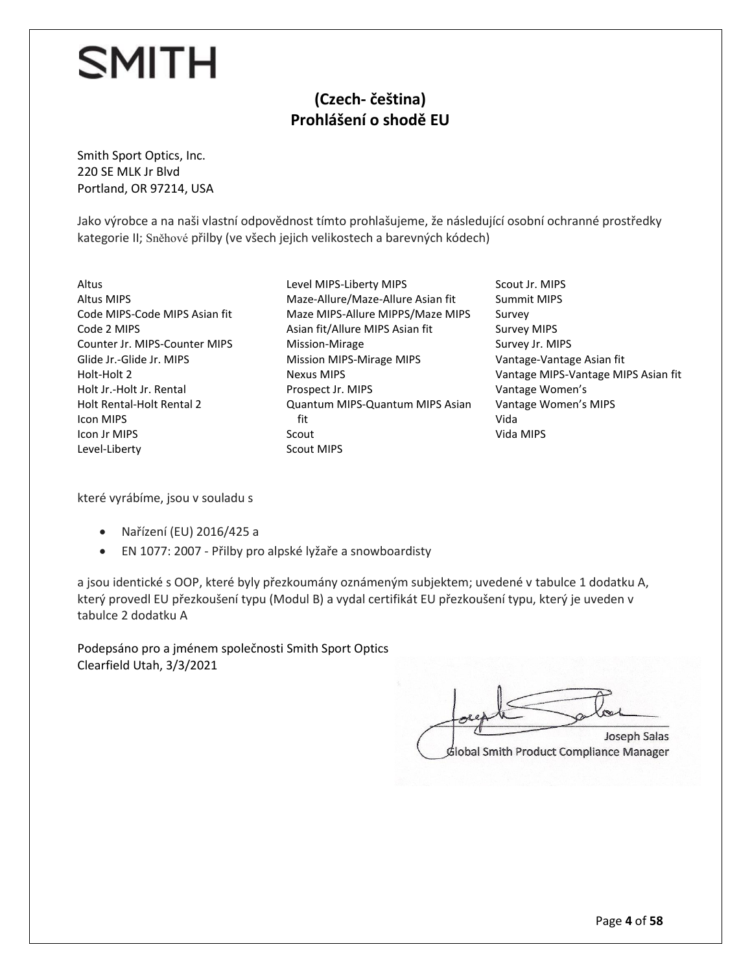#### **(Czech- čeština) Prohlášení o shodě EU**

Smith Sport Optics, Inc. 220 SE MLK Jr Blvd Portland, OR 97214, USA

Jako výrobce a na naši vlastní odpovědnost tímto prohlašujeme, že následující osobní ochranné prostředky kategorie II; Sněhové přilby (ve všech jejich velikostech a barevných kódech)

- Altus Altus MIPS Code MIPS-Code MIPS Asian fit Code 2 MIPS Counter Jr. MIPS-Counter MIPS Glide Jr.-Glide Jr. MIPS Holt-Holt 2 Holt Jr.-Holt Jr. Rental Holt Rental-Holt Rental 2 Icon MIPS Icon Jr MIPS Level-Liberty
- Level MIPS-Liberty MIPS Maze-Allure/Maze-Allure Asian fit Maze MIPS-Allure MIPPS/Maze MIPS Asian fit/Allure MIPS Asian fit Mission-Mirage Mission MIPS-Mirage MIPS Nexus MIPS Prospect Jr. MIPS Quantum MIPS-Quantum MIPS Asian fit Scout Scout MIPS
- Scout Jr. MIPS Summit MIPS Survey Survey MIPS Survey Jr. MIPS Vantage-Vantage Asian fit Vantage MIPS-Vantage MIPS Asian fit Vantage Women's Vantage Women's MIPS Vida Vida MIPS

které vyrábíme, jsou v souladu s

- Nařízení (EU) 2016/425 a
- EN 1077: 2007 Přilby pro alpské lyžaře a snowboardisty

a jsou identické s OOP, které byly přezkoumány oznámeným subjektem; uvedené v tabulce 1 dodatku A, který provedl EU přezkoušení typu (Modul B) a vydal certifikát EU přezkoušení typu, který je uveden v tabulce 2 dodatku A

Podepsáno pro a jménem společnosti Smith Sport Optics Clearfield Utah, 3/3/2021

 $\pi$ global production **Joseph Salas** 

Global Smith Product Compliance Manager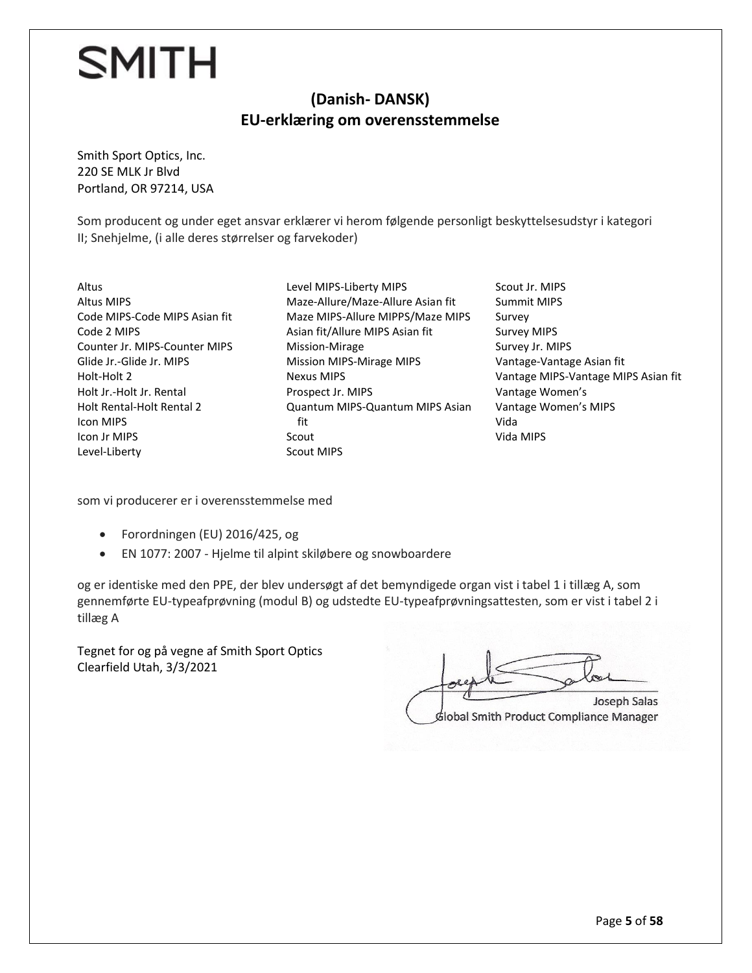#### **(Danish- DANSK) EU-erklæring om overensstemmelse**

Smith Sport Optics, Inc. 220 SE MLK Jr Blvd Portland, OR 97214, USA

Som producent og under eget ansvar erklærer vi herom følgende personligt beskyttelsesudstyr i kategori II; Snehjelme, (i alle deres størrelser og farvekoder)

Altus Altus MIPS Code MIPS-Code MIPS Asian fit Code 2 MIPS Counter Jr. MIPS-Counter MIPS Glide Jr.-Glide Jr. MIPS Holt-Holt 2 Holt Jr.-Holt Jr. Rental Holt Rental-Holt Rental 2 Icon MIPS Icon Jr MIPS Level-Liberty

Level MIPS-Liberty MIPS Maze-Allure/Maze-Allure Asian fit Maze MIPS-Allure MIPPS/Maze MIPS Asian fit/Allure MIPS Asian fit Mission-Mirage Mission MIPS-Mirage MIPS Nexus MIPS Prospect Jr. MIPS Quantum MIPS-Quantum MIPS Asian fit Scout Scout MIPS

Scout Jr. MIPS Summit MIPS Survey Survey MIPS Survey Jr. MIPS Vantage-Vantage Asian fit Vantage MIPS-Vantage MIPS Asian fit Vantage Women's Vantage Women's MIPS Vida Vida MIPS

som vi producerer er i overensstemmelse med

- Forordningen (EU) 2016/425, og
- EN 1077: 2007 Hjelme til alpint skiløbere og snowboardere

og er identiske med den PPE, der blev undersøgt af det bemyndigede organ vist i tabel 1 i tillæg A, som gennemførte EU-typeafprøvning (modul B) og udstedte EU-typeafprøvningsattesten, som er vist i tabel 2 i tillæg A

Tegnet for og på vegne af Smith Sport Optics Clearfield Utah, 3/3/2021

 $\overline{\phantom{a}}$ Joseph Salas

Global Smith Product Compliance Manager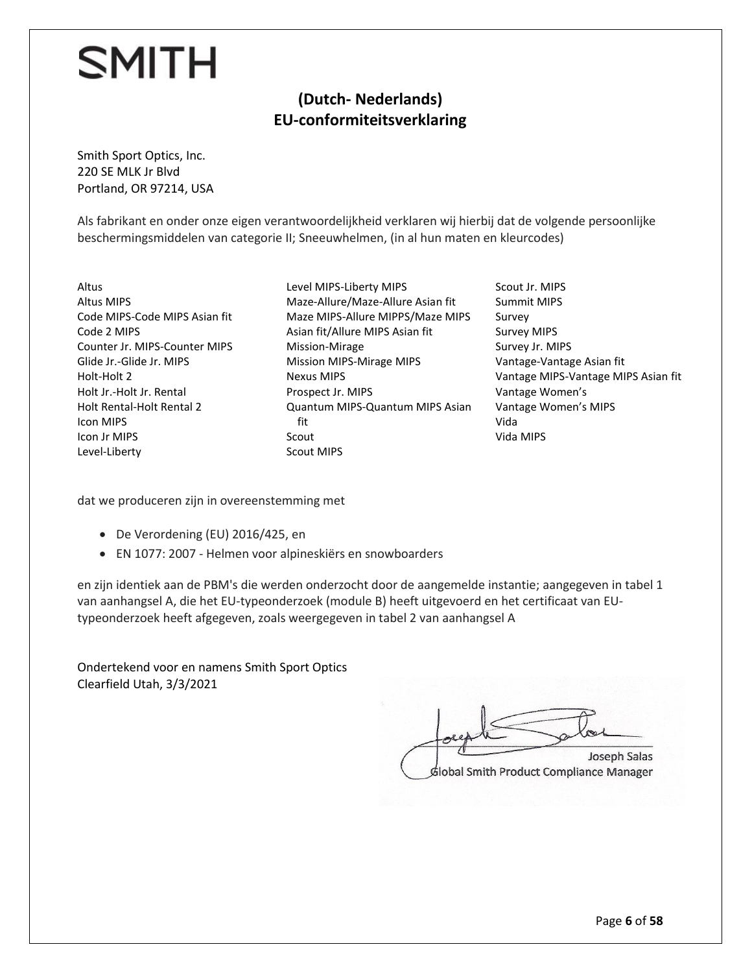#### **(Dutch- Nederlands) EU-conformiteitsverklaring**

Smith Sport Optics, Inc. 220 SE MLK Jr Blvd Portland, OR 97214, USA

Als fabrikant en onder onze eigen verantwoordelijkheid verklaren wij hierbij dat de volgende persoonlijke beschermingsmiddelen van categorie II; Sneeuwhelmen, (in al hun maten en kleurcodes)

- Altus Altus MIPS Code MIPS-Code MIPS Asian fit Code 2 MIPS Counter Jr. MIPS-Counter MIPS Glide Jr.-Glide Jr. MIPS Holt-Holt 2 Holt Jr.-Holt Jr. Rental Holt Rental-Holt Rental 2 Icon MIPS Icon Jr MIPS Level-Liberty
- Level MIPS-Liberty MIPS Maze-Allure/Maze-Allure Asian fit Maze MIPS-Allure MIPPS/Maze MIPS Asian fit/Allure MIPS Asian fit Mission-Mirage Mission MIPS-Mirage MIPS Nexus MIPS Prospect Jr. MIPS Quantum MIPS-Quantum MIPS Asian fit Scout Scout MIPS
- Scout Jr. MIPS Summit MIPS Survey Survey MIPS Survey Jr. MIPS Vantage-Vantage Asian fit Vantage MIPS-Vantage MIPS Asian fit Vantage Women's Vantage Women's MIPS Vida Vida MIPS

dat we produceren zijn in overeenstemming met

- De Verordening (EU) 2016/425, en
- EN 1077: 2007 Helmen voor alpineskiërs en snowboarders

en zijn identiek aan de PBM's die werden onderzocht door de aangemelde instantie; aangegeven in tabel 1 van aanhangsel A, die het EU-typeonderzoek (module B) heeft uitgevoerd en het certificaat van EUtypeonderzoek heeft afgegeven, zoals weergegeven in tabel 2 van aanhangsel A

Ondertekend voor en namens Smith Sport Optics Clearfield Utah, 3/3/2021

 $\mathcal{P}$  Salas Salas Salas Salas Salas Salas Salas Salas Salas Salas Salas Salas Salas Sala Lockethe plate **Joseph Salas** Global Smith Product Compliance Manager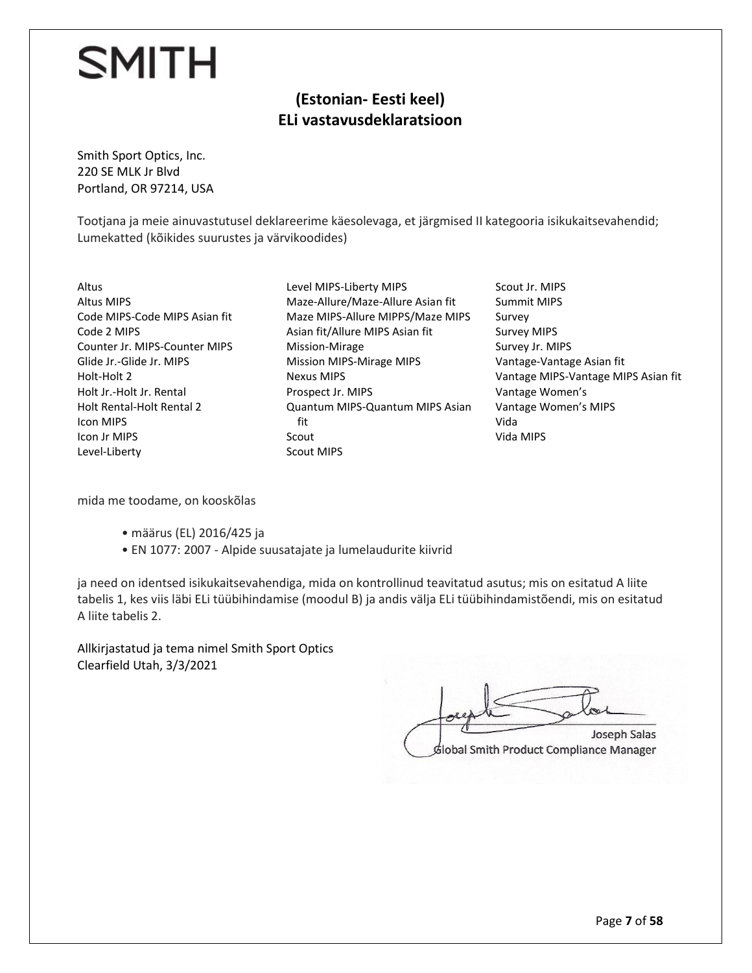#### **(Estonian- Eesti keel) ELi vastavusdeklaratsioon**

Smith Sport Optics, Inc. 220 SE MLK Jr Blvd Portland, OR 97214, USA

Tootjana ja meie ainuvastutusel deklareerime käesolevaga, et järgmised II kategooria isikukaitsevahendid; Lumekatted (kõikides suurustes ja värvikoodides)

Altus Altus MIPS Code MIPS-Code MIPS Asian fit Code 2 MIPS Counter Jr. MIPS-Counter MIPS Glide Jr.-Glide Jr. MIPS Holt-Holt 2 Holt Jr.-Holt Jr. Rental Holt Rental-Holt Rental 2 Icon MIPS Icon Jr MIPS Level-Liberty

- Level MIPS-Liberty MIPS Maze-Allure/Maze-Allure Asian fit Maze MIPS-Allure MIPPS/Maze MIPS Asian fit/Allure MIPS Asian fit Mission-Mirage Mission MIPS-Mirage MIPS Nexus MIPS Prospect Jr. MIPS Quantum MIPS-Quantum MIPS Asian fit Scout Scout MIPS
- Scout Jr. MIPS Summit MIPS Survey Survey MIPS Survey Jr. MIPS Vantage-Vantage Asian fit Vantage MIPS-Vantage MIPS Asian fit Vantage Women's Vantage Women's MIPS Vida Vida MIPS

mida me toodame, on kooskõlas

- määrus (EL) 2016/425 ja
- EN 1077: 2007 Alpide suusatajate ja lumelaudurite kiivrid

ja need on identsed isikukaitsevahendiga, mida on kontrollinud teavitatud asutus; mis on esitatud A liite tabelis 1, kes viis läbi ELi tüübihindamise (moodul B) ja andis välja ELi tüübihindamistõendi, mis on esitatud A liite tabelis 2.

Allkirjastatud ja tema nimel Smith Sport Optics Clearfield Utah, 3/3/2021

 $J_{\text{max}}$  $G$ **Joseph Salas** álobal Smith Product Compliance Manager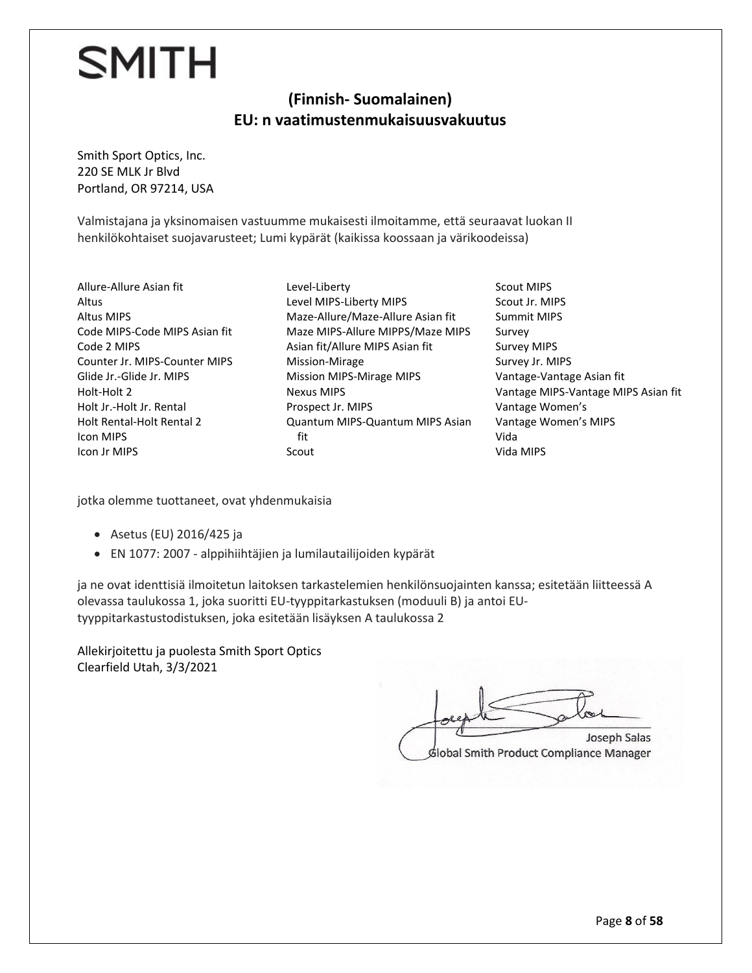#### **(Finnish- Suomalainen) EU: n vaatimustenmukaisuusvakuutus**

Smith Sport Optics, Inc. 220 SE MLK Jr Blvd Portland, OR 97214, USA

Valmistajana ja yksinomaisen vastuumme mukaisesti ilmoitamme, että seuraavat luokan II henkilökohtaiset suojavarusteet; Lumi kypärät (kaikissa koossaan ja värikoodeissa)

Allure-Allure Asian fit Altus Altus MIPS Code MIPS-Code MIPS Asian fit Code 2 MIPS Counter Jr. MIPS-Counter MIPS Glide Jr.-Glide Jr. MIPS Holt-Holt 2 Holt Jr.-Holt Jr. Rental Holt Rental-Holt Rental 2 Icon MIPS Icon Jr MIPS

Level-Liberty Level MIPS-Liberty MIPS Maze-Allure/Maze-Allure Asian fit Maze MIPS-Allure MIPPS/Maze MIPS Asian fit/Allure MIPS Asian fit Mission-Mirage Mission MIPS-Mirage MIPS Nexus MIPS Prospect Jr. MIPS Quantum MIPS-Quantum MIPS Asian fit Scout

Scout MIPS Scout Jr. MIPS Summit MIPS Survey Survey MIPS Survey Jr. MIPS Vantage-Vantage Asian fit Vantage MIPS-Vantage MIPS Asian fit Vantage Women's Vantage Women's MIPS Vida Vida MIPS

jotka olemme tuottaneet, ovat yhdenmukaisia

- Asetus (EU) 2016/425 ja
- EN 1077: 2007 alppihiihtäjien ja lumilautailijoiden kypärät

ja ne ovat identtisiä ilmoitetun laitoksen tarkastelemien henkilönsuojainten kanssa; esitetään liitteessä A olevassa taulukossa 1, joka suoritti EU-tyyppitarkastuksen (moduuli B) ja antoi EUtyyppitarkastustodistuksen, joka esitetään lisäyksen A taulukossa 2

Allekirjoitettu ja puolesta Smith Sport Optics Clearfield Utah, 3/3/2021

Joseph Salas  $G$ **Joseph Salas** Global Smith Product Compliance Manager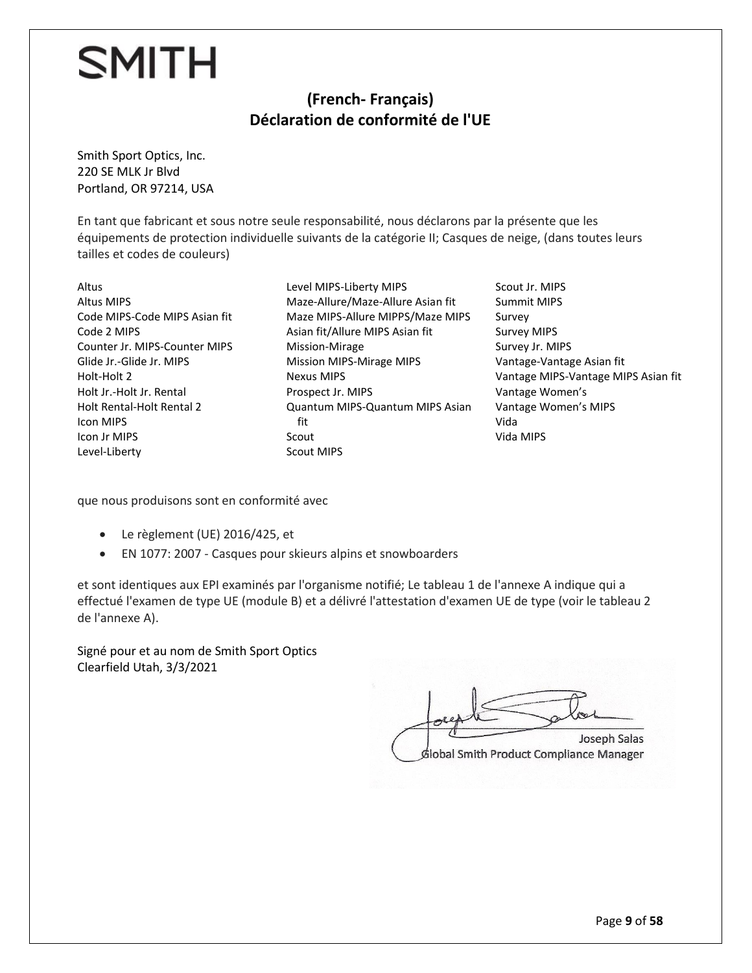#### **(French- Français) Déclaration de conformité de l'UE**

Smith Sport Optics, Inc. 220 SE MLK Jr Blvd Portland, OR 97214, USA

En tant que fabricant et sous notre seule responsabilité, nous déclarons par la présente que les équipements de protection individuelle suivants de la catégorie II; Casques de neige, (dans toutes leurs tailles et codes de couleurs)

Altus Altus MIPS Code MIPS-Code MIPS Asian fit Code 2 MIPS Counter Jr. MIPS-Counter MIPS Glide Jr.-Glide Jr. MIPS Holt-Holt 2 Holt Jr.-Holt Jr. Rental Holt Rental-Holt Rental 2 Icon MIPS Icon Jr MIPS Level-Liberty

Level MIPS-Liberty MIPS Maze-Allure/Maze-Allure Asian fit Maze MIPS-Allure MIPPS/Maze MIPS Asian fit/Allure MIPS Asian fit Mission-Mirage Mission MIPS-Mirage MIPS Nexus MIPS Prospect Jr. MIPS Quantum MIPS-Quantum MIPS Asian fit Scout Scout MIPS

Scout Jr. MIPS Summit MIPS Survey Survey MIPS Survey Jr. MIPS Vantage-Vantage Asian fit Vantage MIPS-Vantage MIPS Asian fit Vantage Women's Vantage Women's MIPS Vida Vida MIPS

que nous produisons sont en conformité avec

- Le règlement (UE) 2016/425, et
- EN 1077: 2007 Casques pour skieurs alpins et snowboarders

et sont identiques aux EPI examinés par l'organisme notifié; Le tableau 1 de l'annexe A indique qui a effectué l'examen de type UE (module B) et a délivré l'attestation d'examen UE de type (voir le tableau 2 de l'annexe A).

Signé pour et au nom de Smith Sport Optics Clearfield Utah, 3/3/2021

Joseph Salas  $G$ **Joseph Salas** Global Smith Product Compliance Manager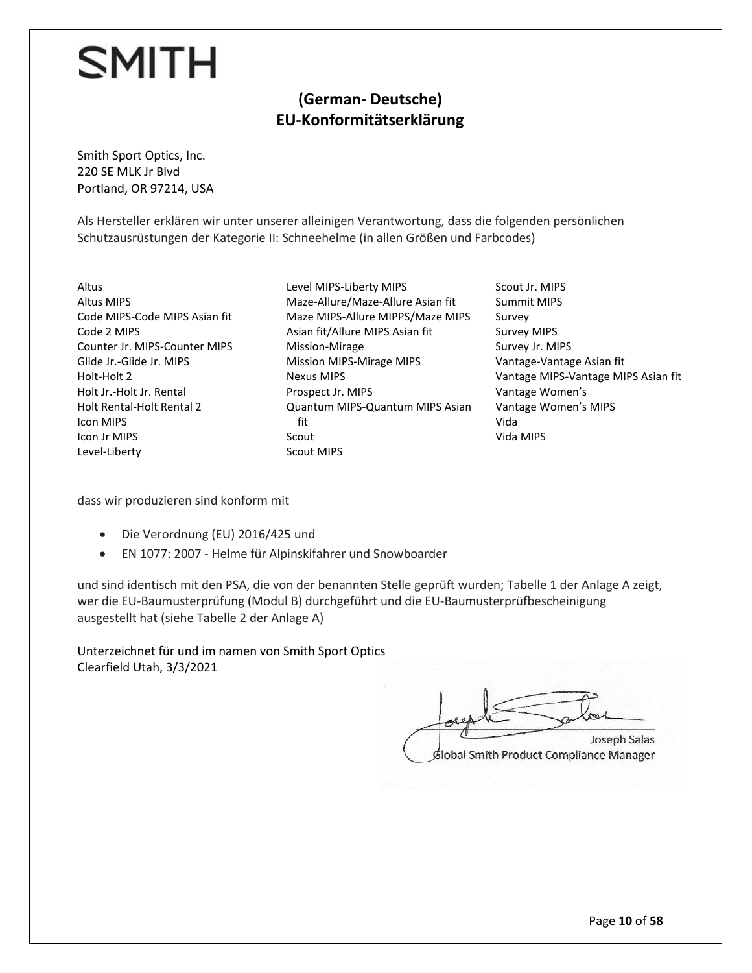#### **(German- Deutsche) EU-Konformitätserklärung**

Smith Sport Optics, Inc. 220 SE MLK Jr Blvd Portland, OR 97214, USA

Als Hersteller erklären wir unter unserer alleinigen Verantwortung, dass die folgenden persönlichen Schutzausrüstungen der Kategorie II: Schneehelme (in allen Größen und Farbcodes)

- Altus Altus MIPS Code MIPS-Code MIPS Asian fit Code 2 MIPS Counter Jr. MIPS-Counter MIPS Glide Jr.-Glide Jr. MIPS Holt-Holt 2 Holt Jr.-Holt Jr. Rental Holt Rental-Holt Rental 2 Icon MIPS Icon Jr MIPS Level-Liberty
- Level MIPS-Liberty MIPS Maze-Allure/Maze-Allure Asian fit Maze MIPS-Allure MIPPS/Maze MIPS Asian fit/Allure MIPS Asian fit Mission-Mirage Mission MIPS-Mirage MIPS Nexus MIPS Prospect Jr. MIPS Quantum MIPS-Quantum MIPS Asian fit Scout Scout MIPS
- Scout Jr. MIPS Summit MIPS Survey Survey MIPS Survey Jr. MIPS Vantage-Vantage Asian fit Vantage MIPS-Vantage MIPS Asian fit Vantage Women's Vantage Women's MIPS Vida Vida MIPS

dass wir produzieren sind konform mit

- Die Verordnung (EU) 2016/425 und
- EN 1077: 2007 Helme für Alpinskifahrer und Snowboarder

und sind identisch mit den PSA, die von der benannten Stelle geprüft wurden; Tabelle 1 der Anlage A zeigt, wer die EU-Baumusterprüfung (Modul B) durchgeführt und die EU-Baumusterprüfbescheinigung ausgestellt hat (siehe Tabelle 2 der Anlage A)

Unterzeichnet für und im namen von Smith Sport Optics Clearfield Utah, 3/3/2021

 $\mathcal{F}$  Salas Salas Salas Salas Salas Salas Salas Salas Salas Salas Salas Salas Salas Sala Loreante place Joseph Salas Global Smith Product Compliance Manager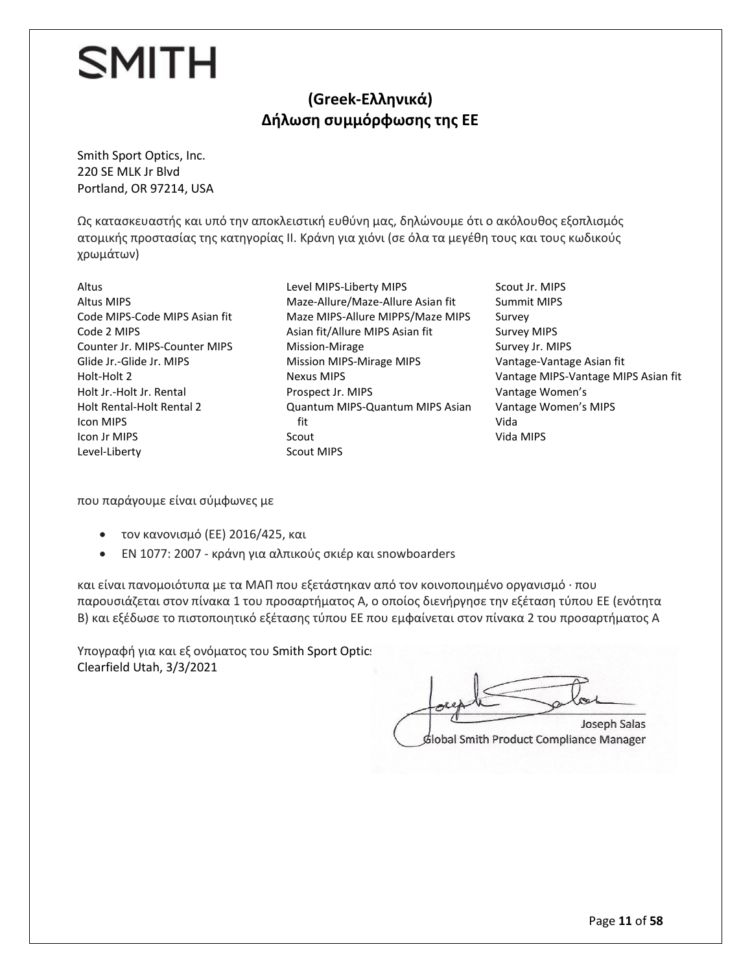#### **(Greek-Ελληνικά) Δήλωση συμμόρφωσης της ΕΕ**

Smith Sport Optics, Inc. 220 SE MLK Jr Blvd Portland, OR 97214, USA

Ως κατασκευαστής και υπό την αποκλειστική ευθύνη μας, δηλώνουμε ότι ο ακόλουθος εξοπλισμός ατομικής προστασίας της κατηγορίας II. Κράνη για χιόνι (σε όλα τα μεγέθη τους και τους κωδικούς χρωμάτων)

Altus Altus MIPS Code MIPS-Code MIPS Asian fit Code 2 MIPS Counter Jr. MIPS-Counter MIPS Glide Jr.-Glide Jr. MIPS Holt-Holt 2 Holt Jr.-Holt Jr. Rental Holt Rental-Holt Rental 2 Icon MIPS Icon Jr MIPS Level-Liberty

Level MIPS-Liberty MIPS Maze-Allure/Maze-Allure Asian fit Maze MIPS-Allure MIPPS/Maze MIPS Asian fit/Allure MIPS Asian fit Mission-Mirage Mission MIPS-Mirage MIPS Nexus MIPS Prospect Jr. MIPS Quantum MIPS-Quantum MIPS Asian fit Scout Scout MIPS

Scout Jr. MIPS Summit MIPS Survey Survey MIPS Survey Jr. MIPS Vantage-Vantage Asian fit Vantage MIPS-Vantage MIPS Asian fit Vantage Women's Vantage Women's MIPS Vida Vida MIPS

που παράγουμε είναι σύμφωνες με

- τον κανονισμό (ΕΕ) 2016/425, και
- EN 1077: 2007 κράνη για αλπικούς σκιέρ και snowboarders

και είναι πανομοιότυπα με τα ΜΑΠ που εξετάστηκαν από τον κοινοποιημένο οργανισμό · που παρουσιάζεται στον πίνακα 1 του προσαρτήματος Α, ο οποίος διενήργησε την εξέταση τύπου ΕΕ (ενότητα Β) και εξέδωσε το πιστοποιητικό εξέτασης τύπου ΕΕ που εμφαίνεται στον πίνακα 2 του προσαρτήματος Α

Υπογραφή για και εξ ονόματος του Smith Sport Optics Clearfield Utah, 3/3/2021

 $\sim$ Joseph Salas Global Smith Product Compliance Manager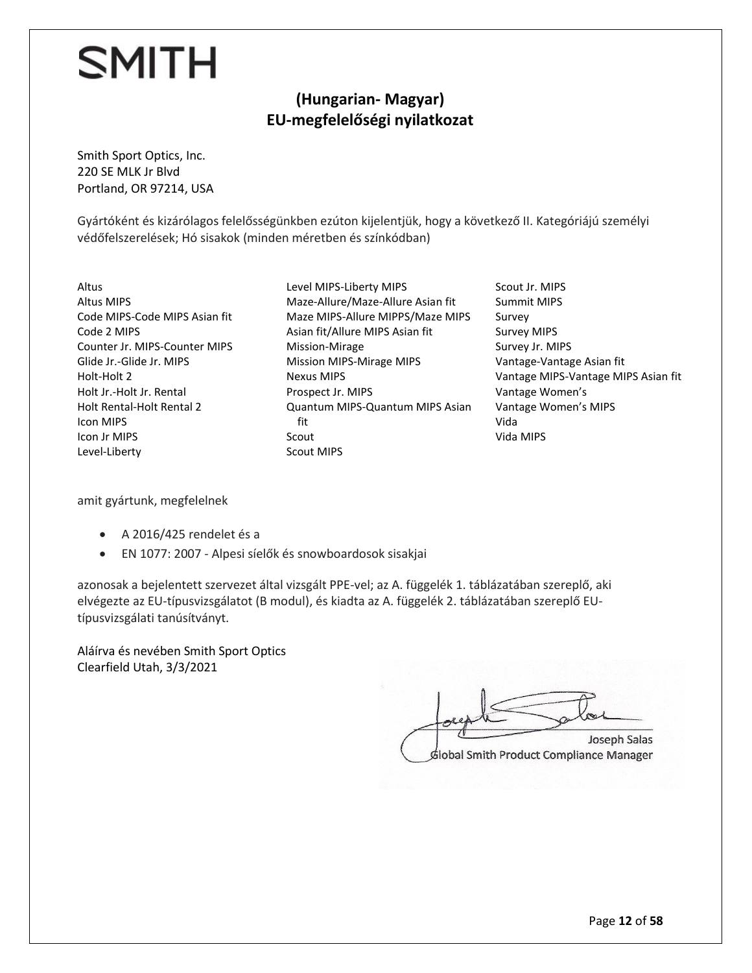#### **(Hungarian- Magyar) EU-megfelelőségi nyilatkozat**

Smith Sport Optics, Inc. 220 SE MLK Jr Blvd Portland, OR 97214, USA

Gyártóként és kizárólagos felelősségünkben ezúton kijelentjük, hogy a következő II. Kategóriájú személyi védőfelszerelések; Hó sisakok (minden méretben és színkódban)

Altus Altus MIPS Code MIPS-Code MIPS Asian fit Code 2 MIPS Counter Jr. MIPS-Counter MIPS Glide Jr.-Glide Jr. MIPS Holt-Holt 2 Holt Jr.-Holt Jr. Rental Holt Rental-Holt Rental 2 Icon MIPS Icon Jr MIPS Level-Liberty

- Level MIPS-Liberty MIPS Maze-Allure/Maze-Allure Asian fit Maze MIPS-Allure MIPPS/Maze MIPS Asian fit/Allure MIPS Asian fit Mission-Mirage Mission MIPS-Mirage MIPS Nexus MIPS Prospect Jr. MIPS Quantum MIPS-Quantum MIPS Asian fit Scout Scout MIPS
- Scout Jr. MIPS Summit MIPS Survey Survey MIPS Survey Jr. MIPS Vantage-Vantage Asian fit Vantage MIPS-Vantage MIPS Asian fit Vantage Women's Vantage Women's MIPS Vida Vida MIPS

amit gyártunk, megfelelnek

- A 2016/425 rendelet és a
- EN 1077: 2007 Alpesi síelők és snowboardosok sisakjai

azonosak a bejelentett szervezet által vizsgált PPE-vel; az A. függelék 1. táblázatában szereplő, aki elvégezte az EU-típusvizsgálatot (B modul), és kiadta az A. függelék 2. táblázatában szereplő EUtípusvizsgálati tanúsítványt.

Aláírva és nevében Smith Sport Optics Clearfield Utah, 3/3/2021

 $\mathcal{F}$  Salas Salas Salas Salas Salas Salas Salas Salas Salas Salas Salas Salas Salas Sala Lockethe plate **Joseph Salas** Global Smith Product Compliance Manager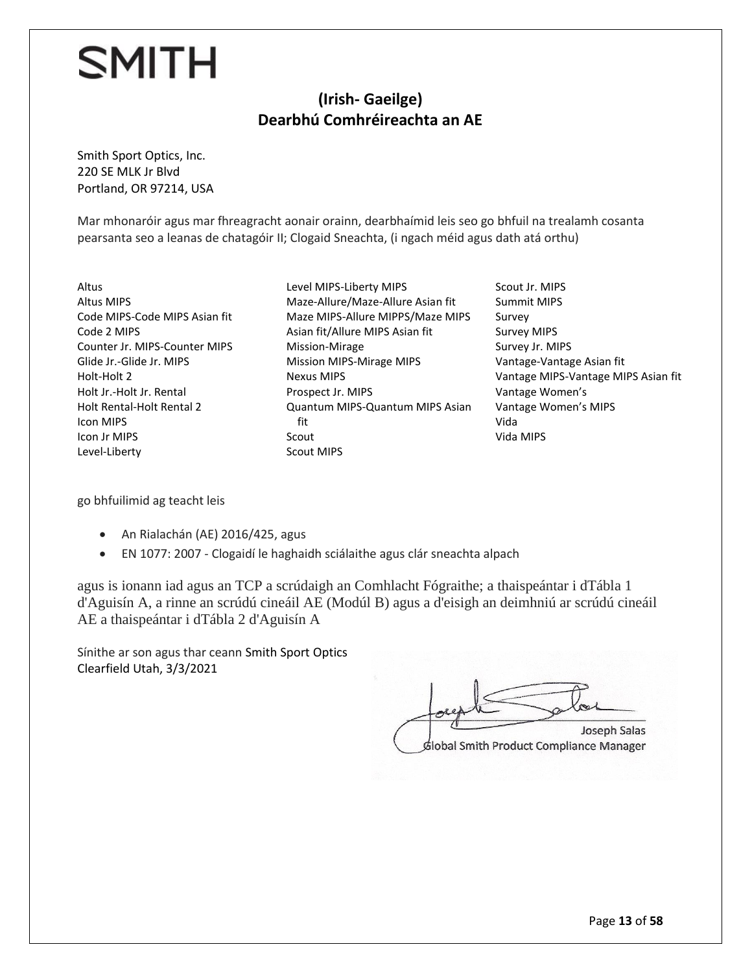#### **(Irish- Gaeilge) Dearbhú Comhréireachta an AE**

Smith Sport Optics, Inc. 220 SE MLK Jr Blvd Portland, OR 97214, USA

Mar mhonaróir agus mar fhreagracht aonair orainn, dearbhaímid leis seo go bhfuil na trealamh cosanta pearsanta seo a leanas de chatagóir II; Clogaid Sneachta, (i ngach méid agus dath atá orthu)

Altus Altus MIPS Code MIPS-Code MIPS Asian fit Code 2 MIPS Counter Jr. MIPS-Counter MIPS Glide Jr.-Glide Jr. MIPS Holt-Holt 2 Holt Jr.-Holt Jr. Rental Holt Rental-Holt Rental 2 Icon MIPS Icon Jr MIPS Level-Liberty

Level MIPS-Liberty MIPS Maze-Allure/Maze-Allure Asian fit Maze MIPS-Allure MIPPS/Maze MIPS Asian fit/Allure MIPS Asian fit Mission-Mirage Mission MIPS-Mirage MIPS Nexus MIPS Prospect Jr. MIPS Quantum MIPS-Quantum MIPS Asian fit Scout Scout MIPS

Scout Jr. MIPS Summit MIPS Survey Survey MIPS Survey Jr. MIPS Vantage-Vantage Asian fit Vantage MIPS-Vantage MIPS Asian fit Vantage Women's Vantage Women's MIPS Vida Vida MIPS

go bhfuilimid ag teacht leis

- An Rialachán (AE) 2016/425, agus
- EN 1077: 2007 Clogaidí le haghaidh sciálaithe agus clár sneachta alpach

agus is ionann iad agus an TCP a scrúdaigh an Comhlacht Fógraithe; a thaispeántar i dTábla 1 d'Aguisín A, a rinne an scrúdú cineáil AE (Modúl B) agus a d'eisigh an deimhniú ar scrúdú cineáil AE a thaispeántar i dTábla 2 d'Aguisín A

Sínithe ar son agus thar ceann Smith Sport Optics Clearfield Utah, 3/3/2021

 $\epsilon$  $\overline{\phantom{a}}$ Global Smith Product Compliance Manager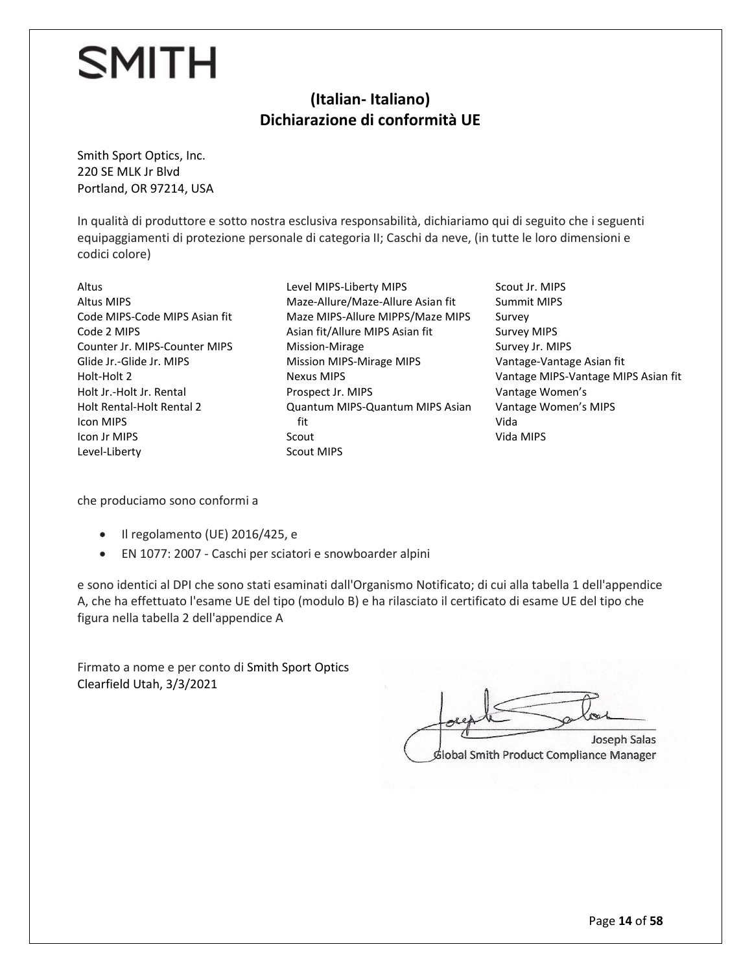#### **(Italian- Italiano) Dichiarazione di conformità UE**

Smith Sport Optics, Inc. 220 SE MLK Jr Blvd Portland, OR 97214, USA

In qualità di produttore e sotto nostra esclusiva responsabilità, dichiariamo qui di seguito che i seguenti equipaggiamenti di protezione personale di categoria II; Caschi da neve, (in tutte le loro dimensioni e codici colore)

Altus Altus MIPS Code MIPS-Code MIPS Asian fit Code 2 MIPS Counter Jr. MIPS-Counter MIPS Glide Jr.-Glide Jr. MIPS Holt-Holt 2 Holt Jr.-Holt Jr. Rental Holt Rental-Holt Rental 2 Icon MIPS Icon Jr MIPS Level-Liberty

Level MIPS-Liberty MIPS Maze-Allure/Maze-Allure Asian fit Maze MIPS-Allure MIPPS/Maze MIPS Asian fit/Allure MIPS Asian fit Mission-Mirage Mission MIPS-Mirage MIPS Nexus MIPS Prospect Jr. MIPS Quantum MIPS-Quantum MIPS Asian fit Scout Scout MIPS

Scout Jr. MIPS Summit MIPS Survey Survey MIPS Survey Jr. MIPS Vantage-Vantage Asian fit Vantage MIPS-Vantage MIPS Asian fit Vantage Women's Vantage Women's MIPS Vida Vida MIPS

che produciamo sono conformi a

- Il regolamento (UE) 2016/425, e
- EN 1077: 2007 Caschi per sciatori e snowboarder alpini

e sono identici al DPI che sono stati esaminati dall'Organismo Notificato; di cui alla tabella 1 dell'appendice A, che ha effettuato l'esame UE del tipo (modulo B) e ha rilasciato il certificato di esame UE del tipo che figura nella tabella 2 dell'appendice A

Firmato a nome e per conto di Smith Sport Optics Clearfield Utah, 3/3/2021

 $\omega$ Joseph Salas Global Smith Product Compliance Manager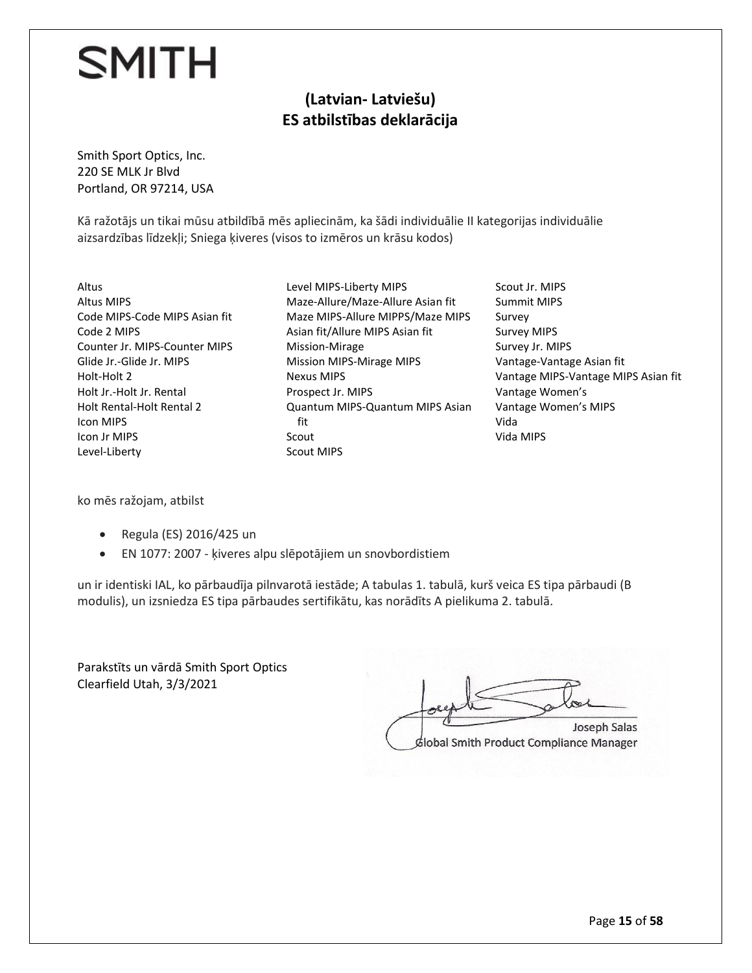#### **(Latvian- Latviešu) ES atbilstības deklarācija**

Smith Sport Optics, Inc. 220 SE MLK Jr Blvd Portland, OR 97214, USA

Kā ražotājs un tikai mūsu atbildībā mēs apliecinām, ka šādi individuālie II kategorijas individuālie aizsardzības līdzekļi; Sniega ķiveres (visos to izmēros un krāsu kodos)

Altus Altus MIPS Code MIPS-Code MIPS Asian fit Code 2 MIPS Counter Jr. MIPS-Counter MIPS Glide Jr.-Glide Jr. MIPS Holt-Holt 2 Holt Jr.-Holt Jr. Rental Holt Rental-Holt Rental 2 Icon MIPS Icon Jr MIPS Level-Liberty

- Level MIPS-Liberty MIPS Maze-Allure/Maze-Allure Asian fit Maze MIPS-Allure MIPPS/Maze MIPS Asian fit/Allure MIPS Asian fit Mission-Mirage Mission MIPS-Mirage MIPS Nexus MIPS Prospect Jr. MIPS Quantum MIPS-Quantum MIPS Asian fit Scout Scout MIPS
- Scout Jr. MIPS Summit MIPS Survey Survey MIPS Survey Jr. MIPS Vantage-Vantage Asian fit Vantage MIPS-Vantage MIPS Asian fit Vantage Women's Vantage Women's MIPS Vida Vida MIPS

ko mēs ražojam, atbilst

- Regula (ES) 2016/425 un
- EN 1077: 2007 ķiveres alpu slēpotājiem un snovbordistiem

un ir identiski IAL, ko pārbaudīja pilnvarotā iestāde; A tabulas 1. tabulā, kurš veica ES tipa pārbaudi (B modulis), un izsniedza ES tipa pārbaudes sertifikātu, kas norādīts A pielikuma 2. tabulā.

Parakstīts un vārdā Smith Sport Optics Clearfield Utah, 3/3/2021

Joseph Salas Global Smith Product Compliance Manager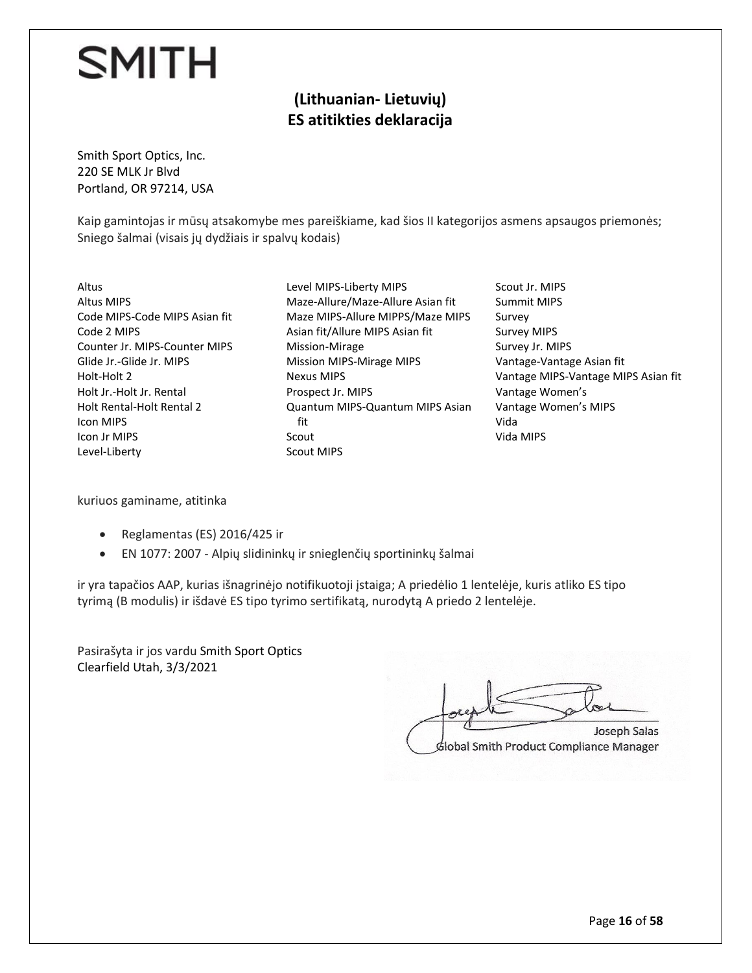#### **(Lithuanian- Lietuvių) ES atitikties deklaracija**

Smith Sport Optics, Inc. 220 SE MLK Jr Blvd Portland, OR 97214, USA

Kaip gamintojas ir mūsų atsakomybe mes pareiškiame, kad šios II kategorijos asmens apsaugos priemonės; Sniego šalmai (visais jų dydžiais ir spalvų kodais)

Altus Altus MIPS Code MIPS-Code MIPS Asian fit Code 2 MIPS Counter Jr. MIPS-Counter MIPS Glide Jr.-Glide Jr. MIPS Holt-Holt 2 Holt Jr.-Holt Jr. Rental Holt Rental-Holt Rental 2 Icon MIPS Icon Jr MIPS Level-Liberty

Level MIPS-Liberty MIPS Maze-Allure/Maze-Allure Asian fit Maze MIPS-Allure MIPPS/Maze MIPS Asian fit/Allure MIPS Asian fit Mission-Mirage Mission MIPS-Mirage MIPS Nexus MIPS Prospect Jr. MIPS Quantum MIPS-Quantum MIPS Asian fit Scout Scout MIPS

Scout Jr. MIPS Summit MIPS Survey Survey MIPS Survey Jr. MIPS Vantage-Vantage Asian fit Vantage MIPS-Vantage MIPS Asian fit Vantage Women's Vantage Women's MIPS Vida Vida MIPS

kuriuos gaminame, atitinka

- Reglamentas (ES) 2016/425 ir
- EN 1077: 2007 Alpių slidininkų ir snieglenčių sportininkų šalmai

ir yra tapačios AAP, kurias išnagrinėjo notifikuotoji įstaiga; A priedėlio 1 lentelėje, kuris atliko ES tipo tyrimą (B modulis) ir išdavė ES tipo tyrimo sertifikatą, nurodytą A priedo 2 lentelėje.

Pasirašyta ir jos vardu Smith Sport Optics Clearfield Utah, 3/3/2021

 $J_{cond}$  $G$ Global Smith Product Compliance Manager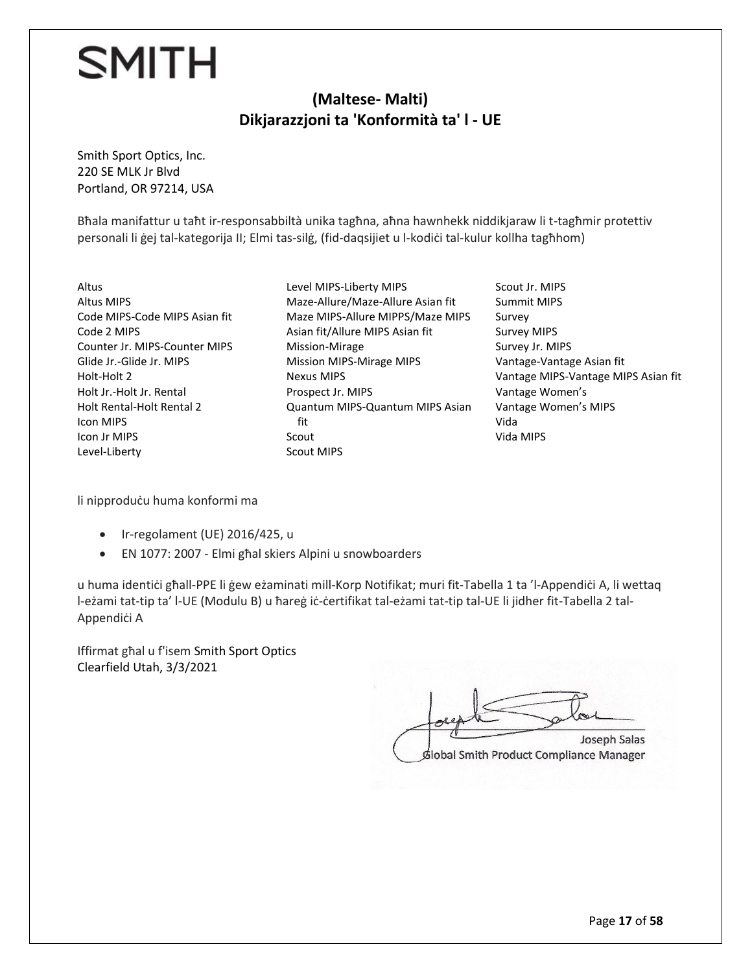#### **(Maltese- Malti) Dikjarazzjoni ta 'Konformità ta' l - UE**

Smith Sport Optics, Inc. 220 SE MLK Jr Blvd Portland, OR 97214, USA

Bħala manifattur u taħt ir-responsabbiltà unika tagħna, aħna hawnhekk niddikjaraw li t-tagħmir protettiv personali li ġej tal-kategorija II; Elmi tas-silġ, (fid-daqsijiet u l-kodiċi tal-kulur kollha tagħhom)

Altus Altus MIPS Code MIPS-Code MIPS Asian fit Code 2 MIPS Counter Jr. MIPS-Counter MIPS Glide Jr.-Glide Jr. MIPS Holt-Holt 2 Holt Jr.-Holt Jr. Rental Holt Rental-Holt Rental 2 Icon MIPS Icon Jr MIPS Level-Liberty

Level MIPS-Liberty MIPS Maze-Allure/Maze-Allure Asian fit Maze MIPS-Allure MIPPS/Maze MIPS Asian fit/Allure MIPS Asian fit Mission-Mirage Mission MIPS-Mirage MIPS Nexus MIPS Prospect Jr. MIPS Quantum MIPS-Quantum MIPS Asian fit Scout Scout MIPS

Scout Jr. MIPS Summit MIPS Survey Survey MIPS Survey Jr. MIPS Vantage-Vantage Asian fit Vantage MIPS-Vantage MIPS Asian fit Vantage Women's Vantage Women's MIPS Vida Vida MIPS

li nipproduċu huma konformi ma

- Ir-regolament (UE) 2016/425, u
- EN 1077: 2007 Elmi għal skiers Alpini u snowboarders

u huma identiċi għall-PPE li ġew eżaminati mill-Korp Notifikat; muri fit-Tabella 1 ta 'l-Appendiċi A, li wettaq l-eżami tat-tip ta' l-UE (Modulu B) u ħareġ iċ-ċertifikat tal-eżami tat-tip tal-UE li jidher fit-Tabella 2 tal-Appendiċi A

Iffirmat għal u f'isem Smith Sport Optics Clearfield Utah, 3/3/2021

Joseph Salas  $G$ Joseph Salas Global Smith Product Compliance Manager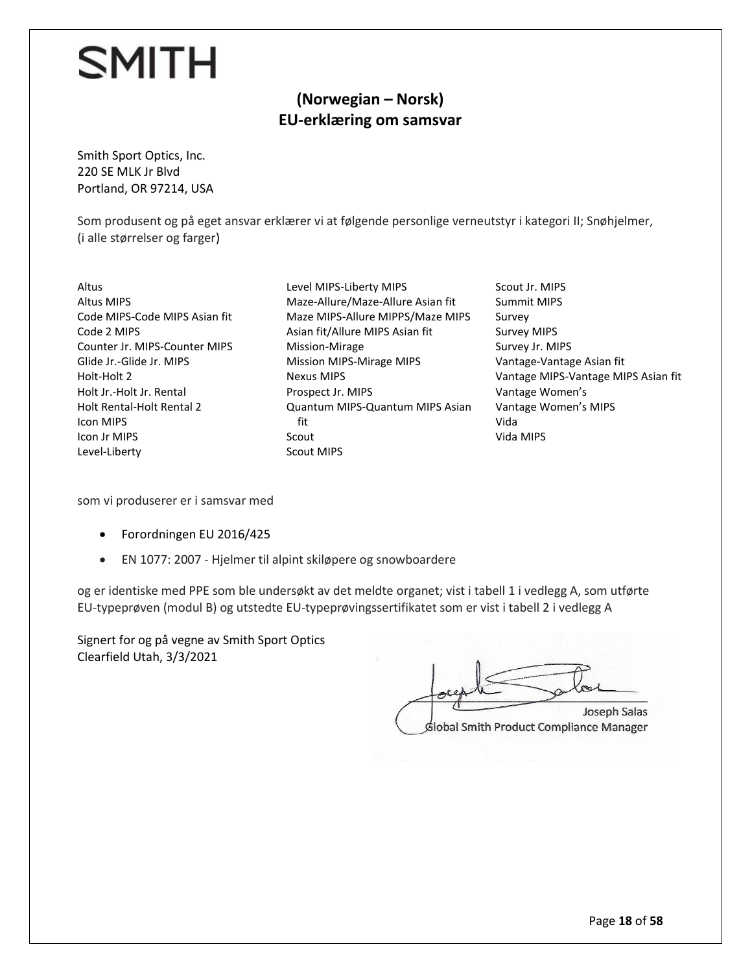#### **(Norwegian – Norsk) EU-erklæring om samsvar**

Smith Sport Optics, Inc. 220 SE MLK Jr Blvd Portland, OR 97214, USA

Som produsent og på eget ansvar erklærer vi at følgende personlige verneutstyr i kategori II; Snøhjelmer, (i alle størrelser og farger)

- Altus Altus MIPS Code MIPS-Code MIPS Asian fit Code 2 MIPS Counter Jr. MIPS-Counter MIPS Glide Jr.-Glide Jr. MIPS Holt-Holt 2 Holt Jr.-Holt Jr. Rental Holt Rental-Holt Rental 2 Icon MIPS Icon Jr MIPS Level-Liberty
- Level MIPS-Liberty MIPS Maze-Allure/Maze-Allure Asian fit Maze MIPS-Allure MIPPS/Maze MIPS Asian fit/Allure MIPS Asian fit Mission-Mirage Mission MIPS-Mirage MIPS Nexus MIPS Prospect Jr. MIPS Quantum MIPS-Quantum MIPS Asian fit Scout Scout MIPS
- Scout Jr. MIPS Summit MIPS Survey Survey MIPS Survey Jr. MIPS Vantage-Vantage Asian fit Vantage MIPS-Vantage MIPS Asian fit Vantage Women's Vantage Women's MIPS Vida Vida MIPS

som vi produserer er i samsvar med

- Forordningen EU 2016/425
- EN 1077: 2007 Hjelmer til alpint skiløpere og snowboardere

og er identiske med PPE som ble undersøkt av det meldte organet; vist i tabell 1 i vedlegg A, som utførte EU-typeprøven (modul B) og utstedte EU-typeprøvingssertifikatet som er vist i tabell 2 i vedlegg A

Signert for og på vegne av Smith Sport Optics Clearfield Utah, 3/3/2021

 $96$ Joseph Salas

Global Smith Product Compliance Manager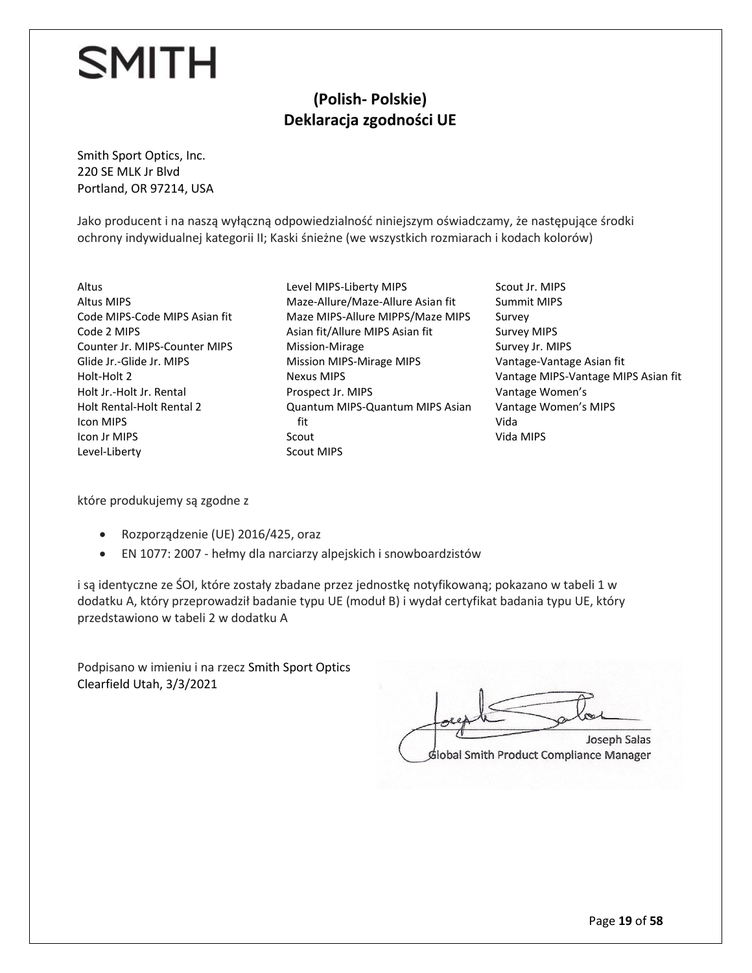#### **(Polish- Polskie) Deklaracja zgodności UE**

Smith Sport Optics, Inc. 220 SE MLK Jr Blvd Portland, OR 97214, USA

Jako producent i na naszą wyłączną odpowiedzialność niniejszym oświadczamy, że następujące środki ochrony indywidualnej kategorii II; Kaski śnieżne (we wszystkich rozmiarach i kodach kolorów)

- Altus Altus MIPS Code MIPS-Code MIPS Asian fit Code 2 MIPS Counter Jr. MIPS-Counter MIPS Glide Jr.-Glide Jr. MIPS Holt-Holt 2 Holt Jr.-Holt Jr. Rental Holt Rental-Holt Rental 2 Icon MIPS Icon Jr MIPS Level-Liberty
- Level MIPS-Liberty MIPS Maze-Allure/Maze-Allure Asian fit Maze MIPS-Allure MIPPS/Maze MIPS Asian fit/Allure MIPS Asian fit Mission-Mirage Mission MIPS-Mirage MIPS Nexus MIPS Prospect Jr. MIPS Quantum MIPS-Quantum MIPS Asian fit Scout Scout MIPS
- Scout Jr. MIPS Summit MIPS Survey Survey MIPS Survey Jr. MIPS Vantage-Vantage Asian fit Vantage MIPS-Vantage MIPS Asian fit Vantage Women's Vantage Women's MIPS Vida Vida MIPS

które produkujemy są zgodne z

- Rozporządzenie (UE) 2016/425, oraz
- EN 1077: 2007 hełmy dla narciarzy alpejskich i snowboardzistów

i są identyczne ze ŚOI, które zostały zbadane przez jednostkę notyfikowaną; pokazano w tabeli 1 w dodatku A, który przeprowadził badanie typu UE (moduł B) i wydał certyfikat badania typu UE, który przedstawiono w tabeli 2 w dodatku A

Podpisano w imieniu i na rzecz Smith Sport Optics Clearfield Utah, 3/3/2021

 $\circ$ Joseph Salas Global Smith Product Compliance Manager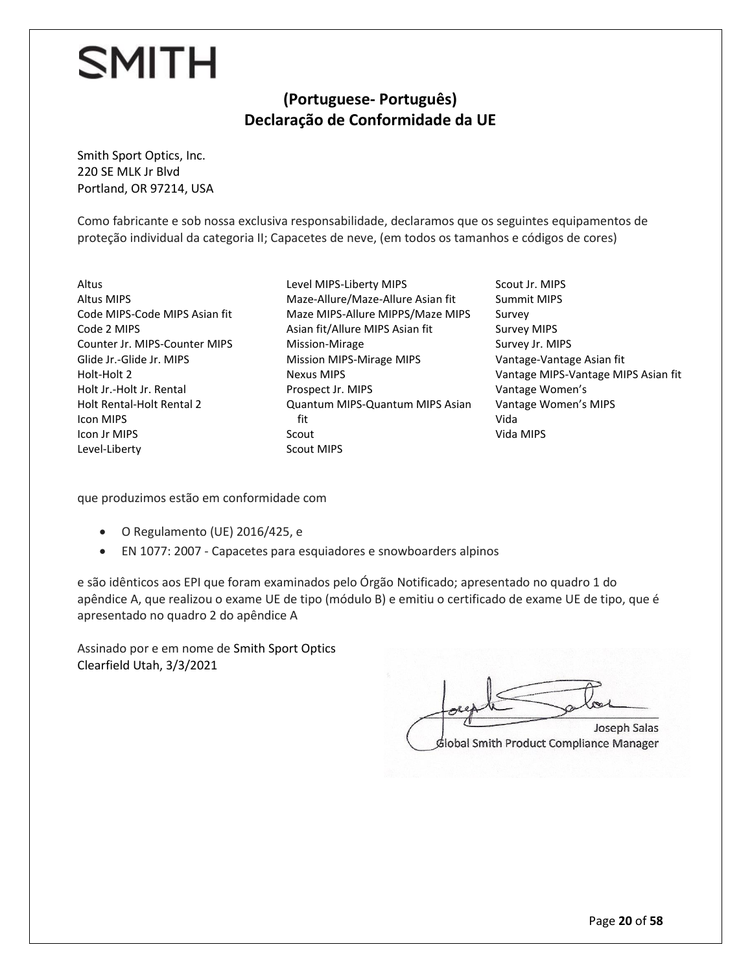#### **(Portuguese- Português) Declaração de Conformidade da UE**

Smith Sport Optics, Inc. 220 SE MLK Jr Blvd Portland, OR 97214, USA

Como fabricante e sob nossa exclusiva responsabilidade, declaramos que os seguintes equipamentos de proteção individual da categoria II; Capacetes de neve, (em todos os tamanhos e códigos de cores)

- Altus Altus MIPS Code MIPS-Code MIPS Asian fit Code 2 MIPS Counter Jr. MIPS-Counter MIPS Glide Jr.-Glide Jr. MIPS Holt-Holt 2 Holt Jr.-Holt Jr. Rental Holt Rental-Holt Rental 2 Icon MIPS Icon Jr MIPS Level-Liberty
- Level MIPS-Liberty MIPS Maze-Allure/Maze-Allure Asian fit Maze MIPS-Allure MIPPS/Maze MIPS Asian fit/Allure MIPS Asian fit Mission-Mirage Mission MIPS-Mirage MIPS Nexus MIPS Prospect Jr. MIPS Quantum MIPS-Quantum MIPS Asian fit Scout Scout MIPS
- Scout Jr. MIPS Summit MIPS Survey Survey MIPS Survey Jr. MIPS Vantage-Vantage Asian fit Vantage MIPS-Vantage MIPS Asian fit Vantage Women's Vantage Women's MIPS Vida Vida MIPS

que produzimos estão em conformidade com

- O Regulamento (UE) 2016/425, e
- EN 1077: 2007 Capacetes para esquiadores e snowboarders alpinos

e são idênticos aos EPI que foram examinados pelo Órgão Notificado; apresentado no quadro 1 do apêndice A, que realizou o exame UE de tipo (módulo B) e emitiu o certificado de exame UE de tipo, que é apresentado no quadro 2 do apêndice A

Assinado por e em nome de Smith Sport Optics Clearfield Utah, 3/3/2021

 $V_{\text{end}}$  $G$ Global Smith Product Compliance Manager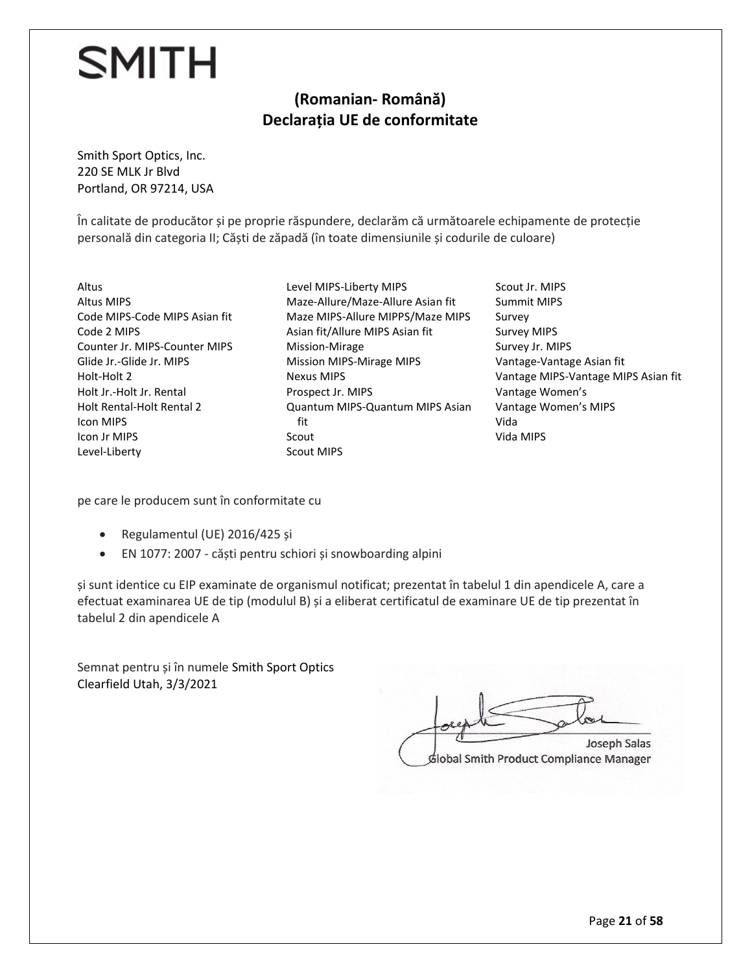#### **(Romanian- Română) Declarația UE de conformitate**

Smith Sport Optics, Inc. 220 SE MLK Jr Blvd Portland, OR 97214, USA

În calitate de producător și pe proprie răspundere, declarăm că următoarele echipamente de protecție personală din categoria II; Căști de zăpadă (în toate dimensiunile și codurile de culoare)

Altus Altus MIPS Code MIPS-Code MIPS Asian fit Code 2 MIPS Counter Jr. MIPS-Counter MIPS Glide Jr.-Glide Jr. MIPS Holt-Holt 2 Holt Jr.-Holt Jr. Rental Holt Rental-Holt Rental 2 Icon MIPS Icon Jr MIPS Level-Liberty

Level MIPS-Liberty MIPS Maze-Allure/Maze-Allure Asian fit Maze MIPS-Allure MIPPS/Maze MIPS Asian fit/Allure MIPS Asian fit Mission-Mirage Mission MIPS-Mirage MIPS Nexus MIPS Prospect Jr. MIPS Quantum MIPS-Quantum MIPS Asian fit Scout Scout MIPS

Scout Jr. MIPS Summit MIPS Survey Survey MIPS Survey Jr. MIPS Vantage-Vantage Asian fit Vantage MIPS-Vantage MIPS Asian fit Vantage Women's Vantage Women's MIPS Vida Vida MIPS

pe care le producem sunt în conformitate cu

- Regulamentul (UE) 2016/425 și
- EN 1077: 2007 căști pentru schiori și snowboarding alpini

și sunt identice cu EIP examinate de organismul notificat; prezentat în tabelul 1 din apendicele A, care a efectuat examinarea UE de tip (modulul B) și a eliberat certificatul de examinare UE de tip prezentat în tabelul 2 din apendicele A

Semnat pentru și în numele Smith Sport Optics Clearfield Utah, 3/3/2021

 $ol$ Joseph Salas Global Smith Product Compliance Manager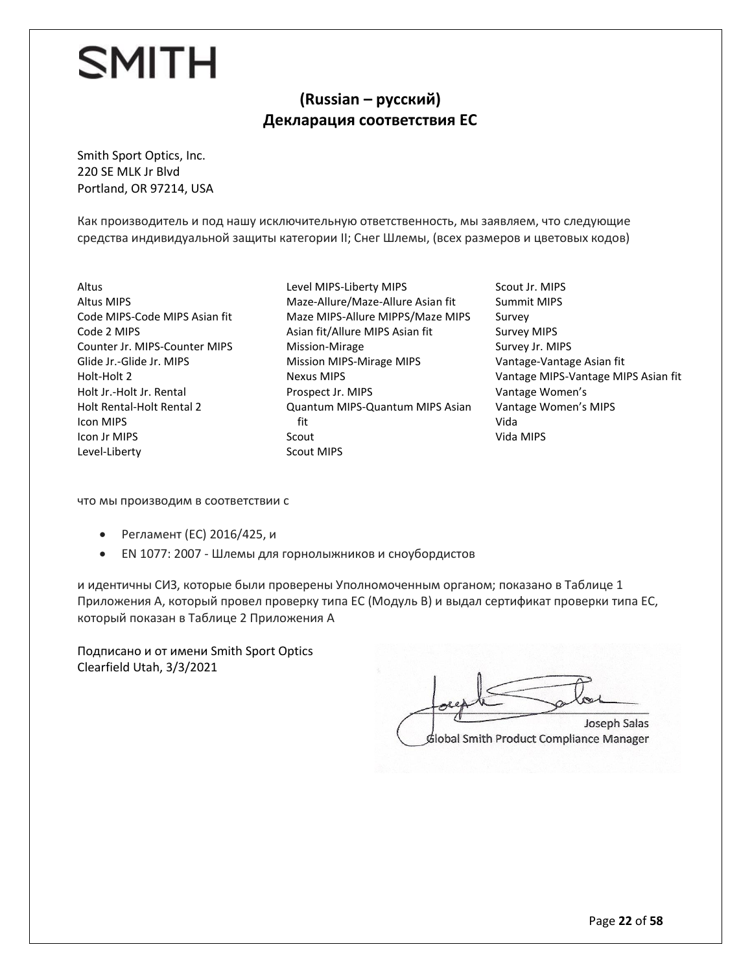#### **(Russian – русский) Декларация соответствия ЕС**

Smith Sport Optics, Inc. 220 SE MLK Jr Blvd Portland, OR 97214, USA

Как производитель и под нашу исключительную ответственность, мы заявляем, что следующие средства индивидуальной защиты категории II; Снег Шлемы, (всех размеров и цветовых кодов)

- Altus Altus MIPS Code MIPS-Code MIPS Asian fit Code 2 MIPS Counter Jr. MIPS-Counter MIPS Glide Jr.-Glide Jr. MIPS Holt-Holt 2 Holt Jr.-Holt Jr. Rental Holt Rental-Holt Rental 2 Icon MIPS Icon Jr MIPS Level-Liberty
- Level MIPS-Liberty MIPS Maze-Allure/Maze-Allure Asian fit Maze MIPS-Allure MIPPS/Maze MIPS Asian fit/Allure MIPS Asian fit Mission-Mirage Mission MIPS-Mirage MIPS Nexus MIPS Prospect Jr. MIPS Quantum MIPS-Quantum MIPS Asian fit Scout Scout MIPS
- Scout Jr. MIPS Summit MIPS Survey Survey MIPS Survey Jr. MIPS Vantage-Vantage Asian fit Vantage MIPS-Vantage MIPS Asian fit Vantage Women's Vantage Women's MIPS Vida Vida MIPS

что мы производим в соответствии с

- Регламент (ЕС) 2016/425, и
- EN 1077: 2007 Шлемы для горнолыжников и сноубордистов

и идентичны СИЗ, которые были проверены Уполномоченным органом; показано в Таблице 1 Приложения А, который провел проверку типа ЕС (Модуль В) и выдал сертификат проверки типа ЕС, который показан в Таблице 2 Приложения А

Подписано и от имени Smith Sport Optics Clearfield Utah, 3/3/2021

 $\alpha$ Joseph Salas Global Smith Product Compliance Manager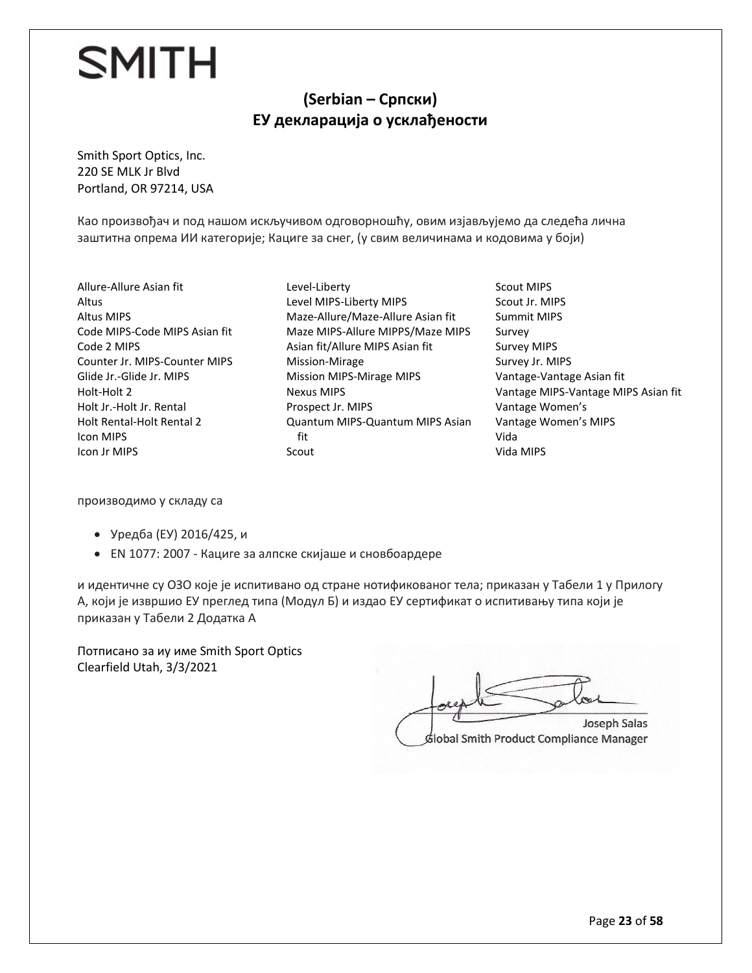#### **(Serbian – Српски) ЕУ декларација о усклађености**

Smith Sport Optics, Inc. 220 SE MLK Jr Blvd Portland, OR 97214, USA

Као произвођач и под нашом искључивом одговорношћу, овим изјављујемо да следећа лична заштитна опрема ИИ категорије; Кациге за снег, (у свим величинама и кодовима у боји)

- Allure-Allure Asian fit Altus Altus MIPS Code MIPS-Code MIPS Asian fit Code 2 MIPS Counter Jr. MIPS-Counter MIPS Glide Jr.-Glide Jr. MIPS Holt-Holt 2 Holt Jr.-Holt Jr. Rental Holt Rental-Holt Rental 2 Icon MIPS Icon Jr MIPS
- Level-Liberty Level MIPS-Liberty MIPS Maze-Allure/Maze-Allure Asian fit Maze MIPS-Allure MIPPS/Maze MIPS Asian fit/Allure MIPS Asian fit Mission-Mirage Mission MIPS-Mirage MIPS Nexus MIPS Prospect Jr. MIPS Quantum MIPS-Quantum MIPS Asian fit Scout
- Scout MIPS Scout Jr. MIPS Summit MIPS Survey Survey MIPS Survey Jr. MIPS Vantage-Vantage Asian fit Vantage MIPS-Vantage MIPS Asian fit Vantage Women's Vantage Women's MIPS Vida Vida MIPS

производимо у складу са

- Уредба (ЕУ) 2016/425, и
- ЕN 1077: 2007 Кациге за алпске скијаше и сновбоардере

и идентичне су ОЗО које је испитивано од стране нотификованог тела; приказан у Табели 1 у Прилогу А, који је извршио ЕУ преглед типа (Модул Б) и издао ЕУ сертификат о испитивању типа који је приказан у Табели 2 Додатка А

Потписано за иу име Smith Sport Optics Clearfield Utah, 3/3/2021

 $\iota$ Joseph Salas Global Smith Product Compliance Manager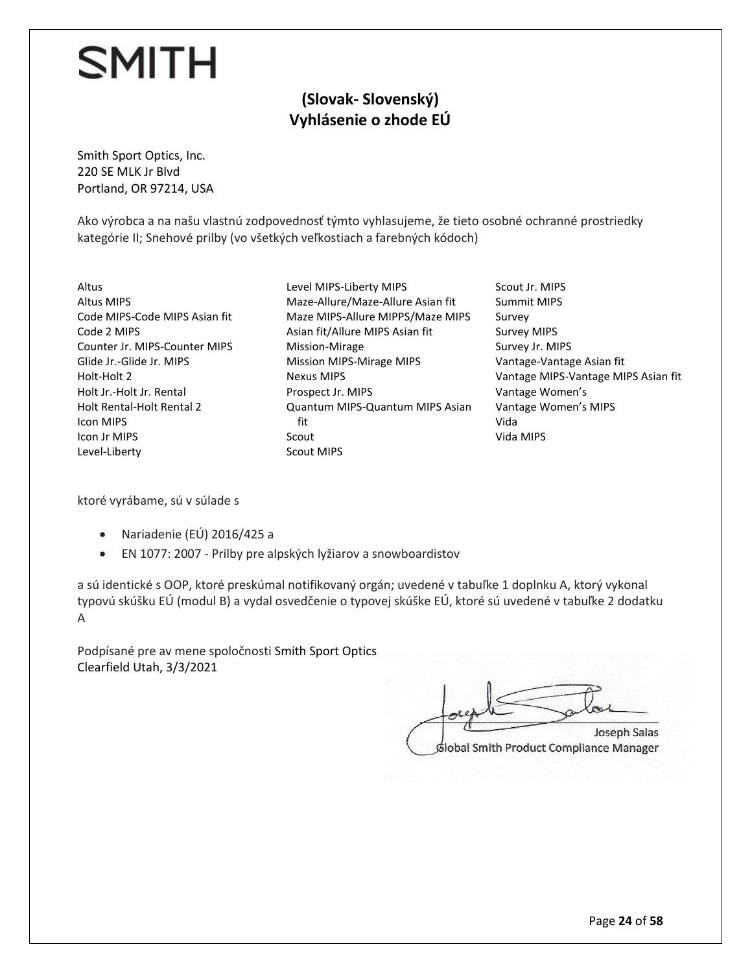#### **(Slovak- Slovenský) Vyhlásenie o zhode EÚ**

Smith Sport Optics, Inc. 220 SE MLK Jr Blvd Portland, OR 97214, USA

Ako výrobca a na našu vlastnú zodpovednosť týmto vyhlasujeme, že tieto osobné ochranné prostriedky kategórie II; Snehové prilby (vo všetkých veľkostiach a farebných kódoch)

- Altus Altus MIPS Code MIPS-Code MIPS Asian fit Code 2 MIPS Counter Jr. MIPS-Counter MIPS Glide Jr.-Glide Jr. MIPS Holt-Holt 2 Holt Jr.-Holt Jr. Rental Holt Rental-Holt Rental 2 Icon MIPS Icon Jr MIPS Level-Liberty
- Level MIPS-Liberty MIPS Maze-Allure/Maze-Allure Asian fit Maze MIPS-Allure MIPPS/Maze MIPS Asian fit/Allure MIPS Asian fit Mission-Mirage Mission MIPS-Mirage MIPS Nexus MIPS Prospect Jr. MIPS Quantum MIPS-Quantum MIPS Asian fit Scout Scout MIPS
- Scout Jr. MIPS Summit MIPS Survey Survey MIPS Survey Jr. MIPS Vantage-Vantage Asian fit Vantage MIPS-Vantage MIPS Asian fit Vantage Women's Vantage Women's MIPS Vida Vida MIPS

ktoré vyrábame, sú v súlade s

- Nariadenie (EÚ) 2016/425 a
- EN 1077: 2007 Prilby pre alpských lyžiarov a snowboardistov

a sú identické s OOP, ktoré preskúmal notifikovaný orgán; uvedené v tabuľke 1 doplnku A, ktorý vykonal typovú skúšku EÚ (modul B) a vydal osvedčenie o typovej skúške EÚ, ktoré sú uvedené v tabuľke 2 dodatku A

Podpísané pre av mene spoločnosti Smith Sport Optics Clearfield Utah, 3/3/2021

 $\bigcup_{\infty}$  $G$ **Joseph Salas** 

Global Smith Product Compliance Manager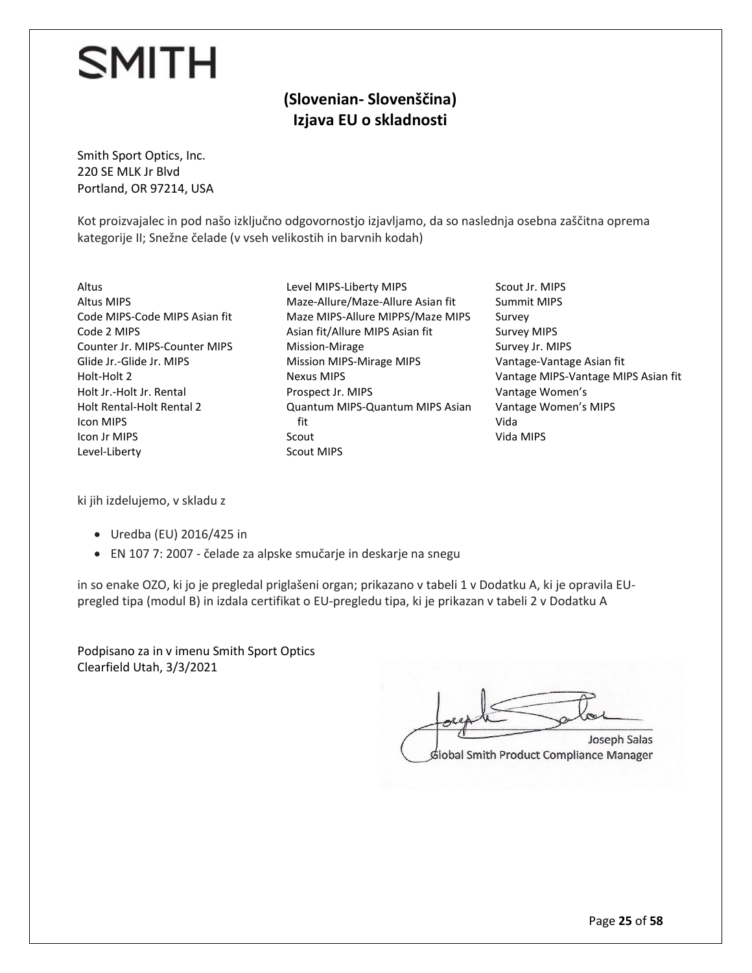#### **(Slovenian- Slovenščina) Izjava EU o skladnosti**

Smith Sport Optics, Inc. 220 SE MLK Jr Blvd Portland, OR 97214, USA

Kot proizvajalec in pod našo izključno odgovornostjo izjavljamo, da so naslednja osebna zaščitna oprema kategorije II; Snežne čelade (v vseh velikostih in barvnih kodah)

- Altus Altus MIPS Code MIPS-Code MIPS Asian fit Code 2 MIPS Counter Jr. MIPS-Counter MIPS Glide Jr.-Glide Jr. MIPS Holt-Holt 2 Holt Jr.-Holt Jr. Rental Holt Rental-Holt Rental 2 Icon MIPS Icon Jr MIPS Level-Liberty
- Level MIPS-Liberty MIPS Maze-Allure/Maze-Allure Asian fit Maze MIPS-Allure MIPPS/Maze MIPS Asian fit/Allure MIPS Asian fit Mission-Mirage Mission MIPS-Mirage MIPS Nexus MIPS Prospect Jr. MIPS Quantum MIPS-Quantum MIPS Asian fit Scout Scout MIPS
- Scout Jr. MIPS Summit MIPS Survey Survey MIPS Survey Jr. MIPS Vantage-Vantage Asian fit Vantage MIPS-Vantage MIPS Asian fit Vantage Women's Vantage Women's MIPS Vida Vida MIPS

ki jih izdelujemo, v skladu z

- Uredba (EU) 2016/425 in
- EN 107 7: 2007 čelade za alpske smučarje in deskarje na snegu

in so enake OZO, ki jo je pregledal priglašeni organ; prikazano v tabeli 1 v Dodatku A, ki je opravila EUpregled tipa (modul B) in izdala certifikat o EU-pregledu tipa, ki je prikazan v tabeli 2 v Dodatku A

Podpisano za in v imenu Smith Sport Optics Clearfield Utah, 3/3/2021

 $\mathcal{F}$  Salas Salas Salas Salas Salas Salas Salas Salas Salas Salas Salas Salas Salas Sala Lockethe plate **Joseph Salas** Global Smith Product Compliance Manager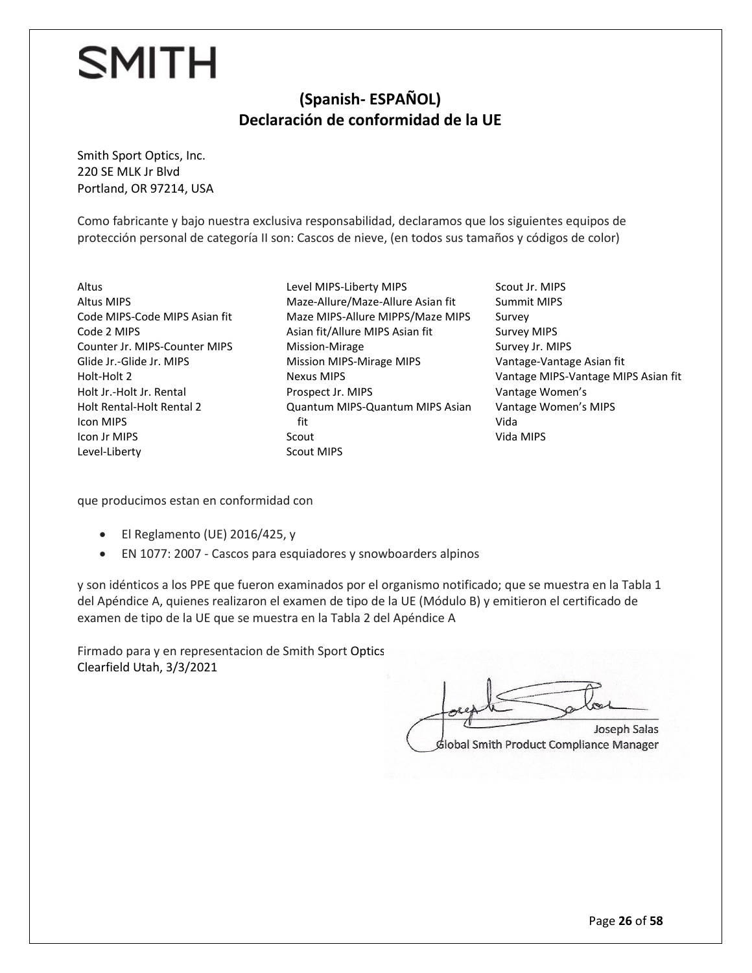#### **(Spanish- ESPAÑOL) Declaración de conformidad de la UE**

Smith Sport Optics, Inc. 220 SE MLK Jr Blvd Portland, OR 97214, USA

Como fabricante y bajo nuestra exclusiva responsabilidad, declaramos que los siguientes equipos de protección personal de categoría II son: Cascos de nieve, (en todos sus tamaños y códigos de color)

- Altus Altus MIPS Code MIPS-Code MIPS Asian fit Code 2 MIPS Counter Jr. MIPS-Counter MIPS Glide Jr.-Glide Jr. MIPS Holt-Holt 2 Holt Jr.-Holt Jr. Rental Holt Rental-Holt Rental 2 Icon MIPS Icon Jr MIPS Level-Liberty
- Level MIPS-Liberty MIPS Maze-Allure/Maze-Allure Asian fit Maze MIPS-Allure MIPPS/Maze MIPS Asian fit/Allure MIPS Asian fit Mission-Mirage Mission MIPS-Mirage MIPS Nexus MIPS Prospect Jr. MIPS Quantum MIPS-Quantum MIPS Asian fit Scout Scout MIPS
- Scout Jr. MIPS Summit MIPS Survey Survey MIPS Survey Jr. MIPS Vantage-Vantage Asian fit Vantage MIPS-Vantage MIPS Asian fit Vantage Women's Vantage Women's MIPS Vida Vida MIPS

que producimos estan en conformidad con

- El Reglamento (UE) 2016/425, y
- EN 1077: 2007 Cascos para esquiadores y snowboarders alpinos

y son idénticos a los PPE que fueron examinados por el organismo notificado; que se muestra en la Tabla 1 del Apéndice A, quienes realizaron el examen de tipo de la UE (Módulo B) y emitieron el certificado de examen de tipo de la UE que se muestra en la Tabla 2 del Apéndice A

Firmado para y en representacion de Smith Sport Optics Clearfield Utah, 3/3/2021

 $V_{\text{out}}$  $\sqrt{\frac{Gm}{n}}$ 

dlobal Smith Product Compliance Manager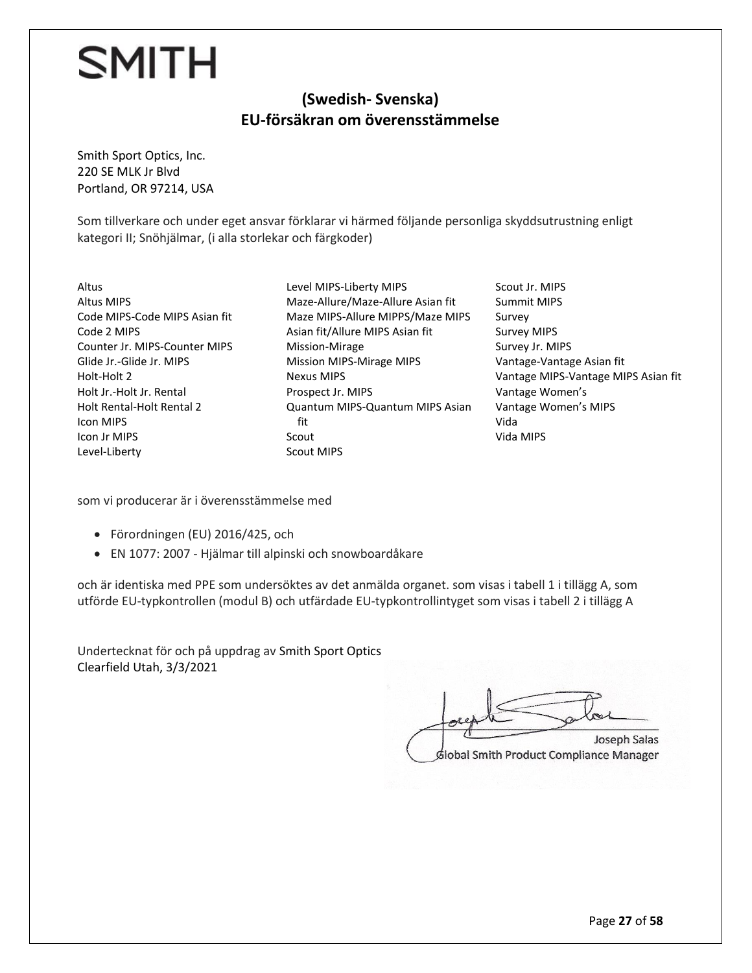#### **(Swedish- Svenska) EU-försäkran om överensstämmelse**

Smith Sport Optics, Inc. 220 SE MLK Jr Blvd Portland, OR 97214, USA

Som tillverkare och under eget ansvar förklarar vi härmed följande personliga skyddsutrustning enligt kategori II; Snöhjälmar, (i alla storlekar och färgkoder)

Altus Altus MIPS Code MIPS-Code MIPS Asian fit Code 2 MIPS Counter Jr. MIPS-Counter MIPS Glide Jr.-Glide Jr. MIPS Holt-Holt 2 Holt Jr.-Holt Jr. Rental Holt Rental-Holt Rental 2 Icon MIPS Icon Jr MIPS Level-Liberty

Level MIPS-Liberty MIPS Maze-Allure/Maze-Allure Asian fit Maze MIPS-Allure MIPPS/Maze MIPS Asian fit/Allure MIPS Asian fit Mission-Mirage Mission MIPS-Mirage MIPS Nexus MIPS Prospect Jr. MIPS Quantum MIPS-Quantum MIPS Asian fit Scout Scout MIPS

Scout Jr. MIPS Summit MIPS Survey Survey MIPS Survey Jr. MIPS Vantage-Vantage Asian fit Vantage MIPS-Vantage MIPS Asian fit Vantage Women's Vantage Women's MIPS Vida Vida MIPS

som vi producerar är i överensstämmelse med

- Förordningen (EU) 2016/425, och
- EN 1077: 2007 Hjälmar till alpinski och snowboardåkare

och är identiska med PPE som undersöktes av det anmälda organet. som visas i tabell 1 i tillägg A, som utförde EU-typkontrollen (modul B) och utfärdade EU-typkontrollintyget som visas i tabell 2 i tillägg A

Undertecknat för och på uppdrag av Smith Sport Optics Clearfield Utah, 3/3/2021

 $\bigcap$ Lorepte plate Joseph Salas Global Smith Product Compliance Manager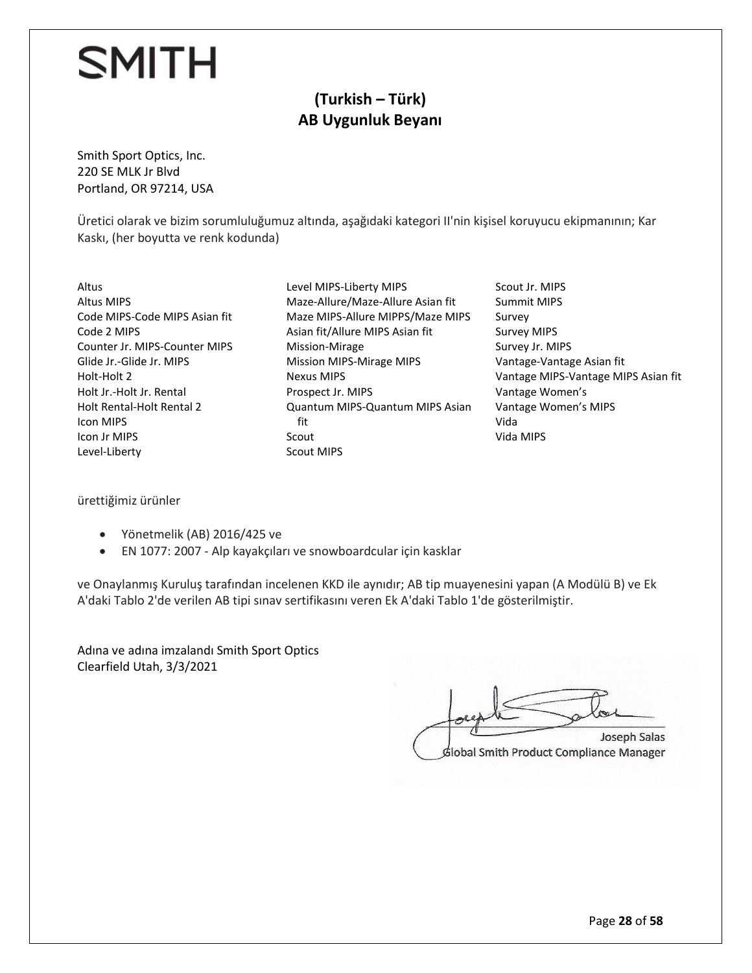#### **(Turkish – Türk) AB Uygunluk Beyanı**

Smith Sport Optics, Inc. 220 SE MLK Jr Blvd Portland, OR 97214, USA

Üretici olarak ve bizim sorumluluğumuz altında, aşağıdaki kategori II'nin kişisel koruyucu ekipmanının; Kar Kaskı, (her boyutta ve renk kodunda)

- Altus Altus MIPS Code MIPS-Code MIPS Asian fit Code 2 MIPS Counter Jr. MIPS-Counter MIPS Glide Jr.-Glide Jr. MIPS Holt-Holt 2 Holt Jr.-Holt Jr. Rental Holt Rental-Holt Rental 2 Icon MIPS Icon Jr MIPS Level-Liberty
- Level MIPS-Liberty MIPS Maze-Allure/Maze-Allure Asian fit Maze MIPS-Allure MIPPS/Maze MIPS Asian fit/Allure MIPS Asian fit Mission-Mirage Mission MIPS-Mirage MIPS Nexus MIPS Prospect Jr. MIPS Quantum MIPS-Quantum MIPS Asian fit Scout Scout MIPS
- Scout Jr. MIPS Summit MIPS Survey Survey MIPS Survey Jr. MIPS Vantage-Vantage Asian fit Vantage MIPS-Vantage MIPS Asian fit Vantage Women's Vantage Women's MIPS Vida Vida MIPS

ürettiğimiz ürünler

- Yönetmelik (AB) 2016/425 ve
- EN 1077: 2007 Alp kayakçıları ve snowboardcular için kasklar

ve Onaylanmış Kuruluş tarafından incelenen KKD ile aynıdır; AB tip muayenesini yapan (A Modülü B) ve Ek A'daki Tablo 2'de verilen AB tipi sınav sertifikasını veren Ek A'daki Tablo 1'de gösterilmiştir.

Adına ve adına imzalandı Smith Sport Optics Clearfield Utah, 3/3/2021

 $\pi$  $f_{\text{cell}}$  substitute Joseph Salas Global Smith Product Compliance Manager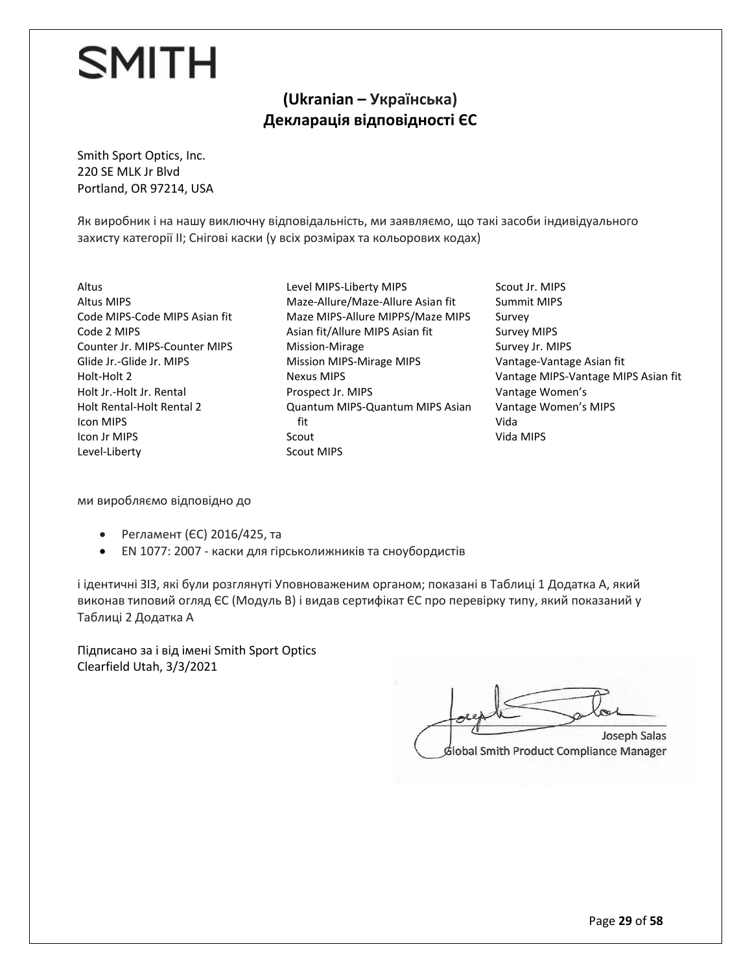#### **(Ukranian – Українська) Декларація відповідності ЄС**

Smith Sport Optics, Inc. 220 SE MLK Jr Blvd Portland, OR 97214, USA

Як виробник і на нашу виключну відповідальність, ми заявляємо, що такі засоби індивідуального захисту категорії II; Снігові каски (у всіх розмірах та кольорових кодах)

Altus Altus MIPS Code MIPS-Code MIPS Asian fit Code 2 MIPS Counter Jr. MIPS-Counter MIPS Glide Jr.-Glide Jr. MIPS Holt-Holt 2 Holt Jr.-Holt Jr. Rental Holt Rental-Holt Rental 2 Icon MIPS Icon Jr MIPS Level-Liberty

Level MIPS-Liberty MIPS Maze-Allure/Maze-Allure Asian fit Maze MIPS-Allure MIPPS/Maze MIPS Asian fit/Allure MIPS Asian fit Mission-Mirage Mission MIPS-Mirage MIPS Nexus MIPS Prospect Jr. MIPS Quantum MIPS-Quantum MIPS Asian fit Scout Scout MIPS

Scout Jr. MIPS Summit MIPS Survey Survey MIPS Survey Jr. MIPS Vantage-Vantage Asian fit Vantage MIPS-Vantage MIPS Asian fit Vantage Women's Vantage Women's MIPS Vida Vida MIPS

ми виробляємо відповідно до

- Регламент (ЄС) 2016/425, та
- EN 1077: 2007 каски для гірськолижників та сноубордистів

і ідентичні ЗІЗ, які були розглянуті Уповноваженим органом; показані в Таблиці 1 Додатка А, який виконав типовий огляд ЄС (Модуль В) і видав сертифікат ЄС про перевірку типу, який показаний у Таблиці 2 Додатка А

Підписано за і від імені Smith Sport Optics Clearfield Utah, 3/3/2021

 $\overline{U}$  $G$ **Joseph Salas** 

Slobal Smith Product Compliance Manager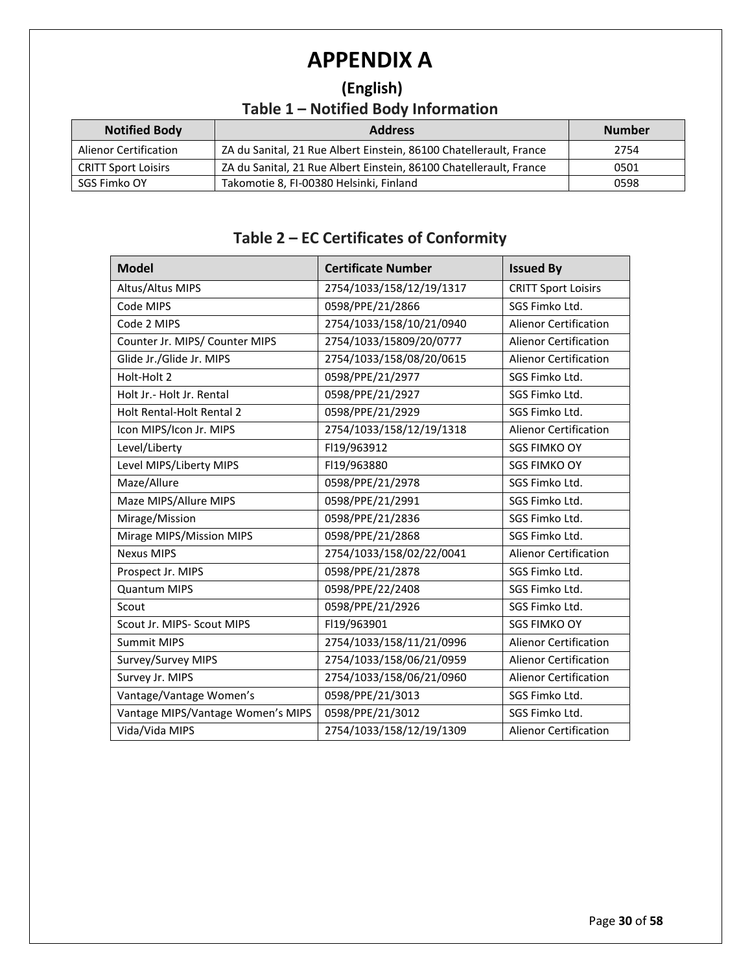## **APPENDIX A**

### **(English) Table 1 – Notified Body Information**

| <b>Notified Body</b>         | <b>Address</b>                                                     | <b>Number</b> |
|------------------------------|--------------------------------------------------------------------|---------------|
| <b>Alienor Certification</b> | ZA du Sanital, 21 Rue Albert Einstein, 86100 Chatellerault, France | 2754          |
| <b>CRITT Sport Loisirs</b>   | ZA du Sanital, 21 Rue Albert Einstein, 86100 Chatellerault, France | 0501          |
| SGS Fimko OY                 | Takomotie 8, FI-00380 Helsinki, Finland                            | 0598          |

#### **Table 2 – EC Certificates of Conformity**

| <b>Model</b>                      | <b>Certificate Number</b> | <b>Issued By</b>             |
|-----------------------------------|---------------------------|------------------------------|
| Altus/Altus MIPS                  | 2754/1033/158/12/19/1317  | <b>CRITT Sport Loisirs</b>   |
| Code MIPS                         | 0598/PPE/21/2866          | SGS Fimko Ltd.               |
| Code 2 MIPS                       | 2754/1033/158/10/21/0940  | <b>Alienor Certification</b> |
| Counter Jr. MIPS/ Counter MIPS    | 2754/1033/15809/20/0777   | <b>Alienor Certification</b> |
| Glide Jr./Glide Jr. MIPS          | 2754/1033/158/08/20/0615  | <b>Alienor Certification</b> |
| Holt-Holt 2                       | 0598/PPE/21/2977          | SGS Fimko Ltd.               |
| Holt Jr.- Holt Jr. Rental         | 0598/PPE/21/2927          | SGS Fimko Ltd.               |
| Holt Rental-Holt Rental 2         | 0598/PPE/21/2929          | SGS Fimko Ltd.               |
| Icon MIPS/Icon Jr. MIPS           | 2754/1033/158/12/19/1318  | <b>Alienor Certification</b> |
| Level/Liberty                     | FI19/963912               | <b>SGS FIMKO OY</b>          |
| Level MIPS/Liberty MIPS           | FI19/963880               | <b>SGS FIMKO OY</b>          |
| Maze/Allure                       | 0598/PPE/21/2978          | SGS Fimko Ltd.               |
| Maze MIPS/Allure MIPS             | 0598/PPE/21/2991          | SGS Fimko Ltd.               |
| Mirage/Mission                    | 0598/PPE/21/2836          | SGS Fimko Ltd.               |
| Mirage MIPS/Mission MIPS          | 0598/PPE/21/2868          | SGS Fimko Ltd.               |
| <b>Nexus MIPS</b>                 | 2754/1033/158/02/22/0041  | <b>Alienor Certification</b> |
| Prospect Jr. MIPS                 | 0598/PPE/21/2878          | SGS Fimko Ltd.               |
| <b>Quantum MIPS</b>               | 0598/PPE/22/2408          | SGS Fimko Ltd.               |
| Scout                             | 0598/PPE/21/2926          | SGS Fimko Ltd.               |
| Scout Jr. MIPS- Scout MIPS        | FI19/963901               | <b>SGS FIMKO OY</b>          |
| <b>Summit MIPS</b>                | 2754/1033/158/11/21/0996  | <b>Alienor Certification</b> |
| Survey/Survey MIPS                | 2754/1033/158/06/21/0959  | <b>Alienor Certification</b> |
| Survey Jr. MIPS                   | 2754/1033/158/06/21/0960  | <b>Alienor Certification</b> |
| Vantage/Vantage Women's           | 0598/PPE/21/3013          | SGS Fimko Ltd.               |
| Vantage MIPS/Vantage Women's MIPS | 0598/PPE/21/3012          | SGS Fimko Ltd.               |
| Vida/Vida MIPS                    | 2754/1033/158/12/19/1309  | <b>Alienor Certification</b> |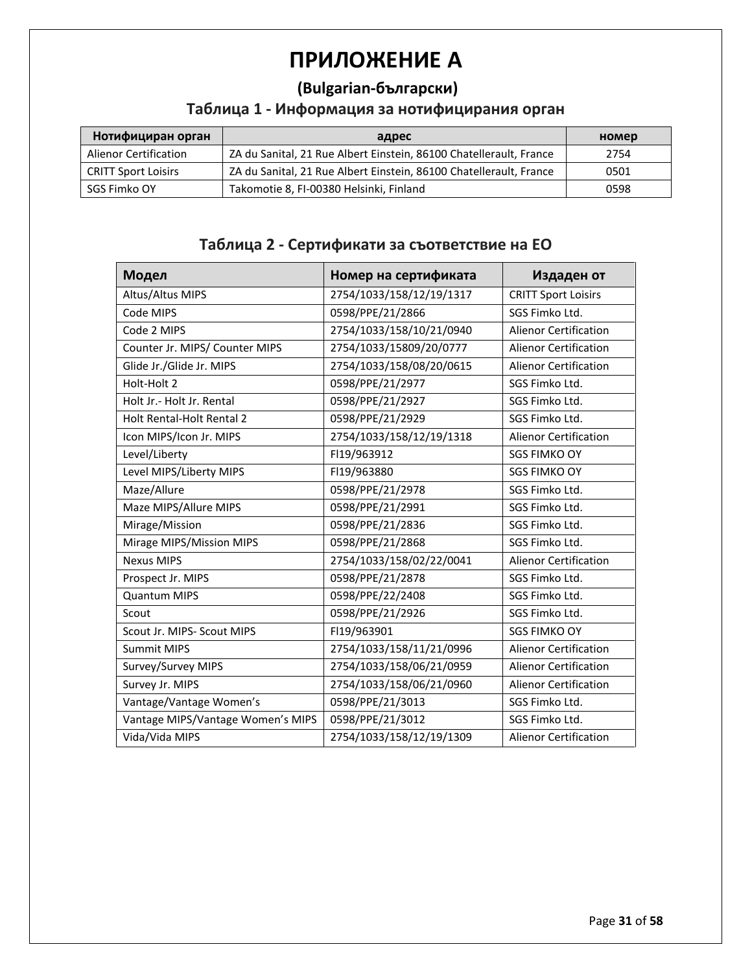# **ПРИЛОЖЕНИЕ A**

#### **(Bulgarian-български)**

#### **Таблица 1 - Информация за нотифицирания орган**

| Нотифициран орган            | адрес                                                              | номер |
|------------------------------|--------------------------------------------------------------------|-------|
| <b>Alienor Certification</b> | ZA du Sanital, 21 Rue Albert Einstein, 86100 Chatellerault, France | 2754  |
| <b>CRITT Sport Loisirs</b>   | ZA du Sanital, 21 Rue Albert Einstein, 86100 Chatellerault, France | 0501  |
| SGS Fimko OY                 | Takomotie 8, FI-00380 Helsinki, Finland                            | 0598  |

## **Таблица 2 - Сертификати за съответствие на ЕО**

| Модел                             | Номер на сертификата     | Издаден от                   |
|-----------------------------------|--------------------------|------------------------------|
| Altus/Altus MIPS                  | 2754/1033/158/12/19/1317 | <b>CRITT Sport Loisirs</b>   |
| Code MIPS                         | 0598/PPE/21/2866         | SGS Fimko Ltd.               |
| Code 2 MIPS                       | 2754/1033/158/10/21/0940 | <b>Alienor Certification</b> |
| Counter Jr. MIPS/ Counter MIPS    | 2754/1033/15809/20/0777  | <b>Alienor Certification</b> |
| Glide Jr./Glide Jr. MIPS          | 2754/1033/158/08/20/0615 | <b>Alienor Certification</b> |
| Holt-Holt 2                       | 0598/PPE/21/2977         | SGS Fimko Ltd.               |
| Holt Jr.- Holt Jr. Rental         | 0598/PPE/21/2927         | SGS Fimko Ltd.               |
| Holt Rental-Holt Rental 2         | 0598/PPE/21/2929         | SGS Fimko Ltd.               |
| Icon MIPS/Icon Jr. MIPS           | 2754/1033/158/12/19/1318 | <b>Alienor Certification</b> |
| Level/Liberty                     | FI19/963912              | <b>SGS FIMKO OY</b>          |
| Level MIPS/Liberty MIPS           | FI19/963880              | <b>SGS FIMKO OY</b>          |
| Maze/Allure                       | 0598/PPE/21/2978         | SGS Fimko Ltd.               |
| Maze MIPS/Allure MIPS             | 0598/PPE/21/2991         | SGS Fimko Ltd.               |
| Mirage/Mission                    | 0598/PPE/21/2836         | SGS Fimko Ltd.               |
| Mirage MIPS/Mission MIPS          | 0598/PPE/21/2868         | SGS Fimko Ltd.               |
| <b>Nexus MIPS</b>                 | 2754/1033/158/02/22/0041 | <b>Alienor Certification</b> |
| Prospect Jr. MIPS                 | 0598/PPE/21/2878         | SGS Fimko Ltd.               |
| <b>Quantum MIPS</b>               | 0598/PPE/22/2408         | SGS Fimko Ltd.               |
| Scout                             | 0598/PPE/21/2926         | SGS Fimko Ltd.               |
| Scout Jr. MIPS- Scout MIPS        | FI19/963901              | <b>SGS FIMKO OY</b>          |
| <b>Summit MIPS</b>                | 2754/1033/158/11/21/0996 | <b>Alienor Certification</b> |
| Survey/Survey MIPS                | 2754/1033/158/06/21/0959 | <b>Alienor Certification</b> |
| Survey Jr. MIPS                   | 2754/1033/158/06/21/0960 | <b>Alienor Certification</b> |
| Vantage/Vantage Women's           | 0598/PPE/21/3013         | SGS Fimko Ltd.               |
| Vantage MIPS/Vantage Women's MIPS | 0598/PPE/21/3012         | SGS Fimko Ltd.               |
| Vida/Vida MIPS                    | 2754/1033/158/12/19/1309 | <b>Alienor Certification</b> |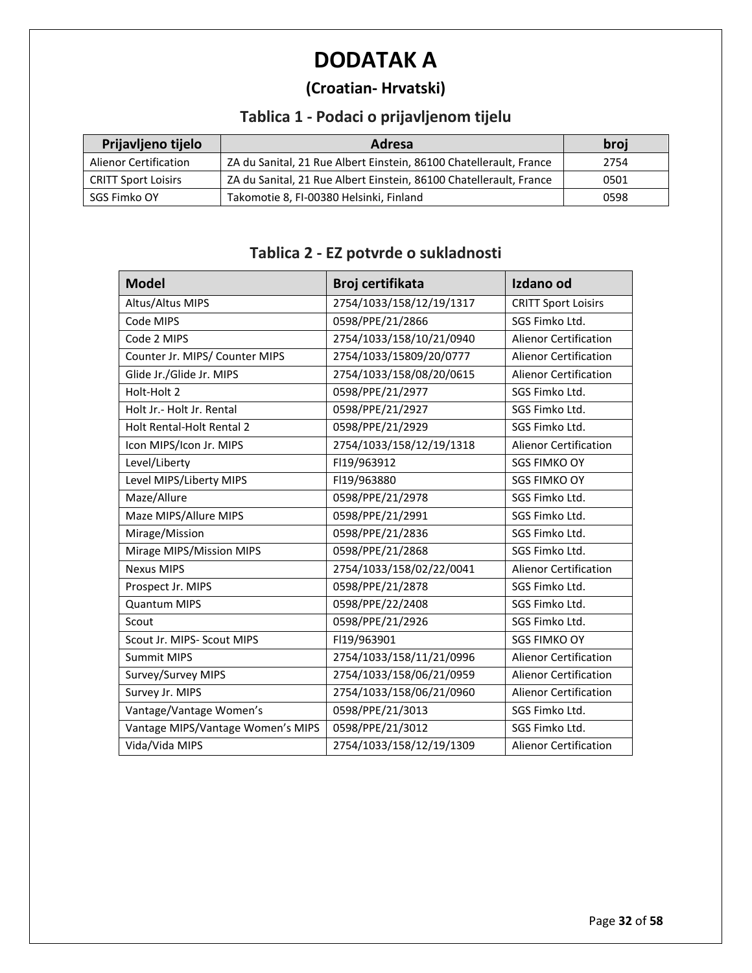# **DODATAK A**

## **(Croatian- Hrvatski)**

## **Tablica 1 - Podaci o prijavljenom tijelu**

| Prijavljeno tijelo         | Adresa                                                             | broj |
|----------------------------|--------------------------------------------------------------------|------|
| Alienor Certification      | ZA du Sanital, 21 Rue Albert Einstein, 86100 Chatellerault, France | 2754 |
| <b>CRITT Sport Loisirs</b> | ZA du Sanital, 21 Rue Albert Einstein, 86100 Chatellerault, France | 0501 |
| SGS Fimko OY               | Takomotie 8, FI-00380 Helsinki, Finland                            | 0598 |

| <b>Model</b>                      | Broj certifikata         | Izdano od                    |
|-----------------------------------|--------------------------|------------------------------|
| Altus/Altus MIPS                  | 2754/1033/158/12/19/1317 | <b>CRITT Sport Loisirs</b>   |
| Code MIPS                         | 0598/PPE/21/2866         | SGS Fimko Ltd.               |
| Code 2 MIPS                       | 2754/1033/158/10/21/0940 | <b>Alienor Certification</b> |
| Counter Jr. MIPS/ Counter MIPS    | 2754/1033/15809/20/0777  | <b>Alienor Certification</b> |
| Glide Jr./Glide Jr. MIPS          | 2754/1033/158/08/20/0615 | <b>Alienor Certification</b> |
| Holt-Holt 2                       | 0598/PPE/21/2977         | SGS Fimko Ltd.               |
| Holt Jr.- Holt Jr. Rental         | 0598/PPE/21/2927         | SGS Fimko Ltd.               |
| Holt Rental-Holt Rental 2         | 0598/PPE/21/2929         | SGS Fimko Ltd.               |
| Icon MIPS/Icon Jr. MIPS           | 2754/1033/158/12/19/1318 | <b>Alienor Certification</b> |
| Level/Liberty                     | FI19/963912              | <b>SGS FIMKO OY</b>          |
| Level MIPS/Liberty MIPS           | FI19/963880              | <b>SGS FIMKO OY</b>          |
| Maze/Allure                       | 0598/PPE/21/2978         | SGS Fimko Ltd.               |
| Maze MIPS/Allure MIPS             | 0598/PPE/21/2991         | SGS Fimko Ltd.               |
| Mirage/Mission                    | 0598/PPE/21/2836         | SGS Fimko Ltd.               |
| Mirage MIPS/Mission MIPS          | 0598/PPE/21/2868         | SGS Fimko Ltd.               |
| <b>Nexus MIPS</b>                 | 2754/1033/158/02/22/0041 | <b>Alienor Certification</b> |
| Prospect Jr. MIPS                 | 0598/PPE/21/2878         | SGS Fimko Ltd.               |
| <b>Quantum MIPS</b>               | 0598/PPE/22/2408         | SGS Fimko Ltd.               |
| Scout                             | 0598/PPE/21/2926         | SGS Fimko Ltd.               |
| Scout Jr. MIPS- Scout MIPS        | FI19/963901              | <b>SGS FIMKO OY</b>          |
| <b>Summit MIPS</b>                | 2754/1033/158/11/21/0996 | <b>Alienor Certification</b> |
| Survey/Survey MIPS                | 2754/1033/158/06/21/0959 | <b>Alienor Certification</b> |
| Survey Jr. MIPS                   | 2754/1033/158/06/21/0960 | Alienor Certification        |
| Vantage/Vantage Women's           | 0598/PPE/21/3013         | SGS Fimko Ltd.               |
| Vantage MIPS/Vantage Women's MIPS | 0598/PPE/21/3012         | SGS Fimko Ltd.               |
| Vida/Vida MIPS                    | 2754/1033/158/12/19/1309 | <b>Alienor Certification</b> |

## **Tablica 2 - EZ potvrde o sukladnosti**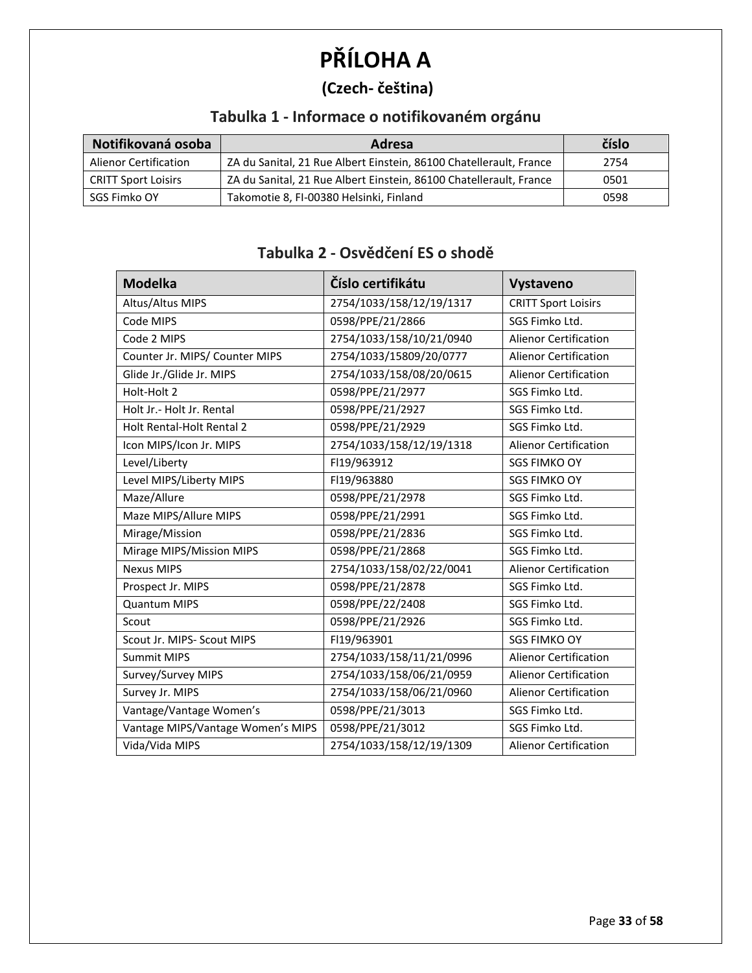# **PŘÍLOHA A**

#### **(Czech- čeština)**

## **Tabulka 1 - Informace o notifikovaném orgánu**

| Notifikovaná osoba           | Adresa                                                             | číslo |
|------------------------------|--------------------------------------------------------------------|-------|
| <b>Alienor Certification</b> | ZA du Sanital, 21 Rue Albert Einstein, 86100 Chatellerault, France | 2754  |
| <b>CRITT Sport Loisirs</b>   | ZA du Sanital, 21 Rue Albert Einstein, 86100 Chatellerault, France | 0501  |
| SGS Fimko OY                 | Takomotie 8, FI-00380 Helsinki, Finland                            | 0598  |

## **Tabulka 2 - Osvědčení ES o shodě**

| <b>Modelka</b>                    | Číslo certifikátu        | Vystaveno                    |
|-----------------------------------|--------------------------|------------------------------|
| Altus/Altus MIPS                  | 2754/1033/158/12/19/1317 | <b>CRITT Sport Loisirs</b>   |
| Code MIPS                         | 0598/PPE/21/2866         | SGS Fimko Ltd.               |
| Code 2 MIPS                       | 2754/1033/158/10/21/0940 | <b>Alienor Certification</b> |
| Counter Jr. MIPS/ Counter MIPS    | 2754/1033/15809/20/0777  | <b>Alienor Certification</b> |
| Glide Jr./Glide Jr. MIPS          | 2754/1033/158/08/20/0615 | <b>Alienor Certification</b> |
| Holt-Holt 2                       | 0598/PPE/21/2977         | SGS Fimko Ltd.               |
| Holt Jr. - Holt Jr. Rental        | 0598/PPE/21/2927         | SGS Fimko Ltd.               |
| Holt Rental-Holt Rental 2         | 0598/PPE/21/2929         | SGS Fimko Ltd.               |
| Icon MIPS/Icon Jr. MIPS           | 2754/1033/158/12/19/1318 | <b>Alienor Certification</b> |
| Level/Liberty                     | FI19/963912              | <b>SGS FIMKO OY</b>          |
| Level MIPS/Liberty MIPS           | FI19/963880              | <b>SGS FIMKO OY</b>          |
| Maze/Allure                       | 0598/PPE/21/2978         | SGS Fimko Ltd.               |
| Maze MIPS/Allure MIPS             | 0598/PPE/21/2991         | SGS Fimko Ltd.               |
| Mirage/Mission                    | 0598/PPE/21/2836         | SGS Fimko Ltd.               |
| Mirage MIPS/Mission MIPS          | 0598/PPE/21/2868         | SGS Fimko Ltd.               |
| <b>Nexus MIPS</b>                 | 2754/1033/158/02/22/0041 | <b>Alienor Certification</b> |
| Prospect Jr. MIPS                 | 0598/PPE/21/2878         | SGS Fimko Ltd.               |
| <b>Quantum MIPS</b>               | 0598/PPE/22/2408         | SGS Fimko Ltd.               |
| Scout                             | 0598/PPE/21/2926         | SGS Fimko Ltd.               |
| Scout Jr. MIPS- Scout MIPS        | FI19/963901              | <b>SGS FIMKO OY</b>          |
| <b>Summit MIPS</b>                | 2754/1033/158/11/21/0996 | <b>Alienor Certification</b> |
| Survey/Survey MIPS                | 2754/1033/158/06/21/0959 | <b>Alienor Certification</b> |
| Survey Jr. MIPS                   | 2754/1033/158/06/21/0960 | <b>Alienor Certification</b> |
| Vantage/Vantage Women's           | 0598/PPE/21/3013         | SGS Fimko Ltd.               |
| Vantage MIPS/Vantage Women's MIPS | 0598/PPE/21/3012         | SGS Fimko Ltd.               |
| Vida/Vida MIPS                    | 2754/1033/158/12/19/1309 | <b>Alienor Certification</b> |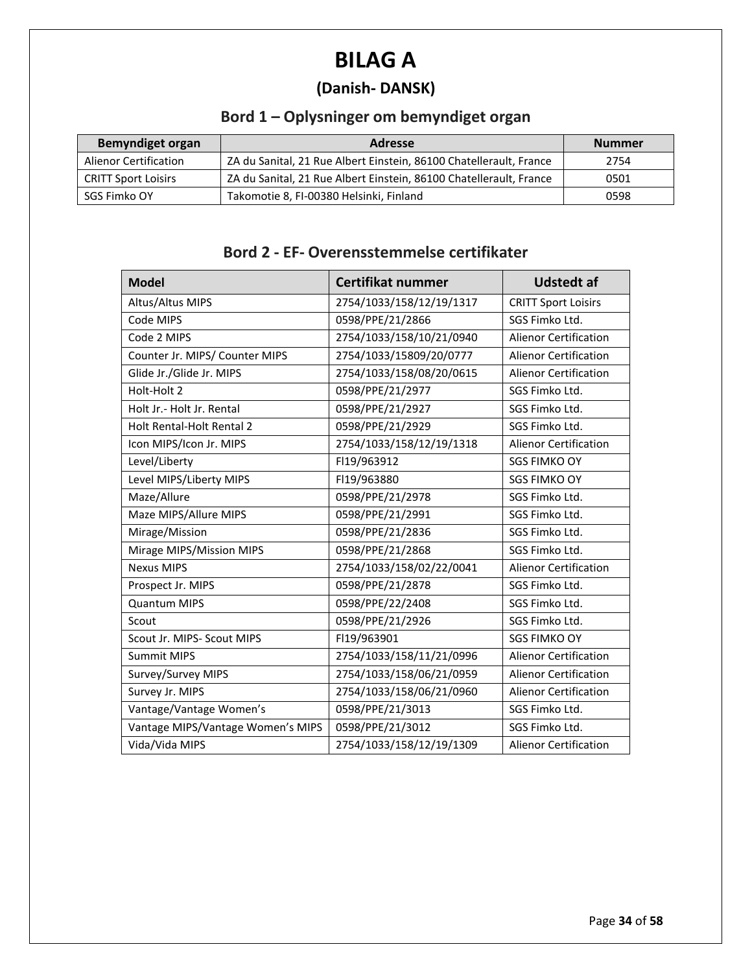# **BILAG A**

## **(Danish- DANSK)**

## **Bord 1 – Oplysninger om bemyndiget organ**

| <b>Bemyndiget organ</b>      | <b>Adresse</b>                                                     | <b>Nummer</b> |
|------------------------------|--------------------------------------------------------------------|---------------|
| <b>Alienor Certification</b> | ZA du Sanital, 21 Rue Albert Einstein, 86100 Chatellerault, France | 2754          |
| <b>CRITT Sport Loisirs</b>   | ZA du Sanital, 21 Rue Albert Einstein, 86100 Chatellerault, France | 0501          |
| SGS Fimko OY                 | Takomotie 8, FI-00380 Helsinki, Finland                            | 0598          |

#### **Bord 2 - EF- Overensstemmelse certifikater**

| <b>Model</b>                      | Certifikat nummer        | <b>Udstedt af</b>            |
|-----------------------------------|--------------------------|------------------------------|
| Altus/Altus MIPS                  | 2754/1033/158/12/19/1317 | <b>CRITT Sport Loisirs</b>   |
| Code MIPS                         | 0598/PPE/21/2866         | SGS Fimko Ltd.               |
| Code 2 MIPS                       | 2754/1033/158/10/21/0940 | <b>Alienor Certification</b> |
| Counter Jr. MIPS/ Counter MIPS    | 2754/1033/15809/20/0777  | <b>Alienor Certification</b> |
| Glide Jr./Glide Jr. MIPS          | 2754/1033/158/08/20/0615 | <b>Alienor Certification</b> |
| Holt-Holt 2                       | 0598/PPE/21/2977         | SGS Fimko Ltd.               |
| Holt Jr.- Holt Jr. Rental         | 0598/PPE/21/2927         | SGS Fimko Ltd.               |
| <b>Holt Rental-Holt Rental 2</b>  | 0598/PPE/21/2929         | SGS Fimko Ltd.               |
| Icon MIPS/Icon Jr. MIPS           | 2754/1033/158/12/19/1318 | Alienor Certification        |
| Level/Liberty                     | FI19/963912              | <b>SGS FIMKO OY</b>          |
| Level MIPS/Liberty MIPS           | FI19/963880              | <b>SGS FIMKO OY</b>          |
| Maze/Allure                       | 0598/PPE/21/2978         | SGS Fimko Ltd.               |
| Maze MIPS/Allure MIPS             | 0598/PPE/21/2991         | SGS Fimko Ltd.               |
| Mirage/Mission                    | 0598/PPE/21/2836         | SGS Fimko Ltd.               |
| Mirage MIPS/Mission MIPS          | 0598/PPE/21/2868         | SGS Fimko Ltd.               |
| <b>Nexus MIPS</b>                 | 2754/1033/158/02/22/0041 | <b>Alienor Certification</b> |
| Prospect Jr. MIPS                 | 0598/PPE/21/2878         | SGS Fimko Ltd.               |
| <b>Quantum MIPS</b>               | 0598/PPE/22/2408         | SGS Fimko Ltd.               |
| Scout                             | 0598/PPE/21/2926         | SGS Fimko Ltd.               |
| Scout Jr. MIPS- Scout MIPS        | FI19/963901              | <b>SGS FIMKO OY</b>          |
| <b>Summit MIPS</b>                | 2754/1033/158/11/21/0996 | <b>Alienor Certification</b> |
| Survey/Survey MIPS                | 2754/1033/158/06/21/0959 | <b>Alienor Certification</b> |
| Survey Jr. MIPS                   | 2754/1033/158/06/21/0960 | <b>Alienor Certification</b> |
| Vantage/Vantage Women's           | 0598/PPE/21/3013         | SGS Fimko Ltd.               |
| Vantage MIPS/Vantage Women's MIPS | 0598/PPE/21/3012         | SGS Fimko Ltd.               |
| Vida/Vida MIPS                    | 2754/1033/158/12/19/1309 | <b>Alienor Certification</b> |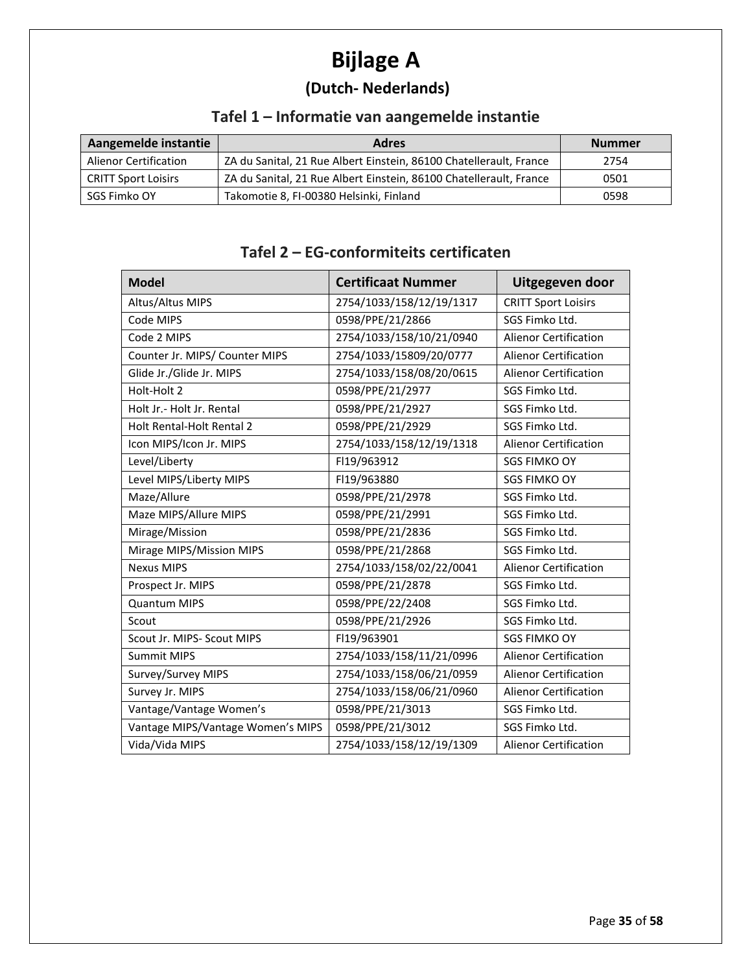# **Bijlage A**

## **(Dutch- Nederlands)**

## **Tafel 1 – Informatie van aangemelde instantie**

| Aangemelde instantie         | <b>Adres</b>                                                       | <b>Nummer</b> |
|------------------------------|--------------------------------------------------------------------|---------------|
| <b>Alienor Certification</b> | ZA du Sanital, 21 Rue Albert Einstein, 86100 Chatellerault, France | 2754          |
| <b>CRITT Sport Loisirs</b>   | ZA du Sanital, 21 Rue Albert Einstein, 86100 Chatellerault, France | 0501          |
| SGS Fimko OY                 | Takomotie 8, FI-00380 Helsinki, Finland                            | 0598          |

#### **Tafel 2 – EG-conformiteits certificaten**

| <b>Model</b>                      | <b>Certificaat Nummer</b> | Uitgegeven door              |
|-----------------------------------|---------------------------|------------------------------|
| Altus/Altus MIPS                  | 2754/1033/158/12/19/1317  | <b>CRITT Sport Loisirs</b>   |
| Code MIPS                         | 0598/PPE/21/2866          | SGS Fimko Ltd.               |
| Code 2 MIPS                       | 2754/1033/158/10/21/0940  | <b>Alienor Certification</b> |
| Counter Jr. MIPS/ Counter MIPS    | 2754/1033/15809/20/0777   | <b>Alienor Certification</b> |
| Glide Jr./Glide Jr. MIPS          | 2754/1033/158/08/20/0615  | <b>Alienor Certification</b> |
| Holt-Holt 2                       | 0598/PPE/21/2977          | SGS Fimko Ltd.               |
| Holt Jr.- Holt Jr. Rental         | 0598/PPE/21/2927          | SGS Fimko Ltd.               |
| <b>Holt Rental-Holt Rental 2</b>  | 0598/PPE/21/2929          | SGS Fimko Ltd.               |
| Icon MIPS/Icon Jr. MIPS           | 2754/1033/158/12/19/1318  | <b>Alienor Certification</b> |
| Level/Liberty                     | FI19/963912               | <b>SGS FIMKO OY</b>          |
| Level MIPS/Liberty MIPS           | FI19/963880               | <b>SGS FIMKO OY</b>          |
| Maze/Allure                       | 0598/PPE/21/2978          | SGS Fimko Ltd.               |
| Maze MIPS/Allure MIPS             | 0598/PPE/21/2991          | SGS Fimko Ltd.               |
| Mirage/Mission                    | 0598/PPE/21/2836          | SGS Fimko Ltd.               |
| Mirage MIPS/Mission MIPS          | 0598/PPE/21/2868          | SGS Fimko Ltd.               |
| <b>Nexus MIPS</b>                 | 2754/1033/158/02/22/0041  | <b>Alienor Certification</b> |
| Prospect Jr. MIPS                 | 0598/PPE/21/2878          | SGS Fimko Ltd.               |
| <b>Quantum MIPS</b>               | 0598/PPE/22/2408          | SGS Fimko Ltd.               |
| Scout                             | 0598/PPE/21/2926          | SGS Fimko Ltd.               |
| Scout Jr. MIPS- Scout MIPS        | FI19/963901               | <b>SGS FIMKO OY</b>          |
| <b>Summit MIPS</b>                | 2754/1033/158/11/21/0996  | <b>Alienor Certification</b> |
| Survey/Survey MIPS                | 2754/1033/158/06/21/0959  | <b>Alienor Certification</b> |
| Survey Jr. MIPS                   | 2754/1033/158/06/21/0960  | <b>Alienor Certification</b> |
| Vantage/Vantage Women's           | 0598/PPE/21/3013          | SGS Fimko Ltd.               |
| Vantage MIPS/Vantage Women's MIPS | 0598/PPE/21/3012          | SGS Fimko Ltd.               |
| Vida/Vida MIPS                    | 2754/1033/158/12/19/1309  | Alienor Certification        |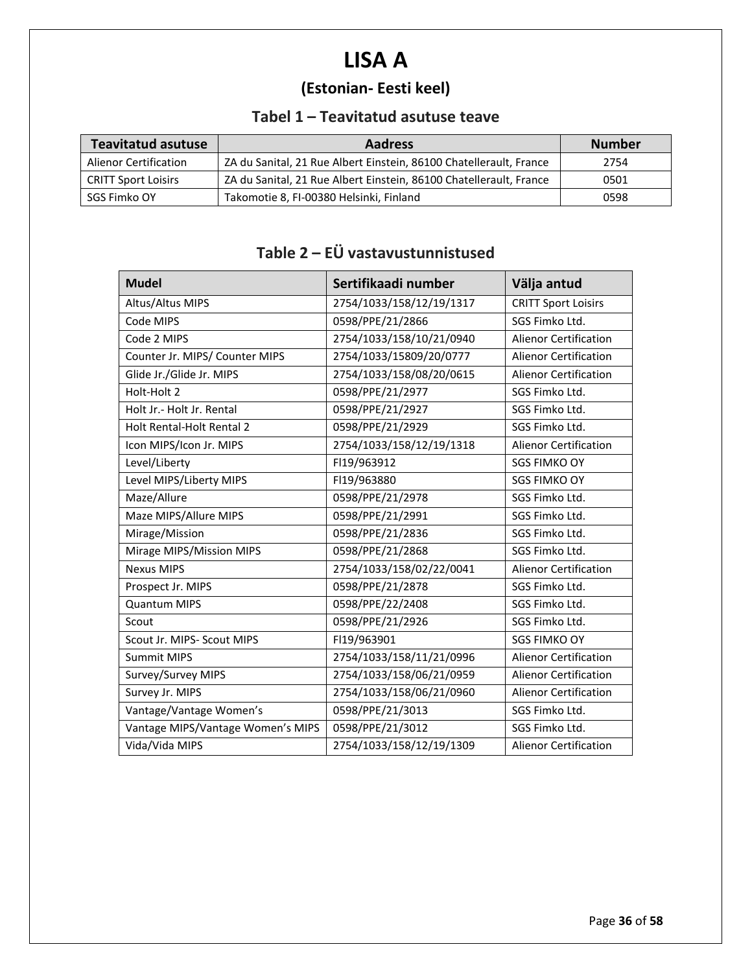# **LISA A**

## **(Estonian- Eesti keel)**

#### **Tabel 1 – Teavitatud asutuse teave**

| <b>Teavitatud asutuse</b>  | <b>Aadress</b>                                                     | <b>Number</b> |
|----------------------------|--------------------------------------------------------------------|---------------|
| Alienor Certification      | ZA du Sanital, 21 Rue Albert Einstein, 86100 Chatellerault, France | 2754          |
| <b>CRITT Sport Loisirs</b> | ZA du Sanital, 21 Rue Albert Einstein, 86100 Chatellerault, France | 0501          |
| SGS Fimko OY               | Takomotie 8, FI-00380 Helsinki, Finland                            | 0598          |

## **Table 2 – EÜ vastavustunnistused**

| <b>Mudel</b>                      | Sertifikaadi number      | Välja antud                  |
|-----------------------------------|--------------------------|------------------------------|
| Altus/Altus MIPS                  | 2754/1033/158/12/19/1317 | <b>CRITT Sport Loisirs</b>   |
| Code MIPS                         | 0598/PPE/21/2866         | SGS Fimko Ltd.               |
| Code 2 MIPS                       | 2754/1033/158/10/21/0940 | <b>Alienor Certification</b> |
| Counter Jr. MIPS/ Counter MIPS    | 2754/1033/15809/20/0777  | <b>Alienor Certification</b> |
| Glide Jr./Glide Jr. MIPS          | 2754/1033/158/08/20/0615 | <b>Alienor Certification</b> |
| Holt-Holt 2                       | 0598/PPE/21/2977         | SGS Fimko Ltd.               |
| Holt Jr.- Holt Jr. Rental         | 0598/PPE/21/2927         | SGS Fimko Ltd.               |
| Holt Rental-Holt Rental 2         | 0598/PPE/21/2929         | SGS Fimko Ltd.               |
| Icon MIPS/Icon Jr. MIPS           | 2754/1033/158/12/19/1318 | <b>Alienor Certification</b> |
| Level/Liberty                     | FI19/963912              | <b>SGS FIMKO OY</b>          |
| Level MIPS/Liberty MIPS           | FI19/963880              | <b>SGS FIMKO OY</b>          |
| Maze/Allure                       | 0598/PPE/21/2978         | SGS Fimko Ltd.               |
| Maze MIPS/Allure MIPS             | 0598/PPE/21/2991         | SGS Fimko Ltd.               |
| Mirage/Mission                    | 0598/PPE/21/2836         | SGS Fimko Ltd.               |
| Mirage MIPS/Mission MIPS          | 0598/PPE/21/2868         | SGS Fimko Ltd.               |
| <b>Nexus MIPS</b>                 | 2754/1033/158/02/22/0041 | <b>Alienor Certification</b> |
| Prospect Jr. MIPS                 | 0598/PPE/21/2878         | SGS Fimko Ltd.               |
| <b>Quantum MIPS</b>               | 0598/PPE/22/2408         | SGS Fimko Ltd.               |
| Scout                             | 0598/PPE/21/2926         | SGS Fimko Ltd.               |
| Scout Jr. MIPS- Scout MIPS        | FI19/963901              | <b>SGS FIMKO OY</b>          |
| <b>Summit MIPS</b>                | 2754/1033/158/11/21/0996 | <b>Alienor Certification</b> |
| Survey/Survey MIPS                | 2754/1033/158/06/21/0959 | <b>Alienor Certification</b> |
| Survey Jr. MIPS                   | 2754/1033/158/06/21/0960 | <b>Alienor Certification</b> |
| Vantage/Vantage Women's           | 0598/PPE/21/3013         | SGS Fimko Ltd.               |
| Vantage MIPS/Vantage Women's MIPS | 0598/PPE/21/3012         | SGS Fimko Ltd.               |
| Vida/Vida MIPS                    | 2754/1033/158/12/19/1309 | <b>Alienor Certification</b> |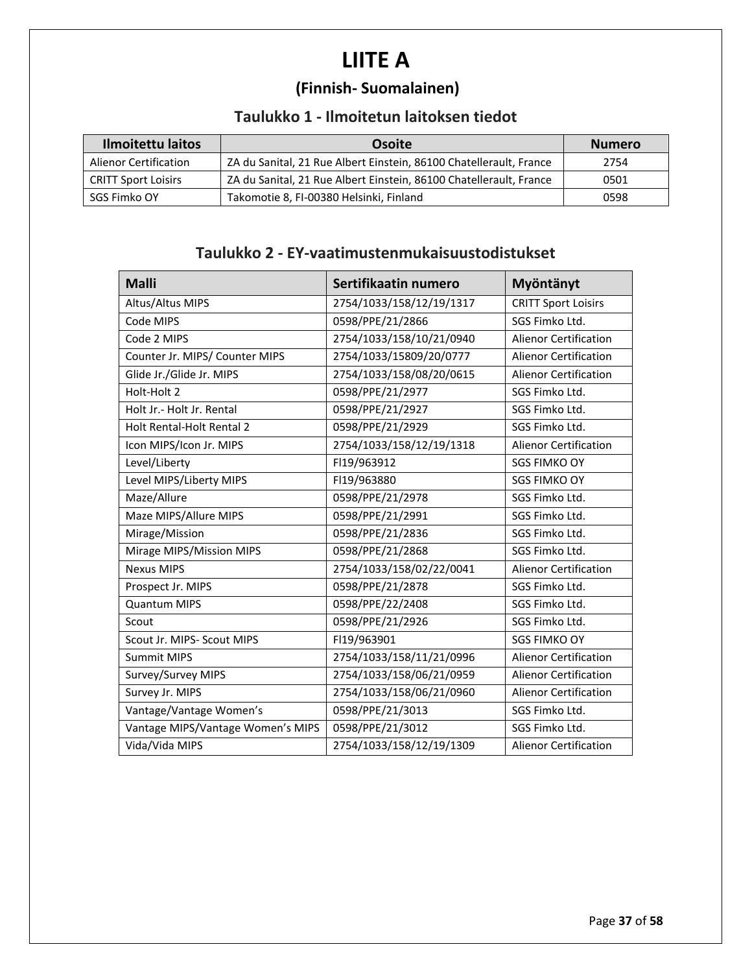# **LIITE A**

## **(Finnish- Suomalainen)**

#### **Taulukko 1 - Ilmoitetun laitoksen tiedot**

| <b>Ilmoitettu laitos</b>     | Osoite                                                             | <b>Numero</b> |
|------------------------------|--------------------------------------------------------------------|---------------|
| <b>Alienor Certification</b> | ZA du Sanital, 21 Rue Albert Einstein, 86100 Chatellerault, France | 2754          |
| <b>CRITT Sport Loisirs</b>   | ZA du Sanital, 21 Rue Albert Einstein, 86100 Chatellerault, France | 0501          |
| SGS Fimko OY                 | Takomotie 8, FI-00380 Helsinki, Finland                            | 0598          |

#### **Taulukko 2 - EY-vaatimustenmukaisuustodistukset**

| <b>Malli</b>                      | Sertifikaatin numero     | Myöntänyt                    |
|-----------------------------------|--------------------------|------------------------------|
| Altus/Altus MIPS                  | 2754/1033/158/12/19/1317 | <b>CRITT Sport Loisirs</b>   |
| Code MIPS                         | 0598/PPE/21/2866         | SGS Fimko Ltd.               |
| Code 2 MIPS                       | 2754/1033/158/10/21/0940 | <b>Alienor Certification</b> |
| Counter Jr. MIPS/ Counter MIPS    | 2754/1033/15809/20/0777  | <b>Alienor Certification</b> |
| Glide Jr./Glide Jr. MIPS          | 2754/1033/158/08/20/0615 | <b>Alienor Certification</b> |
| Holt-Holt 2                       | 0598/PPE/21/2977         | SGS Fimko Ltd.               |
| Holt Jr. - Holt Jr. Rental        | 0598/PPE/21/2927         | SGS Fimko Ltd.               |
| Holt Rental-Holt Rental 2         | 0598/PPE/21/2929         | SGS Fimko Ltd.               |
| Icon MIPS/Icon Jr. MIPS           | 2754/1033/158/12/19/1318 | <b>Alienor Certification</b> |
| Level/Liberty                     | FI19/963912              | <b>SGS FIMKO OY</b>          |
| Level MIPS/Liberty MIPS           | FI19/963880              | <b>SGS FIMKO OY</b>          |
| Maze/Allure                       | 0598/PPE/21/2978         | SGS Fimko Ltd.               |
| Maze MIPS/Allure MIPS             | 0598/PPE/21/2991         | SGS Fimko Ltd.               |
| Mirage/Mission                    | 0598/PPE/21/2836         | SGS Fimko Ltd.               |
| Mirage MIPS/Mission MIPS          | 0598/PPE/21/2868         | SGS Fimko Ltd.               |
| <b>Nexus MIPS</b>                 | 2754/1033/158/02/22/0041 | <b>Alienor Certification</b> |
| Prospect Jr. MIPS                 | 0598/PPE/21/2878         | SGS Fimko Ltd.               |
| <b>Quantum MIPS</b>               | 0598/PPE/22/2408         | SGS Fimko Ltd.               |
| Scout                             | 0598/PPE/21/2926         | SGS Fimko Ltd.               |
| Scout Jr. MIPS- Scout MIPS        | FI19/963901              | <b>SGS FIMKO OY</b>          |
| <b>Summit MIPS</b>                | 2754/1033/158/11/21/0996 | <b>Alienor Certification</b> |
| Survey/Survey MIPS                | 2754/1033/158/06/21/0959 | <b>Alienor Certification</b> |
| Survey Jr. MIPS                   | 2754/1033/158/06/21/0960 | Alienor Certification        |
| Vantage/Vantage Women's           | 0598/PPE/21/3013         | SGS Fimko Ltd.               |
| Vantage MIPS/Vantage Women's MIPS | 0598/PPE/21/3012         | SGS Fimko Ltd.               |
| Vida/Vida MIPS                    | 2754/1033/158/12/19/1309 | <b>Alienor Certification</b> |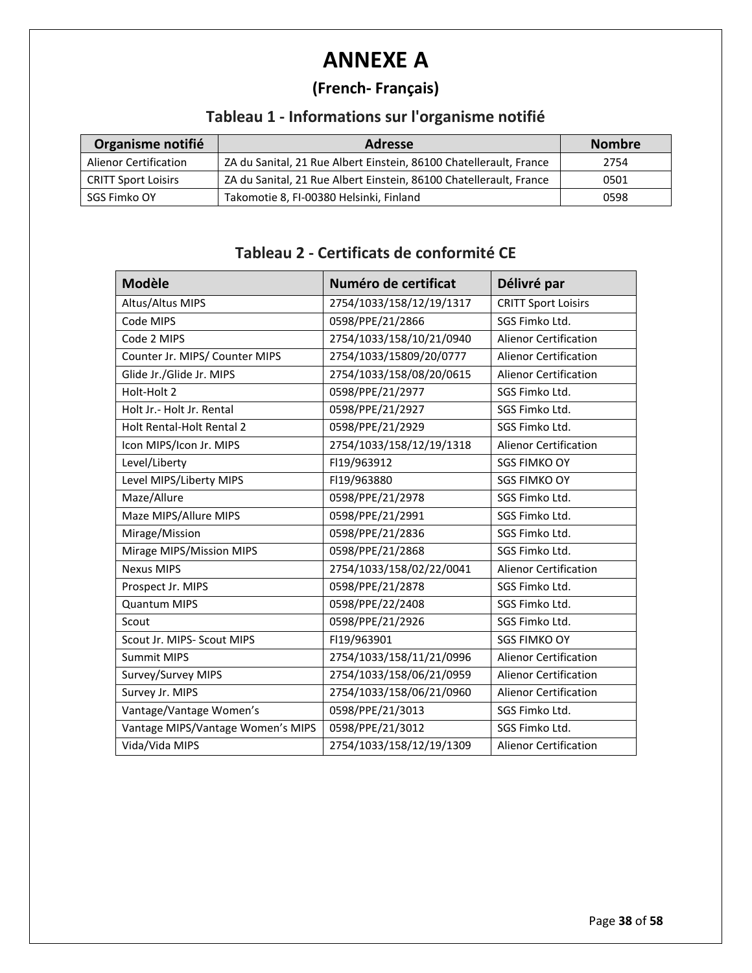# **ANNEXE A**

## **(French- Français)**

## **Tableau 1 - Informations sur l'organisme notifié**

| Organisme notifié            | <b>Adresse</b>                                                     | <b>Nombre</b> |
|------------------------------|--------------------------------------------------------------------|---------------|
| <b>Alienor Certification</b> | ZA du Sanital, 21 Rue Albert Einstein, 86100 Chatellerault, France | 2754          |
| <b>CRITT Sport Loisirs</b>   | ZA du Sanital, 21 Rue Albert Einstein, 86100 Chatellerault, France | 0501          |
| SGS Fimko OY                 | Takomotie 8, FI-00380 Helsinki, Finland                            | 0598          |

#### **Tableau 2 - Certificats de conformité CE**

| <b>Modèle</b>                     | Numéro de certificat     | Délivré par                  |
|-----------------------------------|--------------------------|------------------------------|
| Altus/Altus MIPS                  | 2754/1033/158/12/19/1317 | <b>CRITT Sport Loisirs</b>   |
| Code MIPS                         | 0598/PPE/21/2866         | SGS Fimko Ltd.               |
| Code 2 MIPS                       | 2754/1033/158/10/21/0940 | <b>Alienor Certification</b> |
| Counter Jr. MIPS/ Counter MIPS    | 2754/1033/15809/20/0777  | <b>Alienor Certification</b> |
| Glide Jr./Glide Jr. MIPS          | 2754/1033/158/08/20/0615 | <b>Alienor Certification</b> |
| Holt-Holt 2                       | 0598/PPE/21/2977         | SGS Fimko Ltd.               |
| Holt Jr.- Holt Jr. Rental         | 0598/PPE/21/2927         | SGS Fimko Ltd.               |
| Holt Rental-Holt Rental 2         | 0598/PPE/21/2929         | SGS Fimko Ltd.               |
| Icon MIPS/Icon Jr. MIPS           | 2754/1033/158/12/19/1318 | <b>Alienor Certification</b> |
| Level/Liberty                     | FI19/963912              | <b>SGS FIMKO OY</b>          |
| Level MIPS/Liberty MIPS           | FI19/963880              | <b>SGS FIMKO OY</b>          |
| Maze/Allure                       | 0598/PPE/21/2978         | SGS Fimko Ltd.               |
| Maze MIPS/Allure MIPS             | 0598/PPE/21/2991         | SGS Fimko Ltd.               |
| Mirage/Mission                    | 0598/PPE/21/2836         | SGS Fimko Ltd.               |
| Mirage MIPS/Mission MIPS          | 0598/PPE/21/2868         | SGS Fimko Ltd.               |
| <b>Nexus MIPS</b>                 | 2754/1033/158/02/22/0041 | <b>Alienor Certification</b> |
| Prospect Jr. MIPS                 | 0598/PPE/21/2878         | SGS Fimko Ltd.               |
| <b>Quantum MIPS</b>               | 0598/PPE/22/2408         | SGS Fimko Ltd.               |
| Scout                             | 0598/PPE/21/2926         | SGS Fimko Ltd.               |
| Scout Jr. MIPS- Scout MIPS        | FI19/963901              | <b>SGS FIMKO OY</b>          |
| <b>Summit MIPS</b>                | 2754/1033/158/11/21/0996 | <b>Alienor Certification</b> |
| Survey/Survey MIPS                | 2754/1033/158/06/21/0959 | <b>Alienor Certification</b> |
| Survey Jr. MIPS                   | 2754/1033/158/06/21/0960 | <b>Alienor Certification</b> |
| Vantage/Vantage Women's           | 0598/PPE/21/3013         | SGS Fimko Ltd.               |
| Vantage MIPS/Vantage Women's MIPS | 0598/PPE/21/3012         | SGS Fimko Ltd.               |
| Vida/Vida MIPS                    | 2754/1033/158/12/19/1309 | <b>Alienor Certification</b> |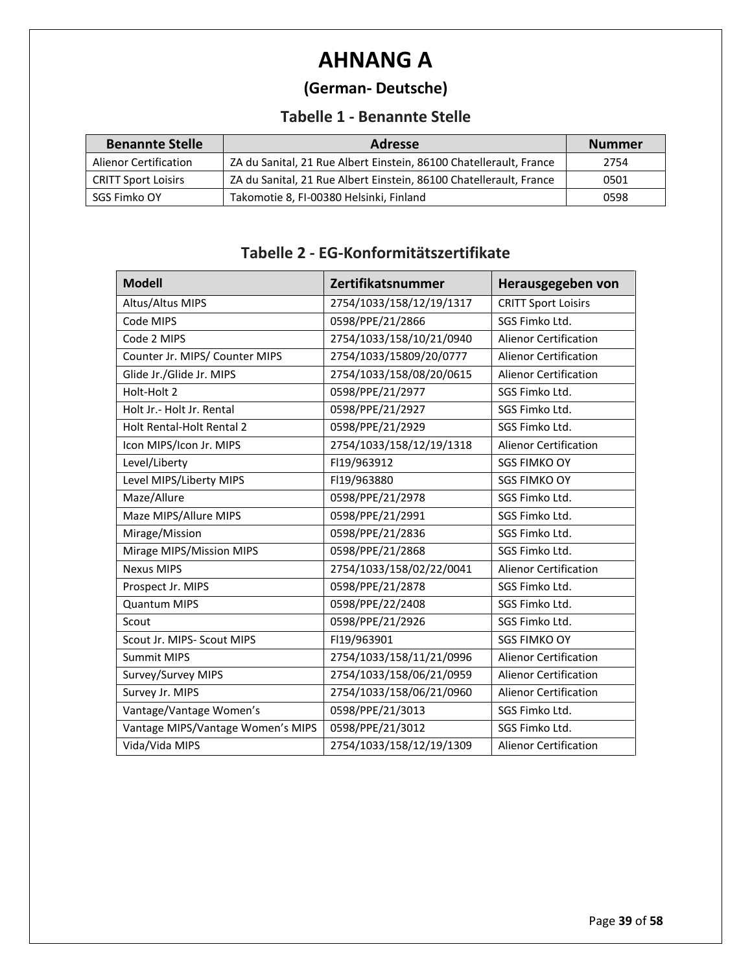# **AHNANG A**

## **(German- Deutsche)**

#### **Tabelle 1 - Benannte Stelle**

| <b>Benannte Stelle</b>       | <b>Adresse</b>                                                     | <b>Nummer</b> |
|------------------------------|--------------------------------------------------------------------|---------------|
| <b>Alienor Certification</b> | ZA du Sanital, 21 Rue Albert Einstein, 86100 Chatellerault, France | 2754          |
| <b>CRITT Sport Loisirs</b>   | ZA du Sanital, 21 Rue Albert Einstein, 86100 Chatellerault, France | 0501          |
| SGS Fimko OY                 | Takomotie 8, FI-00380 Helsinki, Finland                            | 0598          |

#### **Tabelle 2 - EG-Konformitätszertifikate**

| <b>Modell</b>                     | Zertifikatsnummer        | Herausgegeben von            |
|-----------------------------------|--------------------------|------------------------------|
| Altus/Altus MIPS                  | 2754/1033/158/12/19/1317 | <b>CRITT Sport Loisirs</b>   |
| Code MIPS                         | 0598/PPE/21/2866         | SGS Fimko Ltd.               |
| Code 2 MIPS                       | 2754/1033/158/10/21/0940 | <b>Alienor Certification</b> |
| Counter Jr. MIPS/ Counter MIPS    | 2754/1033/15809/20/0777  | <b>Alienor Certification</b> |
| Glide Jr./Glide Jr. MIPS          | 2754/1033/158/08/20/0615 | <b>Alienor Certification</b> |
| Holt-Holt 2                       | 0598/PPE/21/2977         | SGS Fimko Ltd.               |
| Holt Jr.- Holt Jr. Rental         | 0598/PPE/21/2927         | SGS Fimko Ltd.               |
| Holt Rental-Holt Rental 2         | 0598/PPE/21/2929         | SGS Fimko Ltd.               |
| Icon MIPS/Icon Jr. MIPS           | 2754/1033/158/12/19/1318 | <b>Alienor Certification</b> |
| Level/Liberty                     | FI19/963912              | <b>SGS FIMKO OY</b>          |
| Level MIPS/Liberty MIPS           | FI19/963880              | <b>SGS FIMKO OY</b>          |
| Maze/Allure                       | 0598/PPE/21/2978         | SGS Fimko Ltd.               |
| Maze MIPS/Allure MIPS             | 0598/PPE/21/2991         | SGS Fimko Ltd.               |
| Mirage/Mission                    | 0598/PPE/21/2836         | SGS Fimko Ltd.               |
| Mirage MIPS/Mission MIPS          | 0598/PPE/21/2868         | SGS Fimko Ltd.               |
| <b>Nexus MIPS</b>                 | 2754/1033/158/02/22/0041 | <b>Alienor Certification</b> |
| Prospect Jr. MIPS                 | 0598/PPE/21/2878         | SGS Fimko Ltd.               |
| <b>Quantum MIPS</b>               | 0598/PPE/22/2408         | SGS Fimko Ltd.               |
| Scout                             | 0598/PPE/21/2926         | SGS Fimko Ltd.               |
| Scout Jr. MIPS- Scout MIPS        | FI19/963901              | <b>SGS FIMKO OY</b>          |
| <b>Summit MIPS</b>                | 2754/1033/158/11/21/0996 | <b>Alienor Certification</b> |
| Survey/Survey MIPS                | 2754/1033/158/06/21/0959 | <b>Alienor Certification</b> |
| Survey Jr. MIPS                   | 2754/1033/158/06/21/0960 | <b>Alienor Certification</b> |
| Vantage/Vantage Women's           | 0598/PPE/21/3013         | SGS Fimko Ltd.               |
| Vantage MIPS/Vantage Women's MIPS | 0598/PPE/21/3012         | SGS Fimko Ltd.               |
| Vida/Vida MIPS                    | 2754/1033/158/12/19/1309 | <b>Alienor Certification</b> |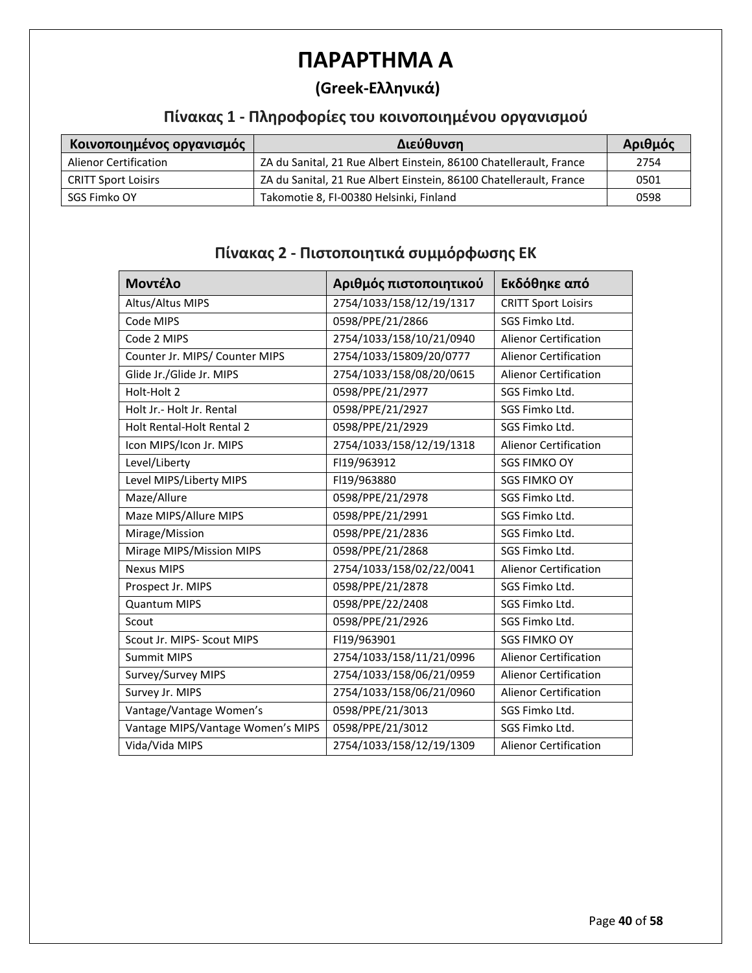## **ΠΑΡΑΡΤΗΜΑ A**

#### **(Greek-Ελληνικά)**

#### **Πίνακας 1 - Πληροφορίες του κοινοποιημένου οργανισμού**

| Κοινοποιημένος οργανισμός    | Διεύθυνση                                                          | Αριθμός |
|------------------------------|--------------------------------------------------------------------|---------|
| <b>Alienor Certification</b> | ZA du Sanital, 21 Rue Albert Einstein, 86100 Chatellerault, France | 2754    |
| <b>CRITT Sport Loisirs</b>   | ZA du Sanital, 21 Rue Albert Einstein, 86100 Chatellerault, France | 0501    |
| SGS Fimko OY                 | Takomotie 8, FI-00380 Helsinki, Finland                            | 0598    |

#### **Μοντέλο Αριθμός πιστοποιητικού Εκδόθηκε από** Altus/Altus MIPS | 2754/1033/158/12/19/1317 | CRITT Sport Loisirs Code MIPS **CODE 1998/PPE/21/2866** SGS Fimko Ltd. Code 2 MIPS 2754/1033/158/10/21/0940 Alienor Certification Counter Jr. MIPS/ Counter MIPS 2754/1033/15809/20/0777 Alienor Certification Glide Jr./Glide Jr. MIPS 2754/1033/158/08/20/0615 Alienor Certification Holt-Holt 2 0598/PPE/21/2977 SGS Fimko Ltd. Holt Jr.- Holt Jr. Rental **DESERI** 0598/PPE/21/2927 SGS Fimko Ltd. Holt Rental-Holt Rental 2 0598/PPE/21/2929 SGS Fimko Ltd. Icon MIPS/Icon Jr. MIPS 2754/1033/158/12/19/1318 | Alienor Certification Level/Liberty Fl19/963912 SGS FIMKO OY Level MIPS/Liberty MIPS | FI19/963880 SGS FIMKO OY Maze/Allure **1898/PPE/21/2978** SGS Fimko Ltd. Maze MIPS/Allure MIPS **DETER 1898/PPE/21/2991** SGS Fimko Ltd. Mirage/Mission 1598/PPE/21/2836 SGS Fimko Ltd. Mirage MIPS/Mission MIPS **DESIGN 10598/PPE/21/2868** SGS Fimko Ltd. Nexus MIPS 2754/1033/158/02/22/0041 Alienor Certification Prospect Jr. MIPS | 0598/PPE/21/2878 | SGS Fimko Ltd. Quantum MIPS **DEVILLE 10598/PPE/22/2408** SGS Fimko Ltd. Scout **12000** 0598/PPE/21/2926 Scout SGS Fimko Ltd. Scout Jr. MIPS- Scout MIPS **FILLE 19/963901** SGS FIMKO OY Summit MIPS 2754/1033/158/11/21/0996 Alienor Certification Survey/Survey MIPS 2754/1033/158/06/21/0959 Alienor Certification Survey Jr. MIPS 2754/1033/158/06/21/0960 Alienor Certification Vantage/Vantage Women's | 0598/PPE/21/3013 | SGS Fimko Ltd. Vantage MIPS/Vantage Women's MIPS | 0598/PPE/21/3012 SGS Fimko Ltd. Vida/Vida MIPS 2754/1033/158/12/19/1309 Alienor Certification

#### **Πίνακας 2 - Πιστοποιητικά συμμόρφωσης ΕΚ**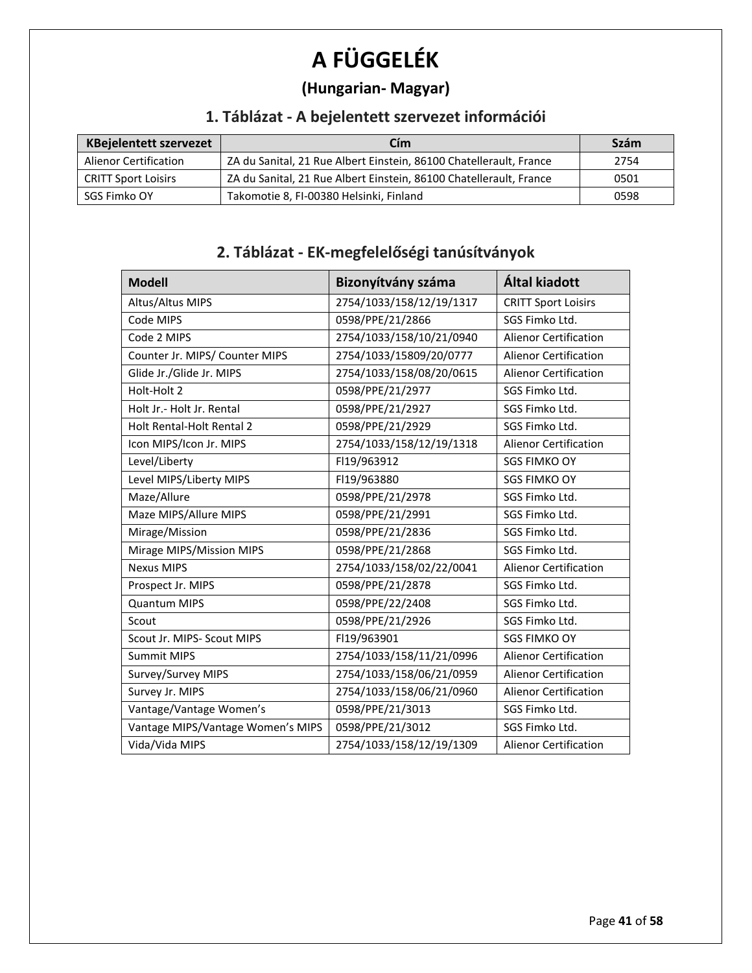# **A FÜGGELÉK**

## **(Hungarian- Magyar)**

## **1. Táblázat - A bejelentett szervezet információi**

| <b>KBejelentett szervezet</b> | Cím                                                                | Szám |
|-------------------------------|--------------------------------------------------------------------|------|
| <b>Alienor Certification</b>  | ZA du Sanital, 21 Rue Albert Einstein, 86100 Chatellerault, France | 2754 |
| <b>CRITT Sport Loisirs</b>    | ZA du Sanital, 21 Rue Albert Einstein, 86100 Chatellerault, France | 0501 |
| SGS Fimko OY                  | Takomotie 8, FI-00380 Helsinki, Finland                            | 0598 |

## **2. Táblázat - EK-megfelelőségi tanúsítványok**

| <b>Modell</b>                     | Bizonyítvány száma       | Által kiadott                |
|-----------------------------------|--------------------------|------------------------------|
| Altus/Altus MIPS                  | 2754/1033/158/12/19/1317 | <b>CRITT Sport Loisirs</b>   |
| Code MIPS                         | 0598/PPE/21/2866         | SGS Fimko Ltd.               |
| Code 2 MIPS                       | 2754/1033/158/10/21/0940 | <b>Alienor Certification</b> |
| Counter Jr. MIPS/ Counter MIPS    | 2754/1033/15809/20/0777  | <b>Alienor Certification</b> |
| Glide Jr./Glide Jr. MIPS          | 2754/1033/158/08/20/0615 | <b>Alienor Certification</b> |
| Holt-Holt 2                       | 0598/PPE/21/2977         | SGS Fimko Ltd.               |
| Holt Jr.- Holt Jr. Rental         | 0598/PPE/21/2927         | SGS Fimko Ltd.               |
| <b>Holt Rental-Holt Rental 2</b>  | 0598/PPE/21/2929         | SGS Fimko Ltd.               |
| Icon MIPS/Icon Jr. MIPS           | 2754/1033/158/12/19/1318 | <b>Alienor Certification</b> |
| Level/Liberty                     | FI19/963912              | <b>SGS FIMKO OY</b>          |
| Level MIPS/Liberty MIPS           | FI19/963880              | <b>SGS FIMKO OY</b>          |
| Maze/Allure                       | 0598/PPE/21/2978         | SGS Fimko Ltd.               |
| Maze MIPS/Allure MIPS             | 0598/PPE/21/2991         | SGS Fimko Ltd.               |
| Mirage/Mission                    | 0598/PPE/21/2836         | SGS Fimko Ltd.               |
| Mirage MIPS/Mission MIPS          | 0598/PPE/21/2868         | SGS Fimko Ltd.               |
| <b>Nexus MIPS</b>                 | 2754/1033/158/02/22/0041 | <b>Alienor Certification</b> |
| Prospect Jr. MIPS                 | 0598/PPE/21/2878         | SGS Fimko Ltd.               |
| <b>Quantum MIPS</b>               | 0598/PPE/22/2408         | SGS Fimko Ltd.               |
| Scout                             | 0598/PPE/21/2926         | SGS Fimko Ltd.               |
| Scout Jr. MIPS- Scout MIPS        | FI19/963901              | <b>SGS FIMKO OY</b>          |
| <b>Summit MIPS</b>                | 2754/1033/158/11/21/0996 | <b>Alienor Certification</b> |
| Survey/Survey MIPS                | 2754/1033/158/06/21/0959 | <b>Alienor Certification</b> |
| Survey Jr. MIPS                   | 2754/1033/158/06/21/0960 | <b>Alienor Certification</b> |
| Vantage/Vantage Women's           | 0598/PPE/21/3013         | SGS Fimko Ltd.               |
| Vantage MIPS/Vantage Women's MIPS | 0598/PPE/21/3012         | SGS Fimko Ltd.               |
| Vida/Vida MIPS                    | 2754/1033/158/12/19/1309 | <b>Alienor Certification</b> |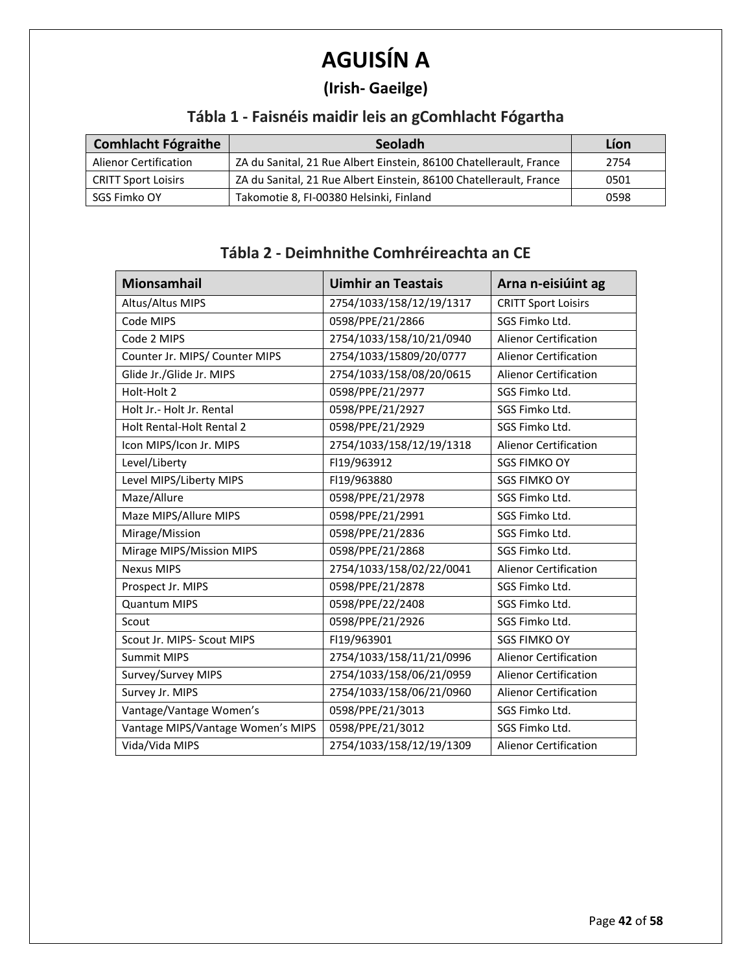# **AGUISÍN A**

## **(Irish- Gaeilge)**

## **Tábla 1 - Faisnéis maidir leis an gComhlacht Fógartha**

| <b>Comhlacht Fógraithe</b>   | Seoladh                                                            | Líon |
|------------------------------|--------------------------------------------------------------------|------|
| <b>Alienor Certification</b> | ZA du Sanital, 21 Rue Albert Einstein, 86100 Chatellerault, France | 2754 |
| <b>CRITT Sport Loisirs</b>   | ZA du Sanital, 21 Rue Albert Einstein, 86100 Chatellerault, France | 0501 |
| SGS Fimko OY                 | Takomotie 8, FI-00380 Helsinki, Finland                            | 0598 |

#### **Tábla 2 - Deimhnithe Comhréireachta an CE**

| <b>Mionsamhail</b>                | <b>Uimhir an Teastais</b> | Arna n-eisiúint ag           |
|-----------------------------------|---------------------------|------------------------------|
| Altus/Altus MIPS                  | 2754/1033/158/12/19/1317  | <b>CRITT Sport Loisirs</b>   |
| Code MIPS                         | 0598/PPE/21/2866          | SGS Fimko Ltd.               |
| Code 2 MIPS                       | 2754/1033/158/10/21/0940  | <b>Alienor Certification</b> |
| Counter Jr. MIPS/ Counter MIPS    | 2754/1033/15809/20/0777   | <b>Alienor Certification</b> |
| Glide Jr./Glide Jr. MIPS          | 2754/1033/158/08/20/0615  | <b>Alienor Certification</b> |
| Holt-Holt 2                       | 0598/PPE/21/2977          | SGS Fimko Ltd.               |
| Holt Jr. - Holt Jr. Rental        | 0598/PPE/21/2927          | SGS Fimko Ltd.               |
| Holt Rental-Holt Rental 2         | 0598/PPE/21/2929          | SGS Fimko Ltd.               |
| Icon MIPS/Icon Jr. MIPS           | 2754/1033/158/12/19/1318  | <b>Alienor Certification</b> |
| Level/Liberty                     | FI19/963912               | <b>SGS FIMKO OY</b>          |
| Level MIPS/Liberty MIPS           | FI19/963880               | <b>SGS FIMKO OY</b>          |
| Maze/Allure                       | 0598/PPE/21/2978          | SGS Fimko Ltd.               |
| Maze MIPS/Allure MIPS             | 0598/PPE/21/2991          | SGS Fimko Ltd.               |
| Mirage/Mission                    | 0598/PPE/21/2836          | SGS Fimko Ltd.               |
| Mirage MIPS/Mission MIPS          | 0598/PPE/21/2868          | SGS Fimko Ltd.               |
| <b>Nexus MIPS</b>                 | 2754/1033/158/02/22/0041  | <b>Alienor Certification</b> |
| Prospect Jr. MIPS                 | 0598/PPE/21/2878          | SGS Fimko Ltd.               |
| <b>Quantum MIPS</b>               | 0598/PPE/22/2408          | SGS Fimko Ltd.               |
| Scout                             | 0598/PPE/21/2926          | SGS Fimko Ltd.               |
| Scout Jr. MIPS- Scout MIPS        | FI19/963901               | <b>SGS FIMKO OY</b>          |
| <b>Summit MIPS</b>                | 2754/1033/158/11/21/0996  | <b>Alienor Certification</b> |
| Survey/Survey MIPS                | 2754/1033/158/06/21/0959  | <b>Alienor Certification</b> |
| Survey Jr. MIPS                   | 2754/1033/158/06/21/0960  | <b>Alienor Certification</b> |
| Vantage/Vantage Women's           | 0598/PPE/21/3013          | SGS Fimko Ltd.               |
| Vantage MIPS/Vantage Women's MIPS | 0598/PPE/21/3012          | SGS Fimko Ltd.               |
| Vida/Vida MIPS                    | 2754/1033/158/12/19/1309  | <b>Alienor Certification</b> |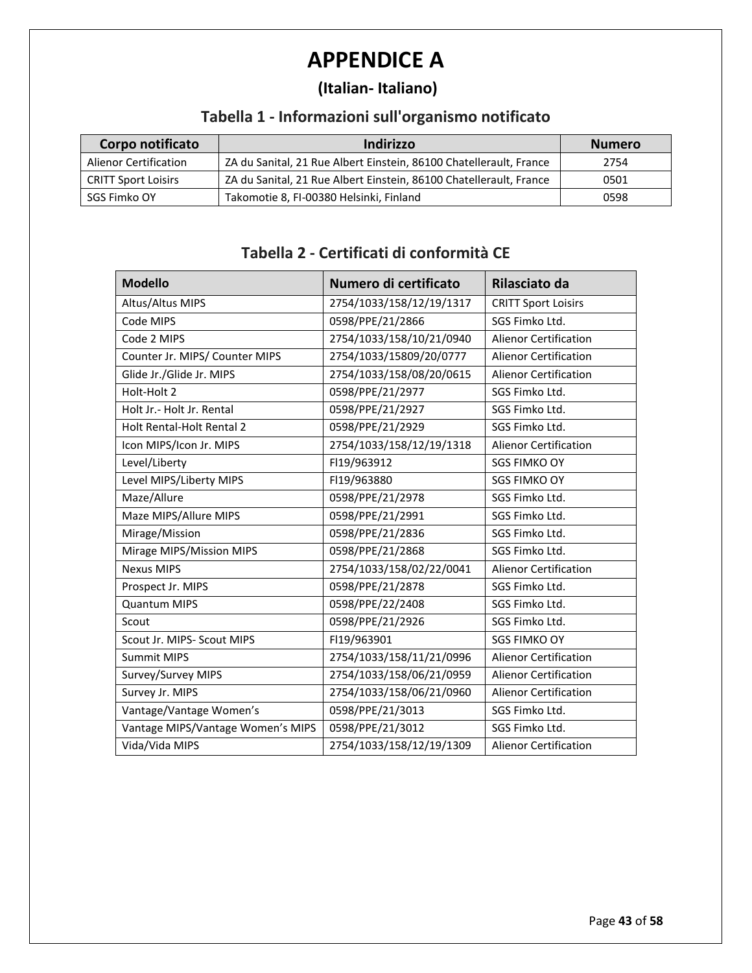# **APPENDICE A**

## **(Italian- Italiano)**

## **Tabella 1 - Informazioni sull'organismo notificato**

| Corpo notificato             | Indirizzo                                                          | <b>Numero</b> |
|------------------------------|--------------------------------------------------------------------|---------------|
| <b>Alienor Certification</b> | ZA du Sanital, 21 Rue Albert Einstein, 86100 Chatellerault, France | 2754          |
| <b>CRITT Sport Loisirs</b>   | ZA du Sanital, 21 Rue Albert Einstein, 86100 Chatellerault, France | 0501          |
| SGS Fimko OY                 | Takomotie 8, FI-00380 Helsinki, Finland                            | 0598          |

#### **Tabella 2 - Certificati di conformità CE**

| <b>Modello</b>                    | Numero di certificato    | Rilasciato da                |
|-----------------------------------|--------------------------|------------------------------|
| Altus/Altus MIPS                  | 2754/1033/158/12/19/1317 | <b>CRITT Sport Loisirs</b>   |
| Code MIPS                         | 0598/PPE/21/2866         | SGS Fimko Ltd.               |
| Code 2 MIPS                       | 2754/1033/158/10/21/0940 | <b>Alienor Certification</b> |
| Counter Jr. MIPS/ Counter MIPS    | 2754/1033/15809/20/0777  | <b>Alienor Certification</b> |
| Glide Jr./Glide Jr. MIPS          | 2754/1033/158/08/20/0615 | <b>Alienor Certification</b> |
| Holt-Holt 2                       | 0598/PPE/21/2977         | SGS Fimko Ltd.               |
| Holt Jr. - Holt Jr. Rental        | 0598/PPE/21/2927         | SGS Fimko Ltd.               |
| <b>Holt Rental-Holt Rental 2</b>  | 0598/PPE/21/2929         | SGS Fimko Ltd.               |
| Icon MIPS/Icon Jr. MIPS           | 2754/1033/158/12/19/1318 | <b>Alienor Certification</b> |
| Level/Liberty                     | FI19/963912              | <b>SGS FIMKO OY</b>          |
| Level MIPS/Liberty MIPS           | FI19/963880              | <b>SGS FIMKO OY</b>          |
| Maze/Allure                       | 0598/PPE/21/2978         | SGS Fimko Ltd.               |
| Maze MIPS/Allure MIPS             | 0598/PPE/21/2991         | SGS Fimko Ltd.               |
| Mirage/Mission                    | 0598/PPE/21/2836         | SGS Fimko Ltd.               |
| Mirage MIPS/Mission MIPS          | 0598/PPE/21/2868         | SGS Fimko Ltd.               |
| <b>Nexus MIPS</b>                 | 2754/1033/158/02/22/0041 | <b>Alienor Certification</b> |
| Prospect Jr. MIPS                 | 0598/PPE/21/2878         | SGS Fimko Ltd.               |
| <b>Quantum MIPS</b>               | 0598/PPE/22/2408         | SGS Fimko Ltd.               |
| Scout                             | 0598/PPE/21/2926         | SGS Fimko Ltd.               |
| Scout Jr. MIPS- Scout MIPS        | FI19/963901              | <b>SGS FIMKO OY</b>          |
| Summit MIPS                       | 2754/1033/158/11/21/0996 | <b>Alienor Certification</b> |
| Survey/Survey MIPS                | 2754/1033/158/06/21/0959 | <b>Alienor Certification</b> |
| Survey Jr. MIPS                   | 2754/1033/158/06/21/0960 | <b>Alienor Certification</b> |
| Vantage/Vantage Women's           | 0598/PPE/21/3013         | SGS Fimko Ltd.               |
| Vantage MIPS/Vantage Women's MIPS | 0598/PPE/21/3012         | SGS Fimko Ltd.               |
| Vida/Vida MIPS                    | 2754/1033/158/12/19/1309 | <b>Alienor Certification</b> |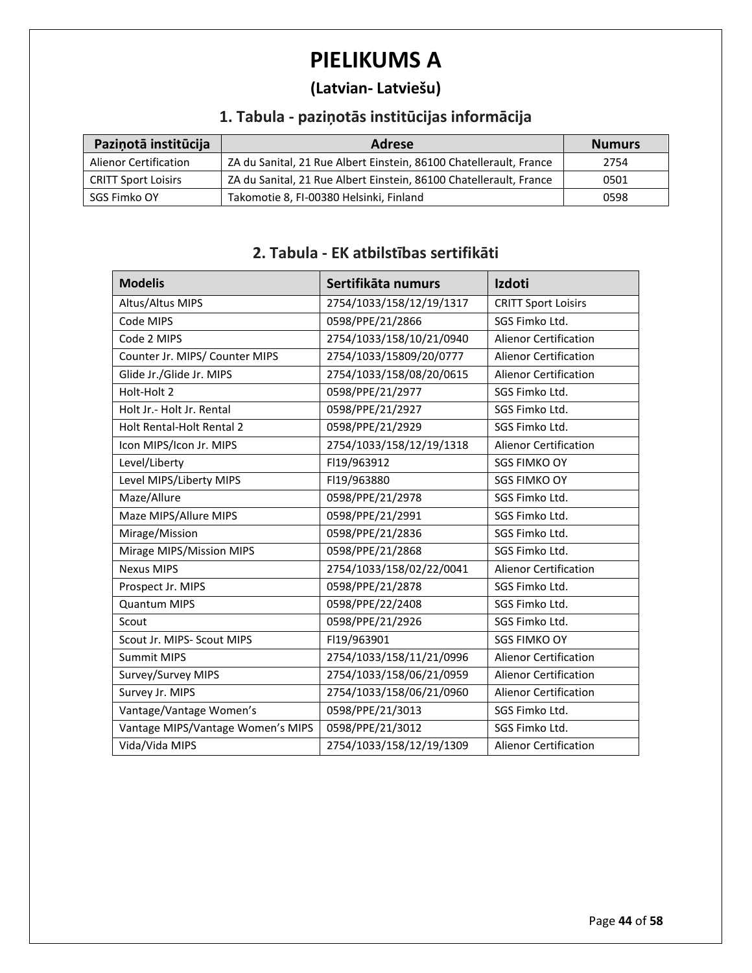# **PIELIKUMS A**

## **(Latvian- Latviešu)**

## **1. Tabula - paziņotās institūcijas informācija**

| Pazinotā institūcija         | Adrese                                                             | <b>Numurs</b> |
|------------------------------|--------------------------------------------------------------------|---------------|
| <b>Alienor Certification</b> | ZA du Sanital, 21 Rue Albert Einstein, 86100 Chatellerault, France | 2754          |
| <b>CRITT Sport Loisirs</b>   | ZA du Sanital, 21 Rue Albert Einstein, 86100 Chatellerault, France | 0501          |
| SGS Fimko OY                 | Takomotie 8, FI-00380 Helsinki, Finland                            | 0598          |

#### **2. Tabula - EK atbilstības sertifikāti**

| <b>Modelis</b>                    | Sertifikāta numurs       | <b>Izdoti</b>                |
|-----------------------------------|--------------------------|------------------------------|
| Altus/Altus MIPS                  | 2754/1033/158/12/19/1317 | <b>CRITT Sport Loisirs</b>   |
| Code MIPS                         | 0598/PPE/21/2866         | SGS Fimko Ltd.               |
| Code 2 MIPS                       | 2754/1033/158/10/21/0940 | <b>Alienor Certification</b> |
| Counter Jr. MIPS/ Counter MIPS    | 2754/1033/15809/20/0777  | <b>Alienor Certification</b> |
| Glide Jr./Glide Jr. MIPS          | 2754/1033/158/08/20/0615 | <b>Alienor Certification</b> |
| Holt-Holt 2                       | 0598/PPE/21/2977         | SGS Fimko Ltd.               |
| Holt Jr. - Holt Jr. Rental        | 0598/PPE/21/2927         | SGS Fimko Ltd.               |
| Holt Rental-Holt Rental 2         | 0598/PPE/21/2929         | SGS Fimko Ltd.               |
| Icon MIPS/Icon Jr. MIPS           | 2754/1033/158/12/19/1318 | <b>Alienor Certification</b> |
| Level/Liberty                     | FI19/963912              | <b>SGS FIMKO OY</b>          |
| Level MIPS/Liberty MIPS           | FI19/963880              | <b>SGS FIMKO OY</b>          |
| Maze/Allure                       | 0598/PPE/21/2978         | SGS Fimko Ltd.               |
| Maze MIPS/Allure MIPS             | 0598/PPE/21/2991         | SGS Fimko Ltd.               |
| Mirage/Mission                    | 0598/PPE/21/2836         | SGS Fimko Ltd.               |
| Mirage MIPS/Mission MIPS          | 0598/PPE/21/2868         | SGS Fimko Ltd.               |
| <b>Nexus MIPS</b>                 | 2754/1033/158/02/22/0041 | <b>Alienor Certification</b> |
| Prospect Jr. MIPS                 | 0598/PPE/21/2878         | SGS Fimko Ltd.               |
| <b>Quantum MIPS</b>               | 0598/PPE/22/2408         | SGS Fimko Ltd.               |
| Scout                             | 0598/PPE/21/2926         | SGS Fimko Ltd.               |
| Scout Jr. MIPS- Scout MIPS        | FI19/963901              | <b>SGS FIMKO OY</b>          |
| <b>Summit MIPS</b>                | 2754/1033/158/11/21/0996 | <b>Alienor Certification</b> |
| Survey/Survey MIPS                | 2754/1033/158/06/21/0959 | <b>Alienor Certification</b> |
| Survey Jr. MIPS                   | 2754/1033/158/06/21/0960 | <b>Alienor Certification</b> |
| Vantage/Vantage Women's           | 0598/PPE/21/3013         | SGS Fimko Ltd.               |
| Vantage MIPS/Vantage Women's MIPS | 0598/PPE/21/3012         | SGS Fimko Ltd.               |
| Vida/Vida MIPS                    | 2754/1033/158/12/19/1309 | Alienor Certification        |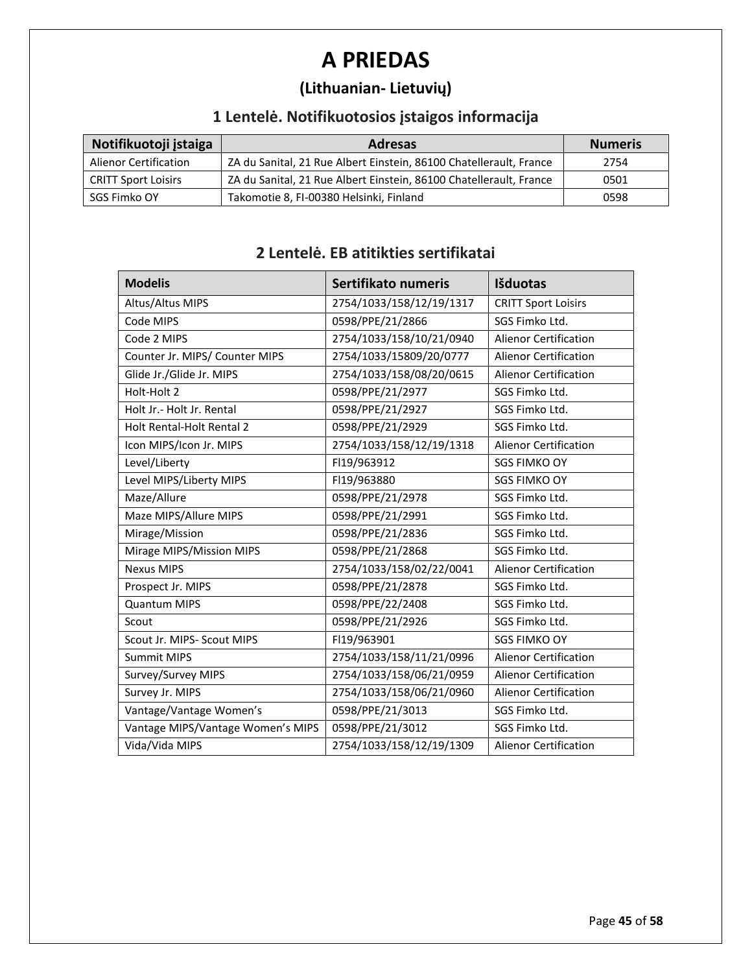# **A PRIEDAS**

## **(Lithuanian- Lietuvių)**

## **1 Lentelė. Notifikuotosios įstaigos informacija**

| Notifikuotoji įstaiga        | <b>Adresas</b>                                                     | <b>Numeris</b> |
|------------------------------|--------------------------------------------------------------------|----------------|
| <b>Alienor Certification</b> | ZA du Sanital, 21 Rue Albert Einstein, 86100 Chatellerault, France | 2754           |
| <b>CRITT Sport Loisirs</b>   | ZA du Sanital, 21 Rue Albert Einstein, 86100 Chatellerault, France | 0501           |
| SGS Fimko OY                 | Takomotie 8, FI-00380 Helsinki, Finland                            | 0598           |

# **2 Lentelė. EB atitikties sertifikatai**

| <b>Modelis</b>                    | Sertifikato numeris      | Išduotas                     |
|-----------------------------------|--------------------------|------------------------------|
| Altus/Altus MIPS                  | 2754/1033/158/12/19/1317 | <b>CRITT Sport Loisirs</b>   |
| Code MIPS                         | 0598/PPE/21/2866         | SGS Fimko Ltd.               |
| Code 2 MIPS                       | 2754/1033/158/10/21/0940 | <b>Alienor Certification</b> |
| Counter Jr. MIPS/ Counter MIPS    | 2754/1033/15809/20/0777  | <b>Alienor Certification</b> |
| Glide Jr./Glide Jr. MIPS          | 2754/1033/158/08/20/0615 | <b>Alienor Certification</b> |
| Holt-Holt 2                       | 0598/PPE/21/2977         | SGS Fimko Ltd.               |
| Holt Jr.- Holt Jr. Rental         | 0598/PPE/21/2927         | SGS Fimko Ltd.               |
| Holt Rental-Holt Rental 2         | 0598/PPE/21/2929         | SGS Fimko Ltd.               |
| Icon MIPS/Icon Jr. MIPS           | 2754/1033/158/12/19/1318 | <b>Alienor Certification</b> |
| Level/Liberty                     | FI19/963912              | <b>SGS FIMKO OY</b>          |
| Level MIPS/Liberty MIPS           | FI19/963880              | <b>SGS FIMKO OY</b>          |
| Maze/Allure                       | 0598/PPE/21/2978         | SGS Fimko Ltd.               |
| Maze MIPS/Allure MIPS             | 0598/PPE/21/2991         | SGS Fimko Ltd.               |
| Mirage/Mission                    | 0598/PPE/21/2836         | SGS Fimko Ltd.               |
| Mirage MIPS/Mission MIPS          | 0598/PPE/21/2868         | SGS Fimko Ltd.               |
| <b>Nexus MIPS</b>                 | 2754/1033/158/02/22/0041 | <b>Alienor Certification</b> |
| Prospect Jr. MIPS                 | 0598/PPE/21/2878         | SGS Fimko Ltd.               |
| <b>Quantum MIPS</b>               | 0598/PPE/22/2408         | SGS Fimko Ltd.               |
| Scout                             | 0598/PPE/21/2926         | SGS Fimko Ltd.               |
| Scout Jr. MIPS- Scout MIPS        | FI19/963901              | <b>SGS FIMKO OY</b>          |
| <b>Summit MIPS</b>                | 2754/1033/158/11/21/0996 | Alienor Certification        |
| Survey/Survey MIPS                | 2754/1033/158/06/21/0959 | <b>Alienor Certification</b> |
| Survey Jr. MIPS                   | 2754/1033/158/06/21/0960 | <b>Alienor Certification</b> |
| Vantage/Vantage Women's           | 0598/PPE/21/3013         | SGS Fimko Ltd.               |
| Vantage MIPS/Vantage Women's MIPS | 0598/PPE/21/3012         | SGS Fimko Ltd.               |
| Vida/Vida MIPS                    | 2754/1033/158/12/19/1309 | <b>Alienor Certification</b> |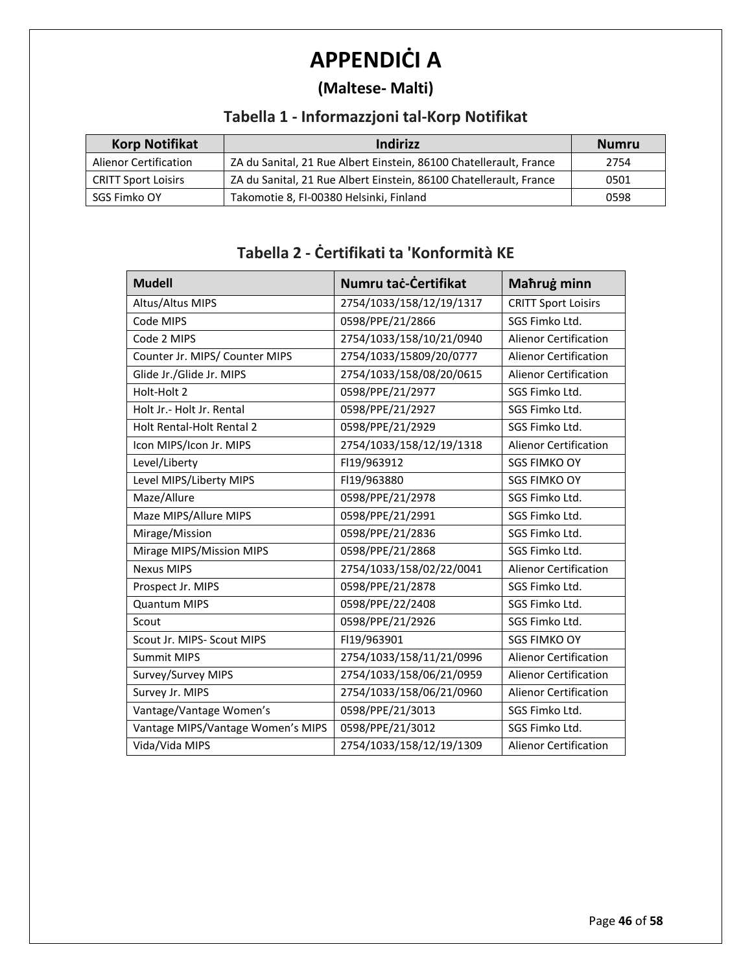# **APPENDIĊI A**

## **(Maltese- Malti)**

## **Tabella 1 - Informazzjoni tal-Korp Notifikat**

| <b>Korp Notifikat</b>        | Indirizz                                                           | <b>Numru</b> |
|------------------------------|--------------------------------------------------------------------|--------------|
| <b>Alienor Certification</b> | ZA du Sanital, 21 Rue Albert Einstein, 86100 Chatellerault, France | 2754         |
| <b>CRITT Sport Loisirs</b>   | ZA du Sanital, 21 Rue Albert Einstein, 86100 Chatellerault, France | 0501         |
| SGS Fimko OY                 | Takomotie 8, FI-00380 Helsinki, Finland                            | 0598         |

#### **Tabella 2 - Ċertifikati ta 'Konformità KE**

| <b>Mudell</b>                     | Numru taċ-Čertifikat     | Mahrug minn                  |
|-----------------------------------|--------------------------|------------------------------|
| Altus/Altus MIPS                  | 2754/1033/158/12/19/1317 | <b>CRITT Sport Loisirs</b>   |
| Code MIPS                         | 0598/PPE/21/2866         | SGS Fimko Ltd.               |
| Code 2 MIPS                       | 2754/1033/158/10/21/0940 | <b>Alienor Certification</b> |
| Counter Jr. MIPS/ Counter MIPS    | 2754/1033/15809/20/0777  | <b>Alienor Certification</b> |
| Glide Jr./Glide Jr. MIPS          | 2754/1033/158/08/20/0615 | <b>Alienor Certification</b> |
| Holt-Holt 2                       | 0598/PPE/21/2977         | SGS Fimko Ltd.               |
| Holt Jr.- Holt Jr. Rental         | 0598/PPE/21/2927         | SGS Fimko Ltd.               |
| <b>Holt Rental-Holt Rental 2</b>  | 0598/PPE/21/2929         | SGS Fimko Ltd.               |
| Icon MIPS/Icon Jr. MIPS           | 2754/1033/158/12/19/1318 | <b>Alienor Certification</b> |
| Level/Liberty                     | FI19/963912              | <b>SGS FIMKO OY</b>          |
| Level MIPS/Liberty MIPS           | FI19/963880              | <b>SGS FIMKO OY</b>          |
| Maze/Allure                       | 0598/PPE/21/2978         | SGS Fimko Ltd.               |
| Maze MIPS/Allure MIPS             | 0598/PPE/21/2991         | SGS Fimko Ltd.               |
| Mirage/Mission                    | 0598/PPE/21/2836         | SGS Fimko Ltd.               |
| Mirage MIPS/Mission MIPS          | 0598/PPE/21/2868         | SGS Fimko Ltd.               |
| <b>Nexus MIPS</b>                 | 2754/1033/158/02/22/0041 | <b>Alienor Certification</b> |
| Prospect Jr. MIPS                 | 0598/PPE/21/2878         | SGS Fimko Ltd.               |
| <b>Quantum MIPS</b>               | 0598/PPE/22/2408         | SGS Fimko Ltd.               |
| Scout                             | 0598/PPE/21/2926         | SGS Fimko Ltd.               |
| Scout Jr. MIPS- Scout MIPS        | FI19/963901              | <b>SGS FIMKO OY</b>          |
| <b>Summit MIPS</b>                | 2754/1033/158/11/21/0996 | <b>Alienor Certification</b> |
| Survey/Survey MIPS                | 2754/1033/158/06/21/0959 | <b>Alienor Certification</b> |
| Survey Jr. MIPS                   | 2754/1033/158/06/21/0960 | <b>Alienor Certification</b> |
| Vantage/Vantage Women's           | 0598/PPE/21/3013         | SGS Fimko Ltd.               |
| Vantage MIPS/Vantage Women's MIPS | 0598/PPE/21/3012         | SGS Fimko Ltd.               |
| Vida/Vida MIPS                    | 2754/1033/158/12/19/1309 | Alienor Certification        |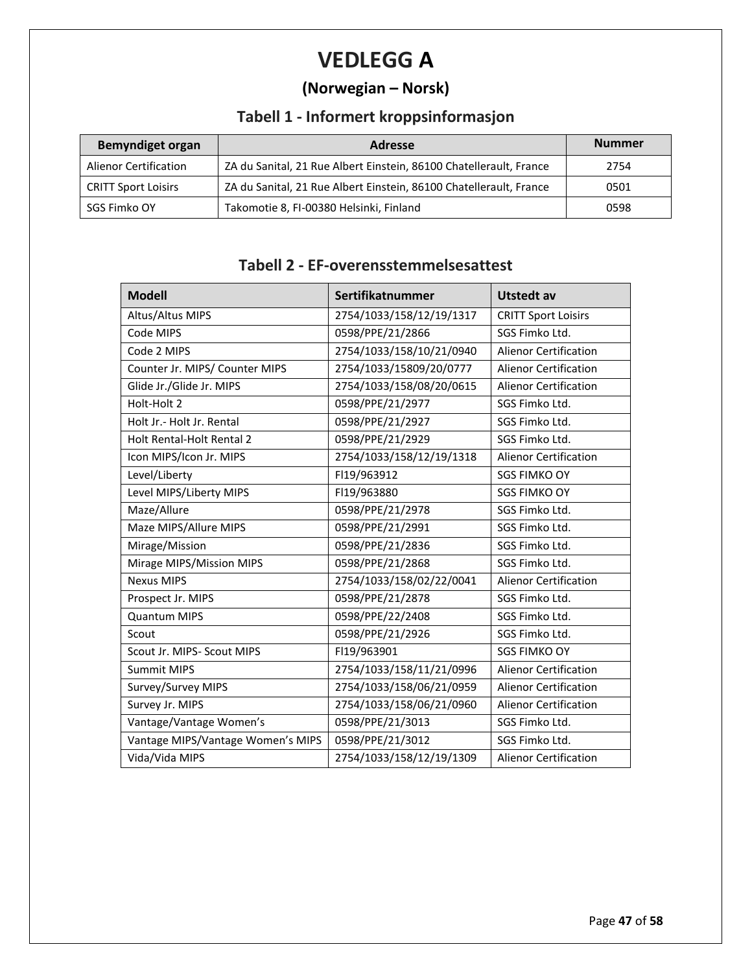# **VEDLEGG A**

## **(Norwegian – Norsk)**

## **Tabell 1 - Informert kroppsinformasjon**

| <b>Bemyndiget organ</b>      | <b>Adresse</b>                                                     | <b>Nummer</b> |
|------------------------------|--------------------------------------------------------------------|---------------|
| <b>Alienor Certification</b> | ZA du Sanital, 21 Rue Albert Einstein, 86100 Chatellerault, France | 2754          |
| <b>CRITT Sport Loisirs</b>   | ZA du Sanital, 21 Rue Albert Einstein, 86100 Chatellerault, France | 0501          |
| SGS Fimko OY                 | Takomotie 8, FI-00380 Helsinki, Finland                            | 0598          |

#### **Tabell 2 - EF-overensstemmelsesattest**

| <b>Modell</b>                     | Sertifikatnummer         | <b>Utstedt av</b>            |
|-----------------------------------|--------------------------|------------------------------|
| Altus/Altus MIPS                  | 2754/1033/158/12/19/1317 | <b>CRITT Sport Loisirs</b>   |
| Code MIPS                         | 0598/PPE/21/2866         | SGS Fimko Ltd.               |
| Code 2 MIPS                       | 2754/1033/158/10/21/0940 | <b>Alienor Certification</b> |
| Counter Jr. MIPS/ Counter MIPS    | 2754/1033/15809/20/0777  | <b>Alienor Certification</b> |
| Glide Jr./Glide Jr. MIPS          | 2754/1033/158/08/20/0615 | <b>Alienor Certification</b> |
| Holt-Holt 2                       | 0598/PPE/21/2977         | SGS Fimko Ltd.               |
| Holt Jr.- Holt Jr. Rental         | 0598/PPE/21/2927         | SGS Fimko Ltd.               |
| Holt Rental-Holt Rental 2         | 0598/PPE/21/2929         | SGS Fimko Ltd.               |
| Icon MIPS/Icon Jr. MIPS           | 2754/1033/158/12/19/1318 | <b>Alienor Certification</b> |
| Level/Liberty                     | FI19/963912              | <b>SGS FIMKO OY</b>          |
| Level MIPS/Liberty MIPS           | FI19/963880              | <b>SGS FIMKO OY</b>          |
| Maze/Allure                       | 0598/PPE/21/2978         | SGS Fimko Ltd.               |
| Maze MIPS/Allure MIPS             | 0598/PPE/21/2991         | SGS Fimko Ltd.               |
| Mirage/Mission                    | 0598/PPE/21/2836         | SGS Fimko Ltd.               |
| Mirage MIPS/Mission MIPS          | 0598/PPE/21/2868         | SGS Fimko Ltd.               |
| <b>Nexus MIPS</b>                 | 2754/1033/158/02/22/0041 | <b>Alienor Certification</b> |
| Prospect Jr. MIPS                 | 0598/PPE/21/2878         | SGS Fimko Ltd.               |
| <b>Quantum MIPS</b>               | 0598/PPE/22/2408         | SGS Fimko Ltd.               |
| Scout                             | 0598/PPE/21/2926         | SGS Fimko Ltd.               |
| Scout Jr. MIPS- Scout MIPS        | FI19/963901              | <b>SGS FIMKO OY</b>          |
| <b>Summit MIPS</b>                | 2754/1033/158/11/21/0996 | <b>Alienor Certification</b> |
| Survey/Survey MIPS                | 2754/1033/158/06/21/0959 | <b>Alienor Certification</b> |
| Survey Jr. MIPS                   | 2754/1033/158/06/21/0960 | <b>Alienor Certification</b> |
| Vantage/Vantage Women's           | 0598/PPE/21/3013         | SGS Fimko Ltd.               |
| Vantage MIPS/Vantage Women's MIPS | 0598/PPE/21/3012         | SGS Fimko Ltd.               |
| Vida/Vida MIPS                    | 2754/1033/158/12/19/1309 | <b>Alienor Certification</b> |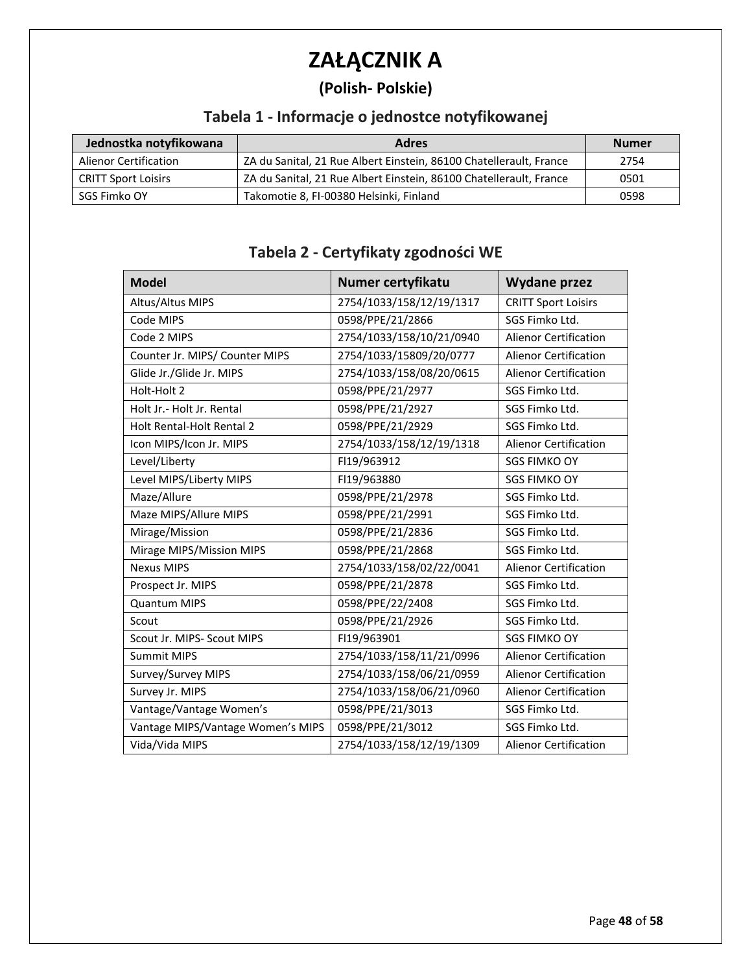# **ZAŁĄCZNIK A**

## **(Polish- Polskie)**

## **Tabela 1 - Informacje o jednostce notyfikowanej**

| Jednostka notyfikowana       | <b>Adres</b>                                                       | <b>Numer</b> |
|------------------------------|--------------------------------------------------------------------|--------------|
| <b>Alienor Certification</b> | ZA du Sanital, 21 Rue Albert Einstein, 86100 Chatellerault, France | 2754         |
| <b>CRITT Sport Loisirs</b>   | ZA du Sanital, 21 Rue Albert Einstein, 86100 Chatellerault, France | 0501         |
| SGS Fimko OY                 | Takomotie 8, FI-00380 Helsinki, Finland                            | 0598         |

#### **Tabela 2 - Certyfikaty zgodności WE**

| <b>Model</b>                      | Numer certyfikatu        | <b>Wydane przez</b>          |
|-----------------------------------|--------------------------|------------------------------|
| Altus/Altus MIPS                  | 2754/1033/158/12/19/1317 | <b>CRITT Sport Loisirs</b>   |
| Code MIPS                         | 0598/PPE/21/2866         | SGS Fimko Ltd.               |
| Code 2 MIPS                       | 2754/1033/158/10/21/0940 | <b>Alienor Certification</b> |
| Counter Jr. MIPS/ Counter MIPS    | 2754/1033/15809/20/0777  | <b>Alienor Certification</b> |
| Glide Jr./Glide Jr. MIPS          | 2754/1033/158/08/20/0615 | <b>Alienor Certification</b> |
| Holt-Holt 2                       | 0598/PPE/21/2977         | SGS Fimko Ltd.               |
| Holt Jr.- Holt Jr. Rental         | 0598/PPE/21/2927         | SGS Fimko Ltd.               |
| Holt Rental-Holt Rental 2         | 0598/PPE/21/2929         | SGS Fimko Ltd.               |
| Icon MIPS/Icon Jr. MIPS           | 2754/1033/158/12/19/1318 | <b>Alienor Certification</b> |
| Level/Liberty                     | FI19/963912              | <b>SGS FIMKO OY</b>          |
| Level MIPS/Liberty MIPS           | FI19/963880              | <b>SGS FIMKO OY</b>          |
| Maze/Allure                       | 0598/PPE/21/2978         | SGS Fimko Ltd.               |
| Maze MIPS/Allure MIPS             | 0598/PPE/21/2991         | SGS Fimko Ltd.               |
| Mirage/Mission                    | 0598/PPE/21/2836         | SGS Fimko Ltd.               |
| Mirage MIPS/Mission MIPS          | 0598/PPE/21/2868         | SGS Fimko Ltd.               |
| <b>Nexus MIPS</b>                 | 2754/1033/158/02/22/0041 | <b>Alienor Certification</b> |
| Prospect Jr. MIPS                 | 0598/PPE/21/2878         | SGS Fimko Ltd.               |
| <b>Quantum MIPS</b>               | 0598/PPE/22/2408         | SGS Fimko Ltd.               |
| Scout                             | 0598/PPE/21/2926         | SGS Fimko Ltd.               |
| Scout Jr. MIPS- Scout MIPS        | FI19/963901              | <b>SGS FIMKO OY</b>          |
| <b>Summit MIPS</b>                | 2754/1033/158/11/21/0996 | Alienor Certification        |
| Survey/Survey MIPS                | 2754/1033/158/06/21/0959 | <b>Alienor Certification</b> |
| Survey Jr. MIPS                   | 2754/1033/158/06/21/0960 | <b>Alienor Certification</b> |
| Vantage/Vantage Women's           | 0598/PPE/21/3013         | SGS Fimko Ltd.               |
| Vantage MIPS/Vantage Women's MIPS | 0598/PPE/21/3012         | SGS Fimko Ltd.               |
| Vida/Vida MIPS                    | 2754/1033/158/12/19/1309 | <b>Alienor Certification</b> |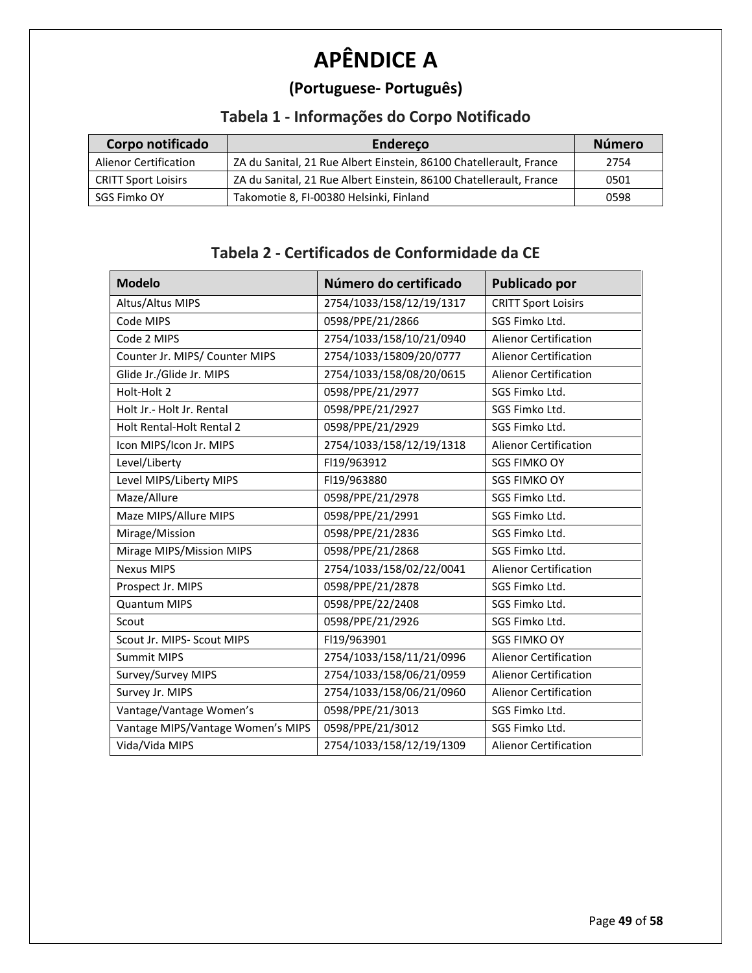# **APÊNDICE A**

## **(Portuguese- Português)**

## **Tabela 1 - Informações do Corpo Notificado**

| Corpo notificado             | Endereco                                                           | <b>Número</b> |
|------------------------------|--------------------------------------------------------------------|---------------|
| <b>Alienor Certification</b> | ZA du Sanital, 21 Rue Albert Einstein, 86100 Chatellerault, France | 2754          |
| <b>CRITT Sport Loisirs</b>   | ZA du Sanital, 21 Rue Albert Einstein, 86100 Chatellerault, France | 0501          |
| SGS Fimko OY                 | Takomotie 8, FI-00380 Helsinki, Finland                            | 0598          |

#### **Tabela 2 - Certificados de Conformidade da CE**

| <b>Modelo</b>                     | Número do certificado    | Publicado por                |
|-----------------------------------|--------------------------|------------------------------|
| Altus/Altus MIPS                  | 2754/1033/158/12/19/1317 | <b>CRITT Sport Loisirs</b>   |
| Code MIPS                         | 0598/PPE/21/2866         | SGS Fimko Ltd.               |
| Code 2 MIPS                       | 2754/1033/158/10/21/0940 | <b>Alienor Certification</b> |
| Counter Jr. MIPS/ Counter MIPS    | 2754/1033/15809/20/0777  | <b>Alienor Certification</b> |
| Glide Jr./Glide Jr. MIPS          | 2754/1033/158/08/20/0615 | <b>Alienor Certification</b> |
| Holt-Holt 2                       | 0598/PPE/21/2977         | SGS Fimko Ltd.               |
| Holt Jr.- Holt Jr. Rental         | 0598/PPE/21/2927         | SGS Fimko Ltd.               |
| Holt Rental-Holt Rental 2         | 0598/PPE/21/2929         | SGS Fimko Ltd.               |
| Icon MIPS/Icon Jr. MIPS           | 2754/1033/158/12/19/1318 | <b>Alienor Certification</b> |
| Level/Liberty                     | FI19/963912              | <b>SGS FIMKO OY</b>          |
| Level MIPS/Liberty MIPS           | FI19/963880              | <b>SGS FIMKO OY</b>          |
| Maze/Allure                       | 0598/PPE/21/2978         | SGS Fimko Ltd.               |
| Maze MIPS/Allure MIPS             | 0598/PPE/21/2991         | SGS Fimko Ltd.               |
| Mirage/Mission                    | 0598/PPE/21/2836         | SGS Fimko Ltd.               |
| Mirage MIPS/Mission MIPS          | 0598/PPE/21/2868         | SGS Fimko Ltd.               |
| <b>Nexus MIPS</b>                 | 2754/1033/158/02/22/0041 | <b>Alienor Certification</b> |
| Prospect Jr. MIPS                 | 0598/PPE/21/2878         | SGS Fimko Ltd.               |
| <b>Quantum MIPS</b>               | 0598/PPE/22/2408         | SGS Fimko Ltd.               |
| Scout                             | 0598/PPE/21/2926         | SGS Fimko Ltd.               |
| Scout Jr. MIPS- Scout MIPS        | FI19/963901              | <b>SGS FIMKO OY</b>          |
| <b>Summit MIPS</b>                | 2754/1033/158/11/21/0996 | <b>Alienor Certification</b> |
| Survey/Survey MIPS                | 2754/1033/158/06/21/0959 | <b>Alienor Certification</b> |
| Survey Jr. MIPS                   | 2754/1033/158/06/21/0960 | <b>Alienor Certification</b> |
| Vantage/Vantage Women's           | 0598/PPE/21/3013         | SGS Fimko Ltd.               |
| Vantage MIPS/Vantage Women's MIPS | 0598/PPE/21/3012         | SGS Fimko Ltd.               |
| Vida/Vida MIPS                    | 2754/1033/158/12/19/1309 | <b>Alienor Certification</b> |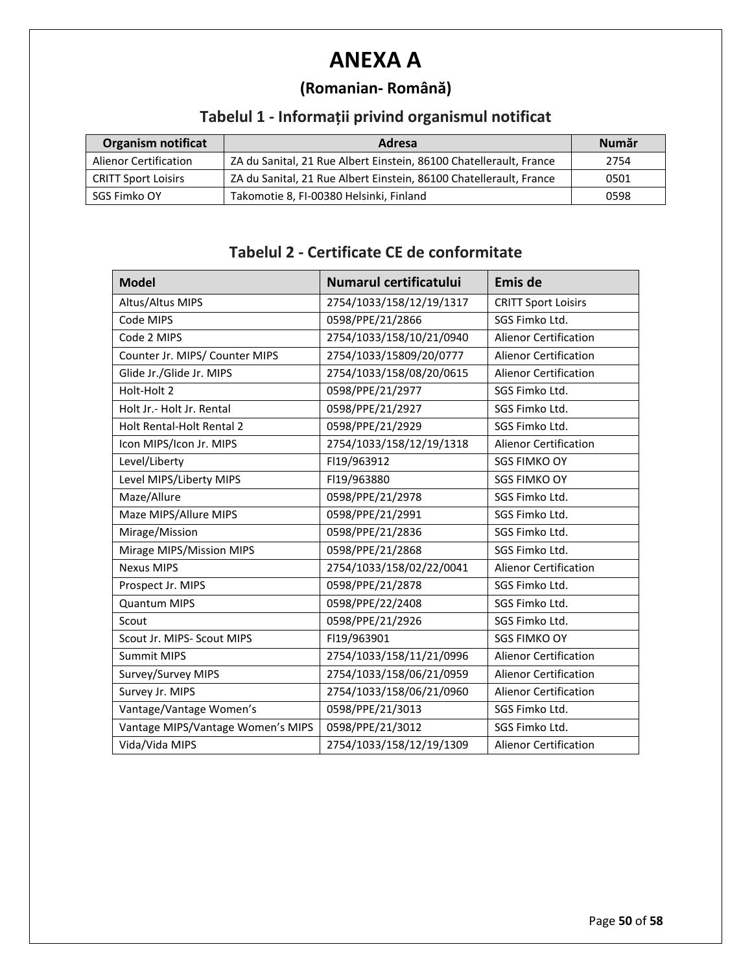## **ANEXA A**

## **(Romanian- Română)**

## **Tabelul 1 - Informații privind organismul notificat**

| <b>Organism notificat</b>    | Adresa                                                             | <b>Num</b> ar |
|------------------------------|--------------------------------------------------------------------|---------------|
| <b>Alienor Certification</b> | ZA du Sanital, 21 Rue Albert Einstein, 86100 Chatellerault, France | 2754          |
| <b>CRITT Sport Loisirs</b>   | ZA du Sanital, 21 Rue Albert Einstein, 86100 Chatellerault, France | 0501          |
| SGS Fimko OY                 | Takomotie 8, FI-00380 Helsinki, Finland                            | 0598          |

#### **Tabelul 2 - Certificate CE de conformitate**

| <b>Model</b>                      | Numarul certificatului   | Emis de                      |
|-----------------------------------|--------------------------|------------------------------|
| Altus/Altus MIPS                  | 2754/1033/158/12/19/1317 | <b>CRITT Sport Loisirs</b>   |
| Code MIPS                         | 0598/PPE/21/2866         | SGS Fimko Ltd.               |
| Code 2 MIPS                       | 2754/1033/158/10/21/0940 | <b>Alienor Certification</b> |
| Counter Jr. MIPS/ Counter MIPS    | 2754/1033/15809/20/0777  | <b>Alienor Certification</b> |
| Glide Jr./Glide Jr. MIPS          | 2754/1033/158/08/20/0615 | <b>Alienor Certification</b> |
| Holt-Holt 2                       | 0598/PPE/21/2977         | SGS Fimko Ltd.               |
| Holt Jr.- Holt Jr. Rental         | 0598/PPE/21/2927         | SGS Fimko Ltd.               |
| Holt Rental-Holt Rental 2         | 0598/PPE/21/2929         | SGS Fimko Ltd.               |
| Icon MIPS/Icon Jr. MIPS           | 2754/1033/158/12/19/1318 | <b>Alienor Certification</b> |
| Level/Liberty                     | FI19/963912              | <b>SGS FIMKO OY</b>          |
| Level MIPS/Liberty MIPS           | FI19/963880              | <b>SGS FIMKO OY</b>          |
| Maze/Allure                       | 0598/PPE/21/2978         | SGS Fimko Ltd.               |
| Maze MIPS/Allure MIPS             | 0598/PPE/21/2991         | SGS Fimko Ltd.               |
| Mirage/Mission                    | 0598/PPE/21/2836         | SGS Fimko Ltd.               |
| Mirage MIPS/Mission MIPS          | 0598/PPE/21/2868         | SGS Fimko Ltd.               |
| <b>Nexus MIPS</b>                 | 2754/1033/158/02/22/0041 | <b>Alienor Certification</b> |
| Prospect Jr. MIPS                 | 0598/PPE/21/2878         | SGS Fimko Ltd.               |
| <b>Quantum MIPS</b>               | 0598/PPE/22/2408         | SGS Fimko Ltd.               |
| Scout                             | 0598/PPE/21/2926         | SGS Fimko Ltd.               |
| Scout Jr. MIPS- Scout MIPS        | FI19/963901              | <b>SGS FIMKO OY</b>          |
| <b>Summit MIPS</b>                | 2754/1033/158/11/21/0996 | <b>Alienor Certification</b> |
| Survey/Survey MIPS                | 2754/1033/158/06/21/0959 | <b>Alienor Certification</b> |
| Survey Jr. MIPS                   | 2754/1033/158/06/21/0960 | <b>Alienor Certification</b> |
| Vantage/Vantage Women's           | 0598/PPE/21/3013         | SGS Fimko Ltd.               |
| Vantage MIPS/Vantage Women's MIPS | 0598/PPE/21/3012         | SGS Fimko Ltd.               |
| Vida/Vida MIPS                    | 2754/1033/158/12/19/1309 | <b>Alienor Certification</b> |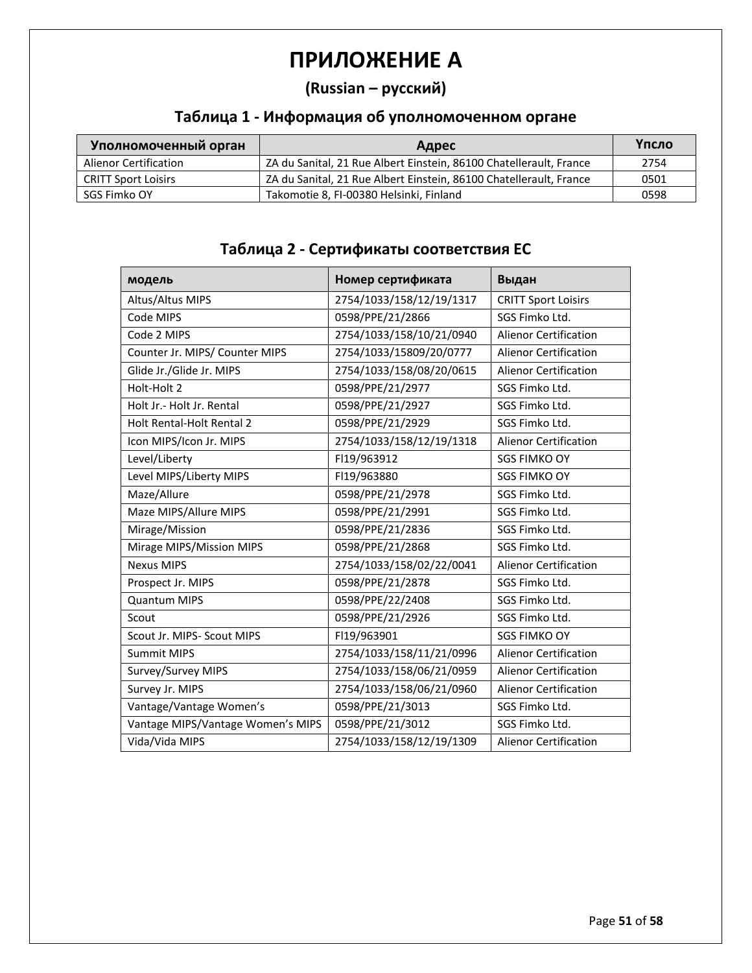## **ПРИЛОЖЕНИЕ A**

#### **(Russian – русский)**

#### **Таблица 1 - Информация об уполномоченном органе**

| Уполномоченный орган  | Адрес                                                              | Үпсло |
|-----------------------|--------------------------------------------------------------------|-------|
| Alienor Certification | ZA du Sanital, 21 Rue Albert Einstein, 86100 Chatellerault, France | 2754  |
| CRITT Sport Loisirs   | ZA du Sanital, 21 Rue Albert Einstein, 86100 Chatellerault, France | 0501  |
| SGS Fimko OY          | Takomotie 8, FI-00380 Helsinki, Finland                            | 0598  |

| модель                            | Номер сертификата        | Выдан                        |
|-----------------------------------|--------------------------|------------------------------|
| Altus/Altus MIPS                  | 2754/1033/158/12/19/1317 | <b>CRITT Sport Loisirs</b>   |
| Code MIPS                         | 0598/PPE/21/2866         | SGS Fimko Ltd.               |
| Code 2 MIPS                       | 2754/1033/158/10/21/0940 | <b>Alienor Certification</b> |
| Counter Jr. MIPS/ Counter MIPS    | 2754/1033/15809/20/0777  | <b>Alienor Certification</b> |
| Glide Jr./Glide Jr. MIPS          | 2754/1033/158/08/20/0615 | <b>Alienor Certification</b> |
| Holt-Holt 2                       | 0598/PPE/21/2977         | SGS Fimko Ltd.               |
| Holt Jr.- Holt Jr. Rental         | 0598/PPE/21/2927         | SGS Fimko Ltd.               |
| <b>Holt Rental-Holt Rental 2</b>  | 0598/PPE/21/2929         | SGS Fimko Ltd.               |
| Icon MIPS/Icon Jr. MIPS           | 2754/1033/158/12/19/1318 | <b>Alienor Certification</b> |
| Level/Liberty                     | FI19/963912              | <b>SGS FIMKO OY</b>          |
| Level MIPS/Liberty MIPS           | FI19/963880              | <b>SGS FIMKO OY</b>          |
| Maze/Allure                       | 0598/PPE/21/2978         | SGS Fimko Ltd.               |
| Maze MIPS/Allure MIPS             | 0598/PPE/21/2991         | SGS Fimko Ltd.               |
| Mirage/Mission                    | 0598/PPE/21/2836         | SGS Fimko Ltd.               |
| Mirage MIPS/Mission MIPS          | 0598/PPE/21/2868         | SGS Fimko Ltd.               |
| <b>Nexus MIPS</b>                 | 2754/1033/158/02/22/0041 | <b>Alienor Certification</b> |
| Prospect Jr. MIPS                 | 0598/PPE/21/2878         | SGS Fimko Ltd.               |
| <b>Quantum MIPS</b>               | 0598/PPE/22/2408         | SGS Fimko Ltd.               |
| Scout                             | 0598/PPE/21/2926         | SGS Fimko Ltd.               |
| Scout Jr. MIPS- Scout MIPS        | FI19/963901              | <b>SGS FIMKO OY</b>          |
| <b>Summit MIPS</b>                | 2754/1033/158/11/21/0996 | <b>Alienor Certification</b> |
| Survey/Survey MIPS                | 2754/1033/158/06/21/0959 | <b>Alienor Certification</b> |
| Survey Jr. MIPS                   | 2754/1033/158/06/21/0960 | <b>Alienor Certification</b> |
| Vantage/Vantage Women's           | 0598/PPE/21/3013         | SGS Fimko Ltd.               |
| Vantage MIPS/Vantage Women's MIPS | 0598/PPE/21/3012         | SGS Fimko Ltd.               |
| Vida/Vida MIPS                    | 2754/1033/158/12/19/1309 | <b>Alienor Certification</b> |

#### **Таблица 2 - Сертификаты соответствия ЕС**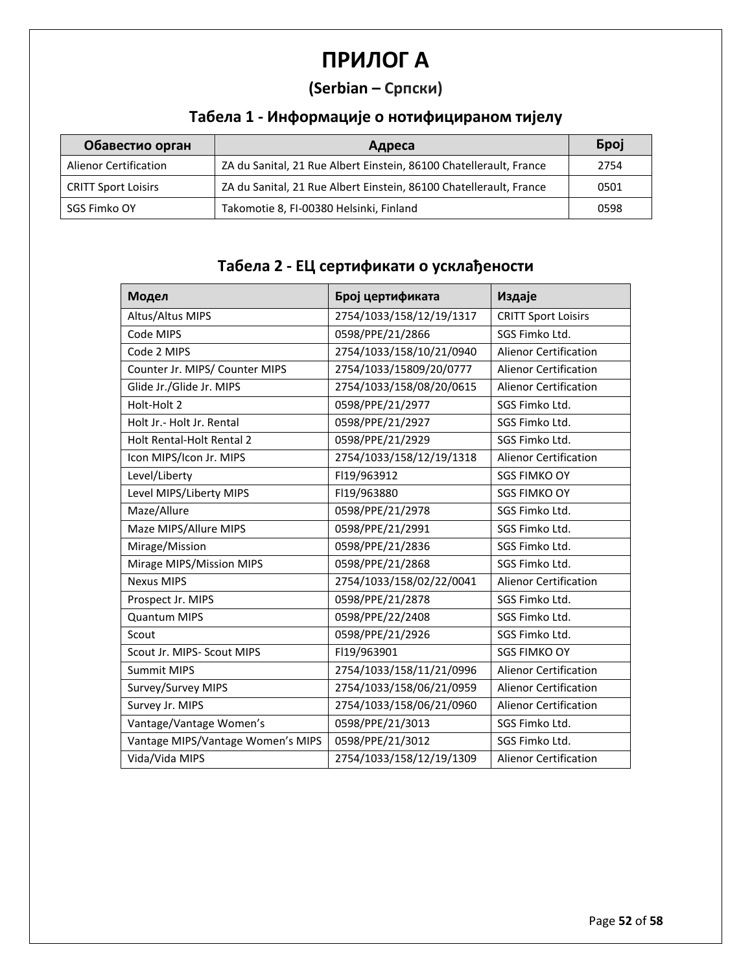# **ПРИЛОГ A**

## **(Serbian – Српски)**

## **Табела 1 - Информације о нотифицираном тијелу**

| Обавестио орган              | Адреса                                                             | <b>Gpoj</b> |
|------------------------------|--------------------------------------------------------------------|-------------|
| <b>Alienor Certification</b> | ZA du Sanital, 21 Rue Albert Einstein, 86100 Chatellerault, France | 2754        |
| <b>CRITT Sport Loisirs</b>   | ZA du Sanital, 21 Rue Albert Einstein, 86100 Chatellerault, France | 0501        |
| SGS Fimko OY                 | Takomotie 8, FI-00380 Helsinki, Finland                            | 0598        |

## **Табела 2 - ЕЦ сертификати о усклађености**

| Модел                             | Број цертификата         | Издаје                       |
|-----------------------------------|--------------------------|------------------------------|
| Altus/Altus MIPS                  | 2754/1033/158/12/19/1317 | <b>CRITT Sport Loisirs</b>   |
| Code MIPS                         | 0598/PPE/21/2866         | SGS Fimko Ltd.               |
| Code 2 MIPS                       | 2754/1033/158/10/21/0940 | <b>Alienor Certification</b> |
| Counter Jr. MIPS/ Counter MIPS    | 2754/1033/15809/20/0777  | <b>Alienor Certification</b> |
| Glide Jr./Glide Jr. MIPS          | 2754/1033/158/08/20/0615 | <b>Alienor Certification</b> |
| Holt-Holt 2                       | 0598/PPE/21/2977         | SGS Fimko Ltd.               |
| Holt Jr.- Holt Jr. Rental         | 0598/PPE/21/2927         | SGS Fimko Ltd.               |
| <b>Holt Rental-Holt Rental 2</b>  | 0598/PPE/21/2929         | SGS Fimko Ltd.               |
| Icon MIPS/Icon Jr. MIPS           | 2754/1033/158/12/19/1318 | <b>Alienor Certification</b> |
| Level/Liberty                     | FI19/963912              | <b>SGS FIMKO OY</b>          |
| Level MIPS/Liberty MIPS           | FI19/963880              | <b>SGS FIMKO OY</b>          |
| Maze/Allure                       | 0598/PPE/21/2978         | SGS Fimko Ltd.               |
| Maze MIPS/Allure MIPS             | 0598/PPE/21/2991         | SGS Fimko Ltd.               |
| Mirage/Mission                    | 0598/PPE/21/2836         | SGS Fimko Ltd.               |
| Mirage MIPS/Mission MIPS          | 0598/PPE/21/2868         | SGS Fimko Ltd.               |
| <b>Nexus MIPS</b>                 | 2754/1033/158/02/22/0041 | <b>Alienor Certification</b> |
| Prospect Jr. MIPS                 | 0598/PPE/21/2878         | SGS Fimko Ltd.               |
| <b>Quantum MIPS</b>               | 0598/PPE/22/2408         | SGS Fimko Ltd.               |
| Scout                             | 0598/PPE/21/2926         | SGS Fimko Ltd.               |
| Scout Jr. MIPS- Scout MIPS        | FI19/963901              | <b>SGS FIMKO OY</b>          |
| <b>Summit MIPS</b>                | 2754/1033/158/11/21/0996 | <b>Alienor Certification</b> |
| Survey/Survey MIPS                | 2754/1033/158/06/21/0959 | <b>Alienor Certification</b> |
| Survey Jr. MIPS                   | 2754/1033/158/06/21/0960 | <b>Alienor Certification</b> |
| Vantage/Vantage Women's           | 0598/PPE/21/3013         | SGS Fimko Ltd.               |
| Vantage MIPS/Vantage Women's MIPS | 0598/PPE/21/3012         | SGS Fimko Ltd.               |
| Vida/Vida MIPS                    | 2754/1033/158/12/19/1309 | <b>Alienor Certification</b> |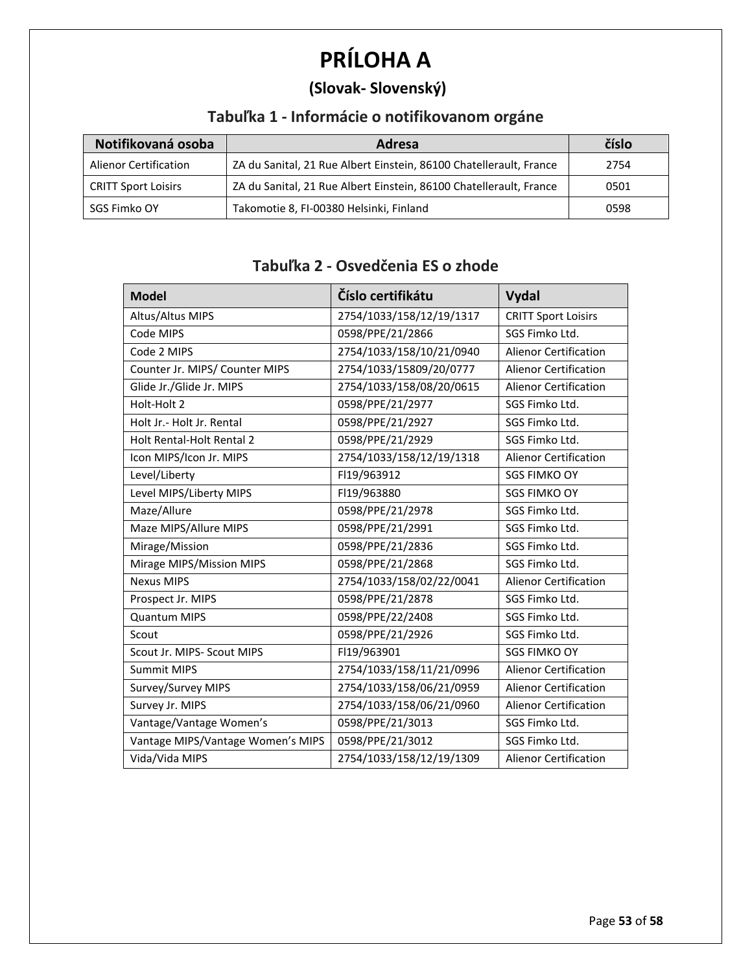# **PRÍLOHA A**

## **(Slovak- Slovenský)**

## **Tabuľka 1 - Informácie o notifikovanom orgáne**

| Notifikovaná osoba           | <b>Adresa</b>                                                      | číslo |
|------------------------------|--------------------------------------------------------------------|-------|
| <b>Alienor Certification</b> | ZA du Sanital, 21 Rue Albert Einstein, 86100 Chatellerault, France | 2754  |
| <b>CRITT Sport Loisirs</b>   | ZA du Sanital, 21 Rue Albert Einstein, 86100 Chatellerault, France | 0501  |
| SGS Fimko OY                 | Takomotie 8, FI-00380 Helsinki, Finland                            | 0598  |

#### **Tabuľka 2 - Osvedčenia ES o zhode**

| <b>Model</b>                      | Číslo certifikátu        | <b>Vydal</b>                 |
|-----------------------------------|--------------------------|------------------------------|
| Altus/Altus MIPS                  | 2754/1033/158/12/19/1317 | <b>CRITT Sport Loisirs</b>   |
| Code MIPS                         | 0598/PPE/21/2866         | SGS Fimko Ltd.               |
| Code 2 MIPS                       | 2754/1033/158/10/21/0940 | <b>Alienor Certification</b> |
| Counter Jr. MIPS/ Counter MIPS    | 2754/1033/15809/20/0777  | <b>Alienor Certification</b> |
| Glide Jr./Glide Jr. MIPS          | 2754/1033/158/08/20/0615 | <b>Alienor Certification</b> |
| Holt-Holt 2                       | 0598/PPE/21/2977         | SGS Fimko Ltd.               |
| Holt Jr. - Holt Jr. Rental        | 0598/PPE/21/2927         | SGS Fimko Ltd.               |
| Holt Rental-Holt Rental 2         | 0598/PPE/21/2929         | SGS Fimko Ltd.               |
| Icon MIPS/Icon Jr. MIPS           | 2754/1033/158/12/19/1318 | <b>Alienor Certification</b> |
| Level/Liberty                     | FI19/963912              | <b>SGS FIMKO OY</b>          |
| Level MIPS/Liberty MIPS           | FI19/963880              | <b>SGS FIMKO OY</b>          |
| Maze/Allure                       | 0598/PPE/21/2978         | SGS Fimko Ltd.               |
| Maze MIPS/Allure MIPS             | 0598/PPE/21/2991         | SGS Fimko Ltd.               |
| Mirage/Mission                    | 0598/PPE/21/2836         | SGS Fimko Ltd.               |
| Mirage MIPS/Mission MIPS          | 0598/PPE/21/2868         | SGS Fimko Ltd.               |
| <b>Nexus MIPS</b>                 | 2754/1033/158/02/22/0041 | <b>Alienor Certification</b> |
| Prospect Jr. MIPS                 | 0598/PPE/21/2878         | SGS Fimko Ltd.               |
| <b>Quantum MIPS</b>               | 0598/PPE/22/2408         | SGS Fimko Ltd.               |
| Scout                             | 0598/PPE/21/2926         | SGS Fimko Ltd.               |
| Scout Jr. MIPS- Scout MIPS        | FI19/963901              | <b>SGS FIMKO OY</b>          |
| <b>Summit MIPS</b>                | 2754/1033/158/11/21/0996 | <b>Alienor Certification</b> |
| Survey/Survey MIPS                | 2754/1033/158/06/21/0959 | <b>Alienor Certification</b> |
| Survey Jr. MIPS                   | 2754/1033/158/06/21/0960 | <b>Alienor Certification</b> |
| Vantage/Vantage Women's           | 0598/PPE/21/3013         | SGS Fimko Ltd.               |
| Vantage MIPS/Vantage Women's MIPS | 0598/PPE/21/3012         | SGS Fimko Ltd.               |
| Vida/Vida MIPS                    | 2754/1033/158/12/19/1309 | <b>Alienor Certification</b> |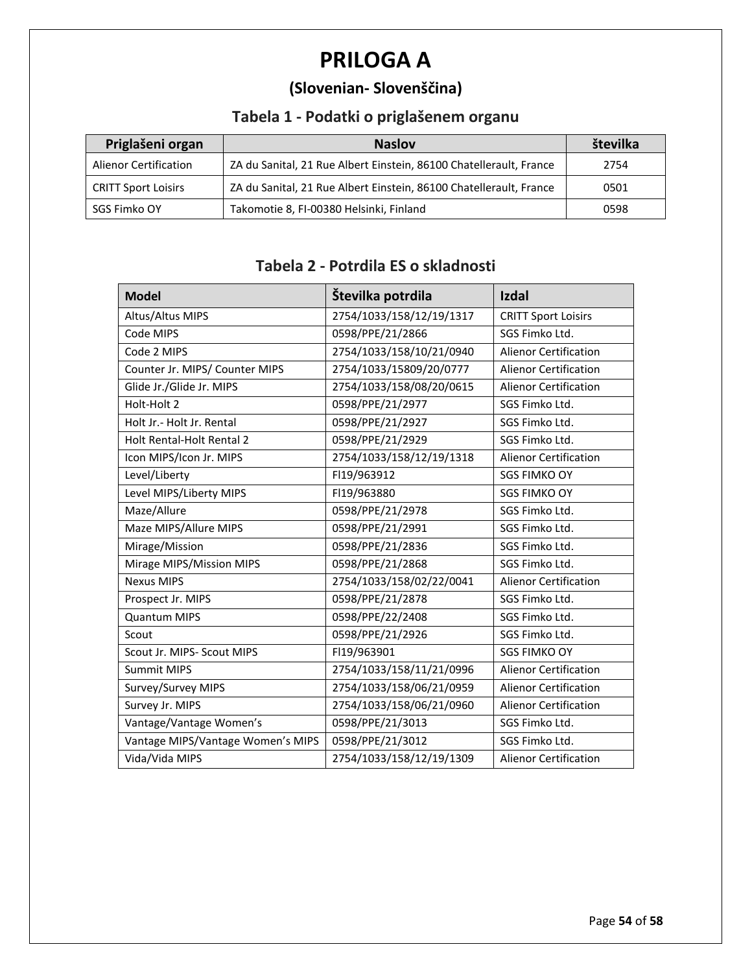# **PRILOGA A**

## **(Slovenian- Slovenščina)**

## **Tabela 1 - Podatki o priglašenem organu**

| Priglašeni organ             | <b>Naslov</b>                                                      | številka |
|------------------------------|--------------------------------------------------------------------|----------|
| <b>Alienor Certification</b> | ZA du Sanital, 21 Rue Albert Einstein, 86100 Chatellerault, France | 2754     |
| <b>CRITT Sport Loisirs</b>   | ZA du Sanital, 21 Rue Albert Einstein, 86100 Chatellerault, France | 0501     |
| SGS Fimko OY                 | Takomotie 8, FI-00380 Helsinki, Finland                            | 0598     |

#### **Tabela 2 - Potrdila ES o skladnosti**

| <b>Model</b>                      | Številka potrdila        | <b>Izdal</b>                 |
|-----------------------------------|--------------------------|------------------------------|
| Altus/Altus MIPS                  | 2754/1033/158/12/19/1317 | <b>CRITT Sport Loisirs</b>   |
| Code MIPS                         | 0598/PPE/21/2866         | SGS Fimko Ltd.               |
| Code 2 MIPS                       | 2754/1033/158/10/21/0940 | <b>Alienor Certification</b> |
| Counter Jr. MIPS/ Counter MIPS    | 2754/1033/15809/20/0777  | <b>Alienor Certification</b> |
| Glide Jr./Glide Jr. MIPS          | 2754/1033/158/08/20/0615 | <b>Alienor Certification</b> |
| Holt-Holt 2                       | 0598/PPE/21/2977         | SGS Fimko Ltd.               |
| Holt Jr.- Holt Jr. Rental         | 0598/PPE/21/2927         | SGS Fimko Ltd.               |
| Holt Rental-Holt Rental 2         | 0598/PPE/21/2929         | SGS Fimko Ltd.               |
| Icon MIPS/Icon Jr. MIPS           | 2754/1033/158/12/19/1318 | <b>Alienor Certification</b> |
| Level/Liberty                     | FI19/963912              | <b>SGS FIMKO OY</b>          |
| Level MIPS/Liberty MIPS           | FI19/963880              | <b>SGS FIMKO OY</b>          |
| Maze/Allure                       | 0598/PPE/21/2978         | SGS Fimko Ltd.               |
| Maze MIPS/Allure MIPS             | 0598/PPE/21/2991         | SGS Fimko Ltd.               |
| Mirage/Mission                    | 0598/PPE/21/2836         | SGS Fimko Ltd.               |
| Mirage MIPS/Mission MIPS          | 0598/PPE/21/2868         | SGS Fimko Ltd.               |
| <b>Nexus MIPS</b>                 | 2754/1033/158/02/22/0041 | <b>Alienor Certification</b> |
| Prospect Jr. MIPS                 | 0598/PPE/21/2878         | SGS Fimko Ltd.               |
| <b>Quantum MIPS</b>               | 0598/PPE/22/2408         | SGS Fimko Ltd.               |
| Scout                             | 0598/PPE/21/2926         | SGS Fimko Ltd.               |
| Scout Jr. MIPS- Scout MIPS        | FI19/963901              | <b>SGS FIMKO OY</b>          |
| <b>Summit MIPS</b>                | 2754/1033/158/11/21/0996 | <b>Alienor Certification</b> |
| Survey/Survey MIPS                | 2754/1033/158/06/21/0959 | <b>Alienor Certification</b> |
| Survey Jr. MIPS                   | 2754/1033/158/06/21/0960 | <b>Alienor Certification</b> |
| Vantage/Vantage Women's           | 0598/PPE/21/3013         | SGS Fimko Ltd.               |
| Vantage MIPS/Vantage Women's MIPS | 0598/PPE/21/3012         | SGS Fimko Ltd.               |
| Vida/Vida MIPS                    | 2754/1033/158/12/19/1309 | <b>Alienor Certification</b> |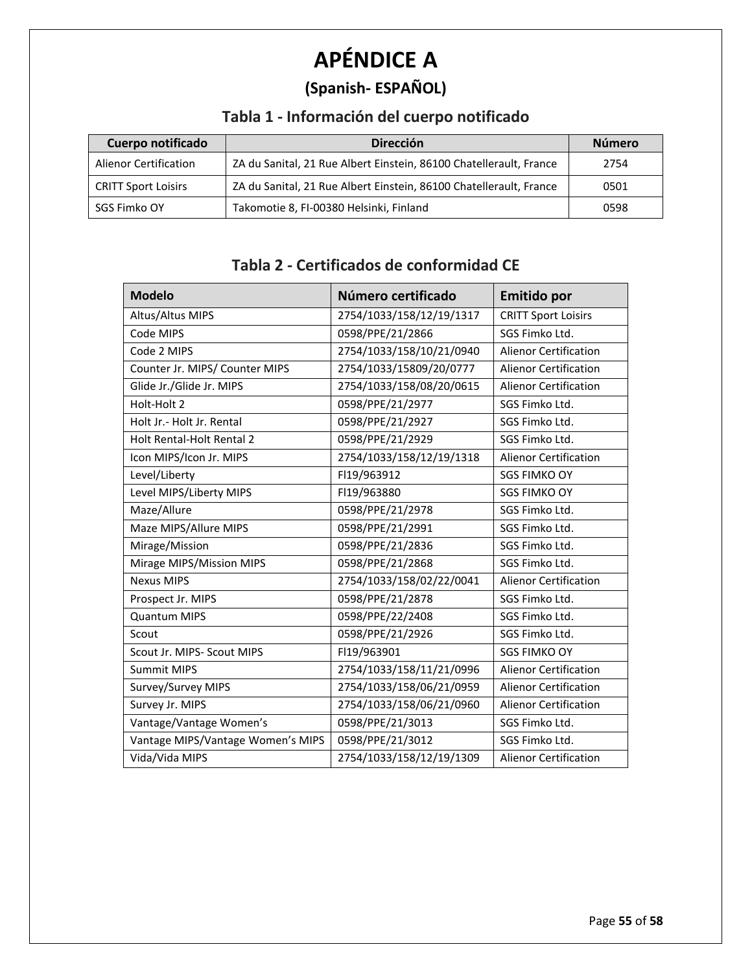# **APÉNDICE A**

## **(Spanish- ESPAÑOL)**

## **Tabla 1 - Información del cuerpo notificado**

| Cuerpo notificado            | <b>Dirección</b>                                                   | <b>Número</b> |
|------------------------------|--------------------------------------------------------------------|---------------|
| <b>Alienor Certification</b> | ZA du Sanital, 21 Rue Albert Einstein, 86100 Chatellerault, France | 2754          |
| <b>CRITT Sport Loisirs</b>   | ZA du Sanital, 21 Rue Albert Einstein, 86100 Chatellerault, France | 0501          |
| SGS Fimko OY                 | Takomotie 8, FI-00380 Helsinki, Finland                            | 0598          |

## **Tabla 2 - Certificados de conformidad CE**

| <b>Modelo</b>                     | Número certificado       | <b>Emitido por</b>           |
|-----------------------------------|--------------------------|------------------------------|
| Altus/Altus MIPS                  | 2754/1033/158/12/19/1317 | <b>CRITT Sport Loisirs</b>   |
| Code MIPS                         | 0598/PPE/21/2866         | SGS Fimko Ltd.               |
| Code 2 MIPS                       | 2754/1033/158/10/21/0940 | <b>Alienor Certification</b> |
| Counter Jr. MIPS/ Counter MIPS    | 2754/1033/15809/20/0777  | <b>Alienor Certification</b> |
| Glide Jr./Glide Jr. MIPS          | 2754/1033/158/08/20/0615 | <b>Alienor Certification</b> |
| Holt-Holt 2                       | 0598/PPE/21/2977         | SGS Fimko Ltd.               |
| Holt Jr.- Holt Jr. Rental         | 0598/PPE/21/2927         | SGS Fimko Ltd.               |
| Holt Rental-Holt Rental 2         | 0598/PPE/21/2929         | SGS Fimko Ltd.               |
| Icon MIPS/Icon Jr. MIPS           | 2754/1033/158/12/19/1318 | <b>Alienor Certification</b> |
| Level/Liberty                     | FI19/963912              | <b>SGS FIMKO OY</b>          |
| Level MIPS/Liberty MIPS           | FI19/963880              | <b>SGS FIMKO OY</b>          |
| Maze/Allure                       | 0598/PPE/21/2978         | SGS Fimko Ltd.               |
| Maze MIPS/Allure MIPS             | 0598/PPE/21/2991         | SGS Fimko Ltd.               |
| Mirage/Mission                    | 0598/PPE/21/2836         | SGS Fimko Ltd.               |
| Mirage MIPS/Mission MIPS          | 0598/PPE/21/2868         | SGS Fimko Ltd.               |
| <b>Nexus MIPS</b>                 | 2754/1033/158/02/22/0041 | <b>Alienor Certification</b> |
| Prospect Jr. MIPS                 | 0598/PPE/21/2878         | SGS Fimko Ltd.               |
| <b>Quantum MIPS</b>               | 0598/PPE/22/2408         | SGS Fimko Ltd.               |
| Scout                             | 0598/PPE/21/2926         | SGS Fimko Ltd.               |
| Scout Jr. MIPS- Scout MIPS        | FI19/963901              | <b>SGS FIMKO OY</b>          |
| <b>Summit MIPS</b>                | 2754/1033/158/11/21/0996 | <b>Alienor Certification</b> |
| Survey/Survey MIPS                | 2754/1033/158/06/21/0959 | <b>Alienor Certification</b> |
| Survey Jr. MIPS                   | 2754/1033/158/06/21/0960 | <b>Alienor Certification</b> |
| Vantage/Vantage Women's           | 0598/PPE/21/3013         | SGS Fimko Ltd.               |
| Vantage MIPS/Vantage Women's MIPS | 0598/PPE/21/3012         | SGS Fimko Ltd.               |
| Vida/Vida MIPS                    | 2754/1033/158/12/19/1309 | <b>Alienor Certification</b> |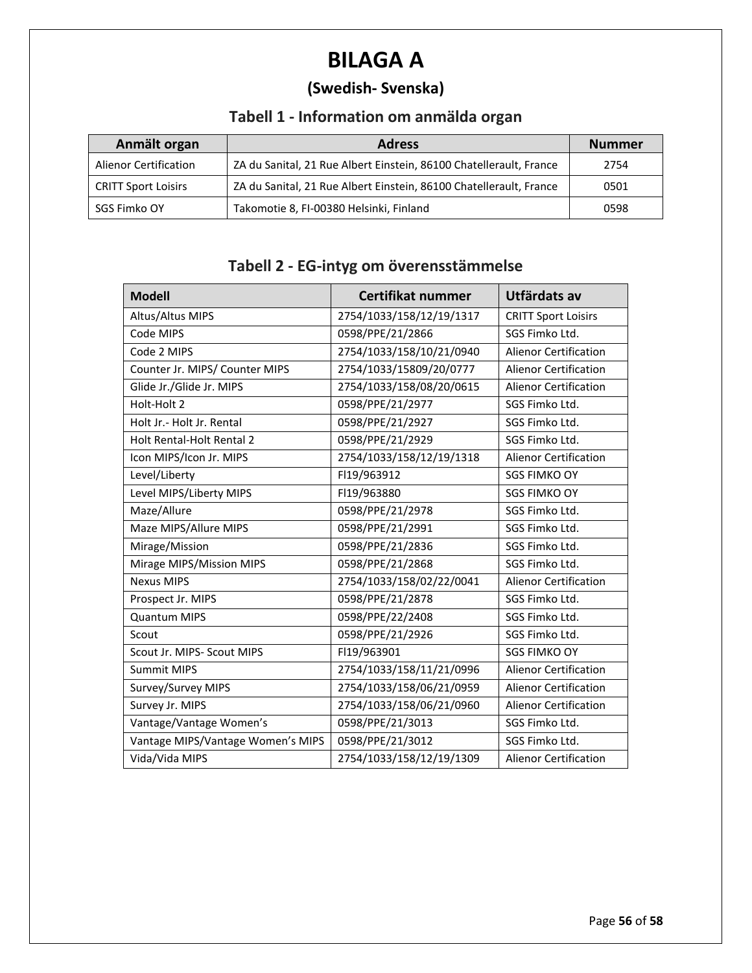# **BILAGA A**

## **(Swedish- Svenska)**

## **Tabell 1 - Information om anmälda organ**

| Anmält organ                 | <b>Adress</b>                                                      | <b>Nummer</b> |
|------------------------------|--------------------------------------------------------------------|---------------|
| <b>Alienor Certification</b> | ZA du Sanital, 21 Rue Albert Einstein, 86100 Chatellerault, France | 2754          |
| <b>CRITT Sport Loisirs</b>   | ZA du Sanital, 21 Rue Albert Einstein, 86100 Chatellerault, France | 0501          |
| SGS Fimko OY                 | Takomotie 8, FI-00380 Helsinki, Finland                            | 0598          |

#### **Tabell 2 - EG-intyg om överensstämmelse**

| <b>Modell</b>                     | Certifikat nummer        | Utfärdats av                 |
|-----------------------------------|--------------------------|------------------------------|
| Altus/Altus MIPS                  | 2754/1033/158/12/19/1317 | <b>CRITT Sport Loisirs</b>   |
| Code MIPS                         | 0598/PPE/21/2866         | SGS Fimko Ltd.               |
| Code 2 MIPS                       | 2754/1033/158/10/21/0940 | <b>Alienor Certification</b> |
| Counter Jr. MIPS/ Counter MIPS    | 2754/1033/15809/20/0777  | <b>Alienor Certification</b> |
| Glide Jr./Glide Jr. MIPS          | 2754/1033/158/08/20/0615 | Alienor Certification        |
| Holt-Holt 2                       | 0598/PPE/21/2977         | SGS Fimko Ltd.               |
| Holt Jr.- Holt Jr. Rental         | 0598/PPE/21/2927         | SGS Fimko Ltd.               |
| <b>Holt Rental-Holt Rental 2</b>  | 0598/PPE/21/2929         | SGS Fimko Ltd.               |
| Icon MIPS/Icon Jr. MIPS           | 2754/1033/158/12/19/1318 | <b>Alienor Certification</b> |
| Level/Liberty                     | FI19/963912              | <b>SGS FIMKO OY</b>          |
| Level MIPS/Liberty MIPS           | FI19/963880              | <b>SGS FIMKO OY</b>          |
| Maze/Allure                       | 0598/PPE/21/2978         | SGS Fimko Ltd.               |
| Maze MIPS/Allure MIPS             | 0598/PPE/21/2991         | SGS Fimko Ltd.               |
| Mirage/Mission                    | 0598/PPE/21/2836         | SGS Fimko Ltd.               |
| Mirage MIPS/Mission MIPS          | 0598/PPE/21/2868         | SGS Fimko Ltd.               |
| <b>Nexus MIPS</b>                 | 2754/1033/158/02/22/0041 | <b>Alienor Certification</b> |
| Prospect Jr. MIPS                 | 0598/PPE/21/2878         | SGS Fimko Ltd.               |
| <b>Quantum MIPS</b>               | 0598/PPE/22/2408         | SGS Fimko Ltd.               |
| Scout                             | 0598/PPE/21/2926         | SGS Fimko Ltd.               |
| Scout Jr. MIPS- Scout MIPS        | FI19/963901              | <b>SGS FIMKO OY</b>          |
| <b>Summit MIPS</b>                | 2754/1033/158/11/21/0996 | <b>Alienor Certification</b> |
| Survey/Survey MIPS                | 2754/1033/158/06/21/0959 | <b>Alienor Certification</b> |
| Survey Jr. MIPS                   | 2754/1033/158/06/21/0960 | <b>Alienor Certification</b> |
| Vantage/Vantage Women's           | 0598/PPE/21/3013         | SGS Fimko Ltd.               |
| Vantage MIPS/Vantage Women's MIPS | 0598/PPE/21/3012         | SGS Fimko Ltd.               |
| Vida/Vida MIPS                    | 2754/1033/158/12/19/1309 | <b>Alienor Certification</b> |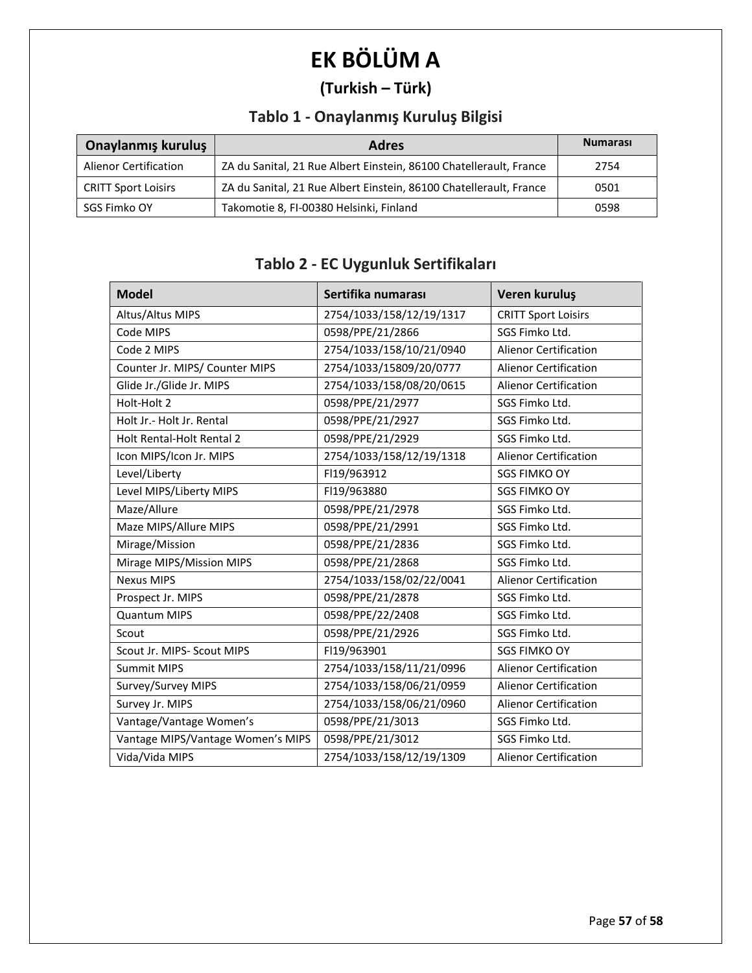# **EK BÖLÜM A**

## **(Turkish – Türk)**

## **Tablo 1 - Onaylanmış Kuruluş Bilgisi**

| Onaylanmış kuruluş           | <b>Adres</b>                                                       | <b>Numarası</b> |
|------------------------------|--------------------------------------------------------------------|-----------------|
| <b>Alienor Certification</b> | ZA du Sanital, 21 Rue Albert Einstein, 86100 Chatellerault, France | 2754            |
| <b>CRITT Sport Loisirs</b>   | ZA du Sanital, 21 Rue Albert Einstein, 86100 Chatellerault, France | 0501            |
| SGS Fimko OY                 | Takomotie 8, FI-00380 Helsinki, Finland                            | 0598            |

#### **Tablo 2 - EC Uygunluk Sertifikaları**

| <b>Model</b>                      | Sertifika numarası       | Veren kuruluş                |
|-----------------------------------|--------------------------|------------------------------|
| Altus/Altus MIPS                  | 2754/1033/158/12/19/1317 | <b>CRITT Sport Loisirs</b>   |
| Code MIPS                         | 0598/PPE/21/2866         | SGS Fimko Ltd.               |
| Code 2 MIPS                       | 2754/1033/158/10/21/0940 | <b>Alienor Certification</b> |
| Counter Jr. MIPS/ Counter MIPS    | 2754/1033/15809/20/0777  | <b>Alienor Certification</b> |
| Glide Jr./Glide Jr. MIPS          | 2754/1033/158/08/20/0615 | <b>Alienor Certification</b> |
| Holt-Holt 2                       | 0598/PPE/21/2977         | SGS Fimko Ltd.               |
| Holt Jr.- Holt Jr. Rental         | 0598/PPE/21/2927         | SGS Fimko Ltd.               |
| Holt Rental-Holt Rental 2         | 0598/PPE/21/2929         | SGS Fimko Ltd.               |
| Icon MIPS/Icon Jr. MIPS           | 2754/1033/158/12/19/1318 | Alienor Certification        |
| Level/Liberty                     | FI19/963912              | <b>SGS FIMKO OY</b>          |
| Level MIPS/Liberty MIPS           | FI19/963880              | <b>SGS FIMKO OY</b>          |
| Maze/Allure                       | 0598/PPE/21/2978         | SGS Fimko Ltd.               |
| Maze MIPS/Allure MIPS             | 0598/PPE/21/2991         | SGS Fimko Ltd.               |
| Mirage/Mission                    | 0598/PPE/21/2836         | SGS Fimko Ltd.               |
| Mirage MIPS/Mission MIPS          | 0598/PPE/21/2868         | SGS Fimko Ltd.               |
| <b>Nexus MIPS</b>                 | 2754/1033/158/02/22/0041 | <b>Alienor Certification</b> |
| Prospect Jr. MIPS                 | 0598/PPE/21/2878         | SGS Fimko Ltd.               |
| <b>Quantum MIPS</b>               | 0598/PPE/22/2408         | SGS Fimko Ltd.               |
| Scout                             | 0598/PPE/21/2926         | SGS Fimko Ltd.               |
| Scout Jr. MIPS- Scout MIPS        | FI19/963901              | <b>SGS FIMKO OY</b>          |
| <b>Summit MIPS</b>                | 2754/1033/158/11/21/0996 | <b>Alienor Certification</b> |
| Survey/Survey MIPS                | 2754/1033/158/06/21/0959 | <b>Alienor Certification</b> |
| Survey Jr. MIPS                   | 2754/1033/158/06/21/0960 | <b>Alienor Certification</b> |
| Vantage/Vantage Women's           | 0598/PPE/21/3013         | SGS Fimko Ltd.               |
| Vantage MIPS/Vantage Women's MIPS | 0598/PPE/21/3012         | SGS Fimko Ltd.               |
| Vida/Vida MIPS                    | 2754/1033/158/12/19/1309 | <b>Alienor Certification</b> |